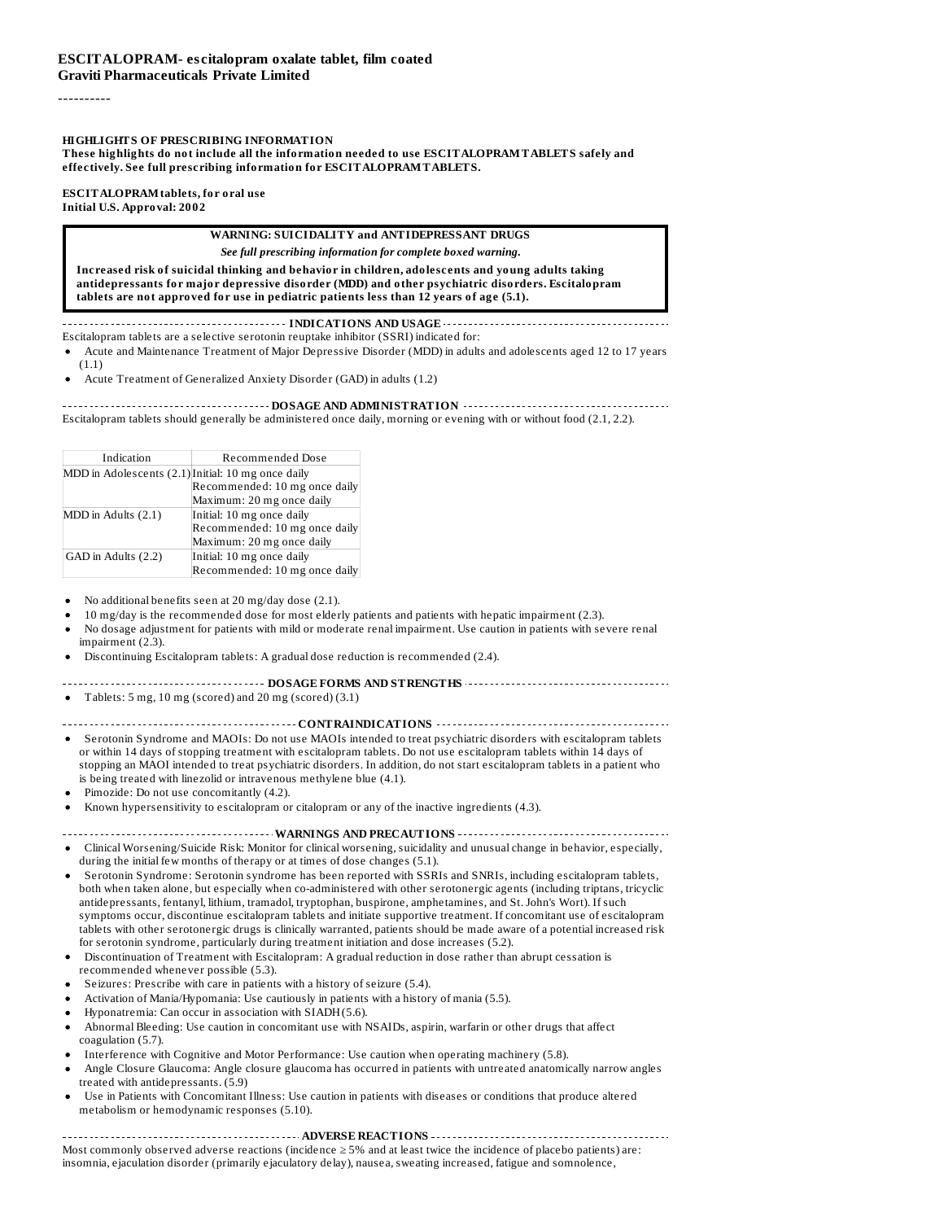----------

#### **HIGHLIGHTS OF PRESCRIBING INFORMATION**

**These highlights do not include all the information needed to use ESCITALOPRAMTABLETS safely and effectively. See full prescribing information for ESCITALOPRAMTABLETS.**

#### **ESCITALOPRAMtablets, for oral use Initial U.S. Approval: 2002**

#### **WARNING: SUICIDALITY and ANTIDEPRESSANT DRUGS**

*See full prescribing information for complete boxed warning.*

**Increased risk of suicidal thinking and behavior in children, adolescents and young adults taking antidepressants for major depressive disorder (MDD) and other psychiatric disorders. Escitalopram tablets are not approved for use in pediatric patients less than 12 years of age (5.1).**

**INDICATIONS AND USAGE** Escitalopram tablets are a selective serotonin reuptake inhibitor (SSRI) indicated for:

Acute and Maintenance Treatment of Major Depressive Disorder (MDD) in adults and adolescents aged 12 to 17 years (1.1)

Acute Treatment of Generalized Anxiety Disorder (GAD) in adults (1.2)

#### **DOSAGE AND ADMINISTRATION**

Escitalopram tablets should generally be administered once daily, morning or evening with or without food (2.1, 2.2).

| Indication                                         | Recommended Dose              |
|----------------------------------------------------|-------------------------------|
| MDD in Adolescents (2.1) Initial: 10 mg once daily |                               |
|                                                    | Recommended: 10 mg once daily |
|                                                    | Maximum: 20 mg once daily     |
| MDD in Adults (2.1)                                | Initial: 10 mg once daily     |
|                                                    | Recommended: 10 mg once daily |
|                                                    | Maximum: 20 mg once daily     |
| GAD in Adults (2.2)                                | Initial: 10 mg once daily     |
|                                                    | Recommended: 10 mg once daily |

No additional benefits seen at 20 mg/day dose (2.1).

- 10 mg/day is the recommended dose for most elderly patients and patients with hepatic impairment (2.3). No dosage adjustment for patients with mild or moderate renal impairment. Use caution in patients with severe renal
- impairment (2.3).
- Discontinuing Escitalopram tablets: A gradual dose reduction is recommended (2.4).

#### **DOSAGE FORMS AND STRENGTHS**

Tablets: 5 mg, 10 mg (scored) and 20 mg (scored) (3.1)

**CONTRAINDICATIONS CONTRAINDICATIONS CONTRAINDICATIONS** 

- Serotonin Syndrome and MAOIs: Do not use MAOIs intended to treat psychiatric disorders with escitalopram tablets or within 14 days of stopping treatment with escitalopram tablets. Do not use escitalopram tablets within 14 days of stopping an MAOI intended to treat psychiatric disorders. In addition, do not start escitalopram tablets in a patient who is being treated with linezolid or intravenous methylene blue (4.1).
- Pimozide: Do not use concomitantly (4.2).
- Known hypersensitivity to escitalopram or citalopram or any of the inactive ingredients (4.3).
- **WARNINGS AND PRECAUTIONS**
- Clinical Worsening/Suicide Risk: Monitor for clinical worsening, suicidality and unusual change in behavior, especially, during the initial few months of therapy or at times of dose changes (5.1).
- Serotonin Syndrome: Serotonin syndrome has been reported with SSRIs and SNRIs, including escitalopram tablets, both when taken alone, but especially when co-administered with other serotonergic agents (including triptans, tricyclic antidepressants, fentanyl, lithium, tramadol, tryptophan, buspirone, amphetamines, and St. John's Wort). If such symptoms occur, discontinue escitalopram tablets and initiate supportive treatment. If concomitant use of escitalopram tablets with other serotonergic drugs is clinically warranted, patients should be made aware of a potential increased risk for serotonin syndrome, particularly during treatment initiation and dose increases (5.2).
- Discontinuation of Treatment with Escitalopram: A gradual reduction in dose rather than abrupt cessation is recommended whenever possible (5.3).
- Seizures: Prescribe with care in patients with a history of seizure (5.4).
- Activation of Mania/Hypomania: Use cautiously in patients with a history of mania (5.5).
- Hyponatremia: Can occur in association with SIADH(5.6).
- Abnormal Bleeding: Use caution in concomitant use with NSAIDs, aspirin, warfarin or other drugs that affect coagulation (5.7).
- Interference with Cognitive and Motor Performance: Use caution when operating machinery (5.8).
- Angle Closure Glaucoma: Angle closure glaucoma has occurred in patients with untreated anatomically narrow angles treated with antidepressants. (5.9)
- Use in Patients with Concomitant Illness: Use caution in patients with diseases or conditions that produce altered metabolism or hemodynamic responses (5.10).

**ADVERSE REACTIONS** Most commonly observed adverse reactions (incidence ≥ 5% and at least twice the incidence of placebo patients) are: insomnia, ejaculation disorder (primarily ejaculatory delay), nausea, sweating increased, fatigue and somnolence,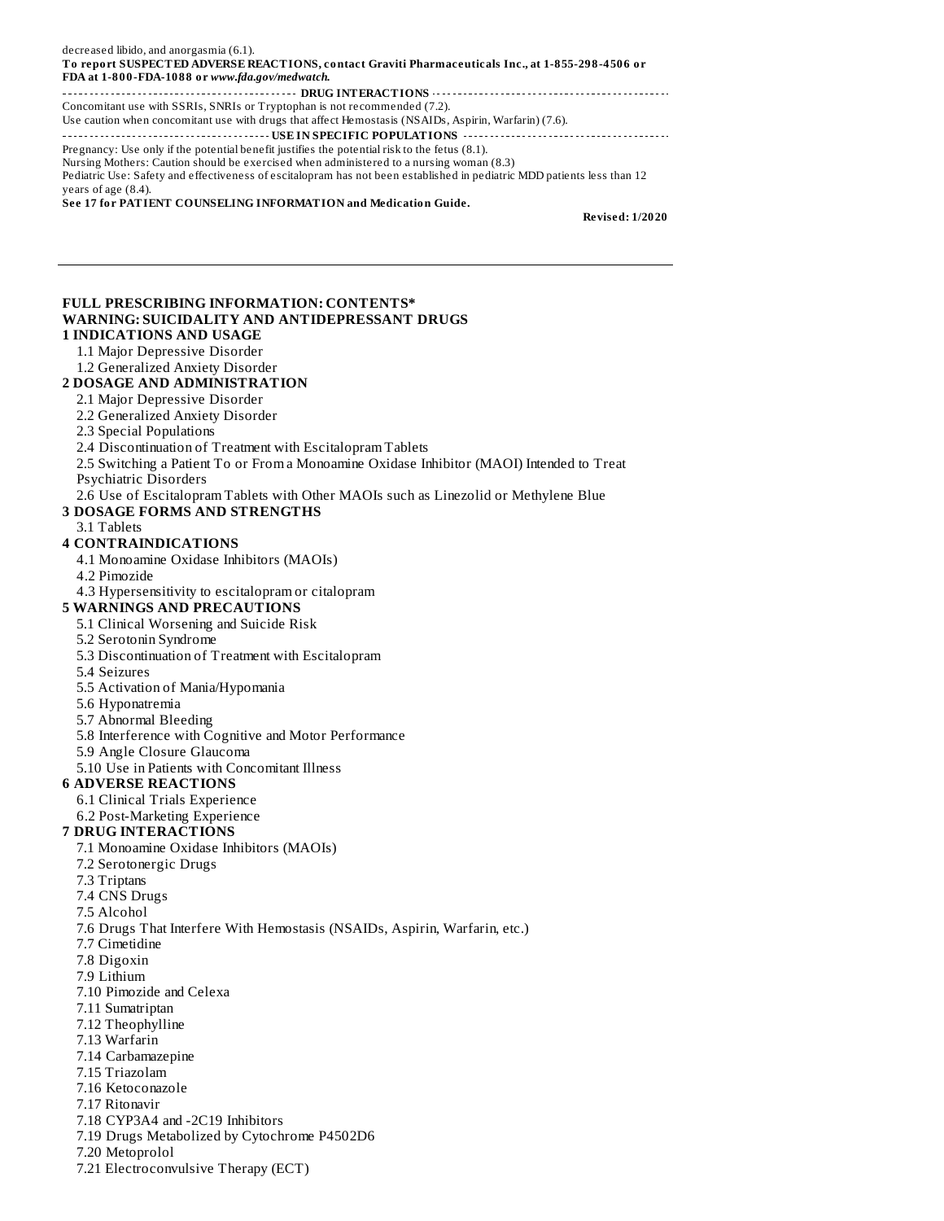#### decreased libido, and anorgasmia (6.1). **To report SUSPECTED ADVERSE REACTIONS, contact Graviti Pharmaceuticals Inc., at 1-855-298-4506 or FDA at 1-800-FDA-1088 or** *www.fda.gov/medwatch.* **DRUG INTERACTIONS ACCOMMODATIONS ACCOMMODATIONS According to the contract of the contract of the contract of the contract of the contract of the contract of the contract of the contract of the contract of the contract** Concomitant use with SSRIs, SNRIs or Tryptophan is not recommended (7.2). Use caution when concomitant use with drugs that affect Hemostasis (NSAIDs, Aspirin, Warfarin) (7.6). **USE IN SPECIFIC POPULATIONS** Pregnancy: Use only if the potential benefit justifies the potential risk to the fetus (8.1). Nursing Mothers: Caution should be exercised when administered to a nursing woman (8.3) Pediatric Use: Safety and effectiveness of escitalopram has not been established in pediatric MDD patients less than 12 years of age (8.4). **See 17 for PATIENT COUNSELING INFORMATION and Medication Guide. Revised: 1/2020 FULL PRESCRIBING INFORMATION: CONTENTS\* WARNING: SUICIDALITY AND ANTIDEPRESSANT DRUGS 1 INDICATIONS AND USAGE** 1.1 Major Depressive Disorder 1.2 Generalized Anxiety Disorder **2 DOSAGE AND ADMINISTRATION** 2.1 Major Depressive Disorder 2.2 Generalized Anxiety Disorder 2.3 Special Populations 2.4 Discontinuation of Treatment with Escitalopram Tablets 2.5 Switching a Patient To or From a Monoamine Oxidase Inhibitor (MAOI) Intended to Treat Psychiatric Disorders 2.6 Use of Escitalopram Tablets with Other MAOIs such as Linezolid or Methylene Blue **3 DOSAGE FORMS AND STRENGTHS** 3.1 Tablets **4 CONTRAINDICATIONS** 4.1 Monoamine Oxidase Inhibitors (MAOIs) 4.2 Pimozide 4.3 Hypersensitivity to escitalopram or citalopram **5 WARNINGS AND PRECAUTIONS** 5.1 Clinical Worsening and Suicide Risk 5.2 Serotonin Syndrome 5.3 Discontinuation of Treatment with Escitalopram 5.4 Seizures 5.5 Activation of Mania/Hypomania 5.6 Hyponatremia 5.7 Abnormal Bleeding 5.8 Interference with Cognitive and Motor Performance 5.9 Angle Closure Glaucoma 5.10 Use in Patients with Concomitant Illness **6 ADVERSE REACTIONS** 6.1 Clinical Trials Experience 6.2 Post-Marketing Experience **7 DRUG INTERACTIONS** 7.1 Monoamine Oxidase Inhibitors (MAOIs) 7.2 Serotonergic Drugs 7.3 Triptans 7.4 CNS Drugs 7.5 Alcohol 7.6 Drugs That Interfere With Hemostasis (NSAIDs, Aspirin, Warfarin, etc.) 7.7 Cimetidine 7.8 Digoxin 7.9 Lithium 7.10 Pimozide and Celexa 7.11 Sumatriptan 7.12 Theophylline 7.13 Warfarin 7.14 Carbamazepine 7.15 Triazolam 7.16 Ketoconazole 7.17 Ritonavir 7.18 CYP3A4 and -2C19 Inhibitors 7.19 Drugs Metabolized by Cytochrome P4502D6

- 7.20 Metoprolol
- 7.21 Electroconvulsive Therapy (ECT)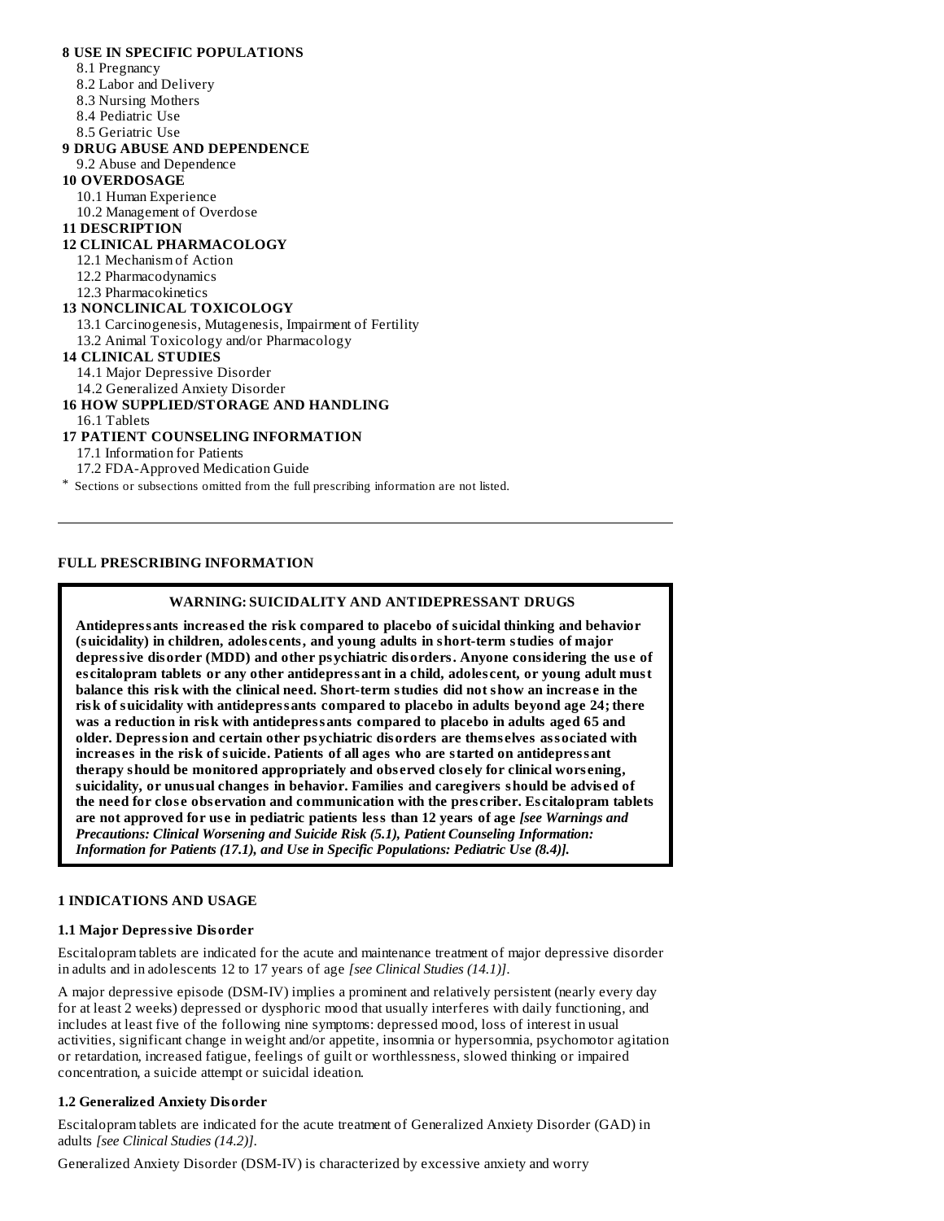#### **8 USE IN SPECIFIC POPULATIONS** 8.1 Pregnancy 8.2 Labor and Delivery 8.3 Nursing Mothers 8.4 Pediatric Use 8.5 Geriatric Use **9 DRUG ABUSE AND DEPENDENCE** 9.2 Abuse and Dependence **10 OVERDOSAGE** 10.1 Human Experience 10.2 Management of Overdose **11 DESCRIPTION 12 CLINICAL PHARMACOLOGY** 12.1 Mechanism of Action 12.2 Pharmacodynamics 12.3 Pharmacokinetics **13 NONCLINICAL TOXICOLOGY** 13.1 Carcinogenesis, Mutagenesis, Impairment of Fertility 13.2 Animal Toxicology and/or Pharmacology **14 CLINICAL STUDIES** 14.1 Major Depressive Disorder 14.2 Generalized Anxiety Disorder **16 HOW SUPPLIED/STORAGE AND HANDLING** 16.1 Tablets **17 PATIENT COUNSELING INFORMATION** 17.1 Information for Patients

17.2 FDA-Approved Medication Guide \* Sections or subsections omitted from the full prescribing information are not listed.

**FULL PRESCRIBING INFORMATION**

# **WARNING: SUICIDALITY AND ANTIDEPRESSANT DRUGS**

**Antidepressants increas ed the risk compared to placebo of suicidal thinking and behavior (suicidality) in children, adoles cents, and young adults in short-term studies of major depressive disorder (MDD) and other psychiatric disorders. Anyone considering the us e of es citalopram tablets or any other antidepressant in a child, adoles cent, or young adult must balance this risk with the clinical need. Short-term studies did not show an increas e in the risk of suicidality with antidepressants compared to placebo in adults beyond age 24; there was a reduction in risk with antidepressants compared to placebo in adults aged 65 and older. Depression and certain other psychiatric disorders are thems elves associated with increas es in the risk of suicide. Patients of all ages who are started on antidepressant therapy should be monitored appropriately and obs erved clos ely for clinical wors ening, suicidality, or unusual changes in behavior. Families and caregivers should be advis ed of the need for clos e obs ervation and communication with the pres criber. Es citalopram tablets are not approved for us e in pediatric patients less than 12 years of age** *[see Warnings and Precautions: Clinical Worsening and Suicide Risk (5.1), Patient Counseling Information: Information for Patients (17.1), and Use in Specific Populations: Pediatric Use (8.4)].*

#### **1 INDICATIONS AND USAGE**

#### **1.1 Major Depressive Disorder**

Escitalopram tablets are indicated for the acute and maintenance treatment of major depressive disorder in adults and in adolescents 12 to 17 years of age *[see Clinical Studies (14.1)]*.

A major depressive episode (DSM-IV) implies a prominent and relatively persistent (nearly every day for at least 2 weeks) depressed or dysphoric mood that usually interferes with daily functioning, and includes at least five of the following nine symptoms: depressed mood, loss of interest in usual activities, significant change in weight and/or appetite, insomnia or hypersomnia, psychomotor agitation or retardation, increased fatigue, feelings of guilt or worthlessness, slowed thinking or impaired concentration, a suicide attempt or suicidal ideation.

#### **1.2 Generalized Anxiety Disorder**

Escitalopram tablets are indicated for the acute treatment of Generalized Anxiety Disorder (GAD) in adults *[see Clinical Studies (14.2)]*.

Generalized Anxiety Disorder (DSM-IV) is characterized by excessive anxiety and worry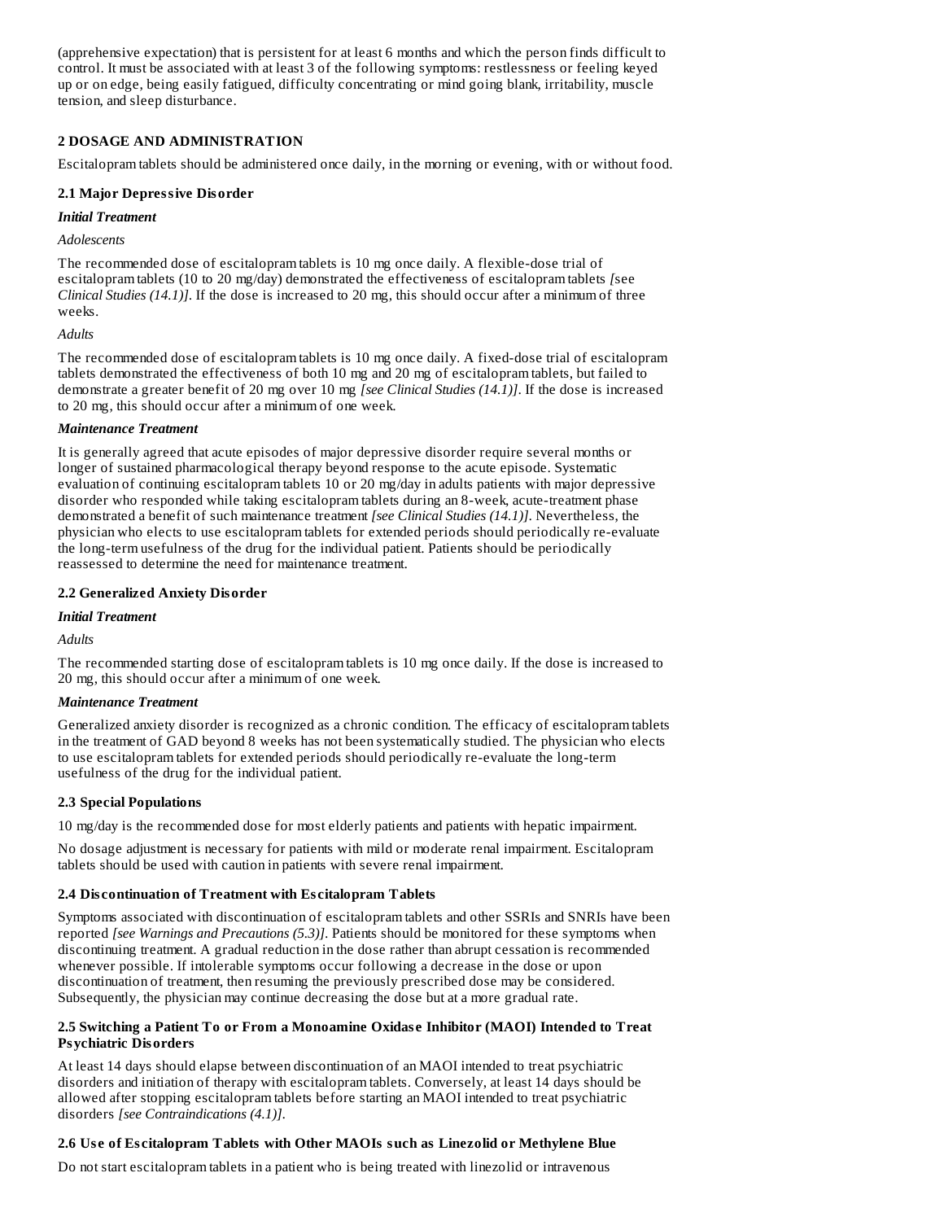(apprehensive expectation) that is persistent for at least 6 months and which the person finds difficult to control. It must be associated with at least 3 of the following symptoms: restlessness or feeling keyed up or on edge, being easily fatigued, difficulty concentrating or mind going blank, irritability, muscle tension, and sleep disturbance.

#### **2 DOSAGE AND ADMINISTRATION**

Escitalopram tablets should be administered once daily, in the morning or evening, with or without food.

#### **2.1 Major Depressive Disorder**

#### *Initial Treatment*

#### *Adolescents*

The recommended dose of escitalopram tablets is 10 mg once daily. A flexible-dose trial of escitalopram tablets (10 to 20 mg/day) demonstrated the effectiveness of escitalopram tablets *[*see *Clinical Studies (14.1)]*. If the dose is increased to 20 mg, this should occur after a minimum of three weeks.

#### *Adults*

The recommended dose of escitalopram tablets is 10 mg once daily. A fixed-dose trial of escitalopram tablets demonstrated the effectiveness of both 10 mg and 20 mg of escitalopram tablets, but failed to demonstrate a greater benefit of 20 mg over 10 mg *[see Clinical Studies (14.1)]*. If the dose is increased to 20 mg, this should occur after a minimum of one week.

#### *Maintenance Treatment*

It is generally agreed that acute episodes of major depressive disorder require several months or longer of sustained pharmacological therapy beyond response to the acute episode. Systematic evaluation of continuing escitalopram tablets 10 or 20 mg/day in adults patients with major depressive disorder who responded while taking escitalopram tablets during an 8-week, acute-treatment phase demonstrated a benefit of such maintenance treatment *[see Clinical Studies (14.1)]*. Nevertheless, the physician who elects to use escitalopram tablets for extended periods should periodically re-evaluate the long-term usefulness of the drug for the individual patient. Patients should be periodically reassessed to determine the need for maintenance treatment.

#### **2.2 Generalized Anxiety Disorder**

#### *Initial Treatment*

*Adults*

The recommended starting dose of escitalopram tablets is 10 mg once daily. If the dose is increased to 20 mg, this should occur after a minimum of one week.

#### *Maintenance Treatment*

Generalized anxiety disorder is recognized as a chronic condition. The efficacy of escitalopram tablets in the treatment of GAD beyond 8 weeks has not been systematically studied. The physician who elects to use escitalopram tablets for extended periods should periodically re-evaluate the long-term usefulness of the drug for the individual patient.

#### **2.3 Special Populations**

10 mg/day is the recommended dose for most elderly patients and patients with hepatic impairment.

No dosage adjustment is necessary for patients with mild or moderate renal impairment. Escitalopram tablets should be used with caution in patients with severe renal impairment.

#### **2.4 Dis continuation of Treatment with Es citalopram Tablets**

Symptoms associated with discontinuation of escitalopram tablets and other SSRIs and SNRIs have been reported *[see Warnings and Precautions (5.3)]*. Patients should be monitored for these symptoms when discontinuing treatment. A gradual reduction in the dose rather than abrupt cessation is recommended whenever possible. If intolerable symptoms occur following a decrease in the dose or upon discontinuation of treatment, then resuming the previously prescribed dose may be considered. Subsequently, the physician may continue decreasing the dose but at a more gradual rate.

#### **2.5 Switching a Patient To or From a Monoamine Oxidas e Inhibitor (MAOI) Intended to Treat Psychiatric Disorders**

At least 14 days should elapse between discontinuation of an MAOI intended to treat psychiatric disorders and initiation of therapy with escitalopram tablets. Conversely, at least 14 days should be allowed after stopping escitalopram tablets before starting an MAOI intended to treat psychiatric disorders *[see Contraindications (4.1)]*.

#### **2.6 Us e of Es citalopram Tablets with Other MAOIs such as Linezolid or Methylene Blue**

Do not start escitalopram tablets in a patient who is being treated with linezolid or intravenous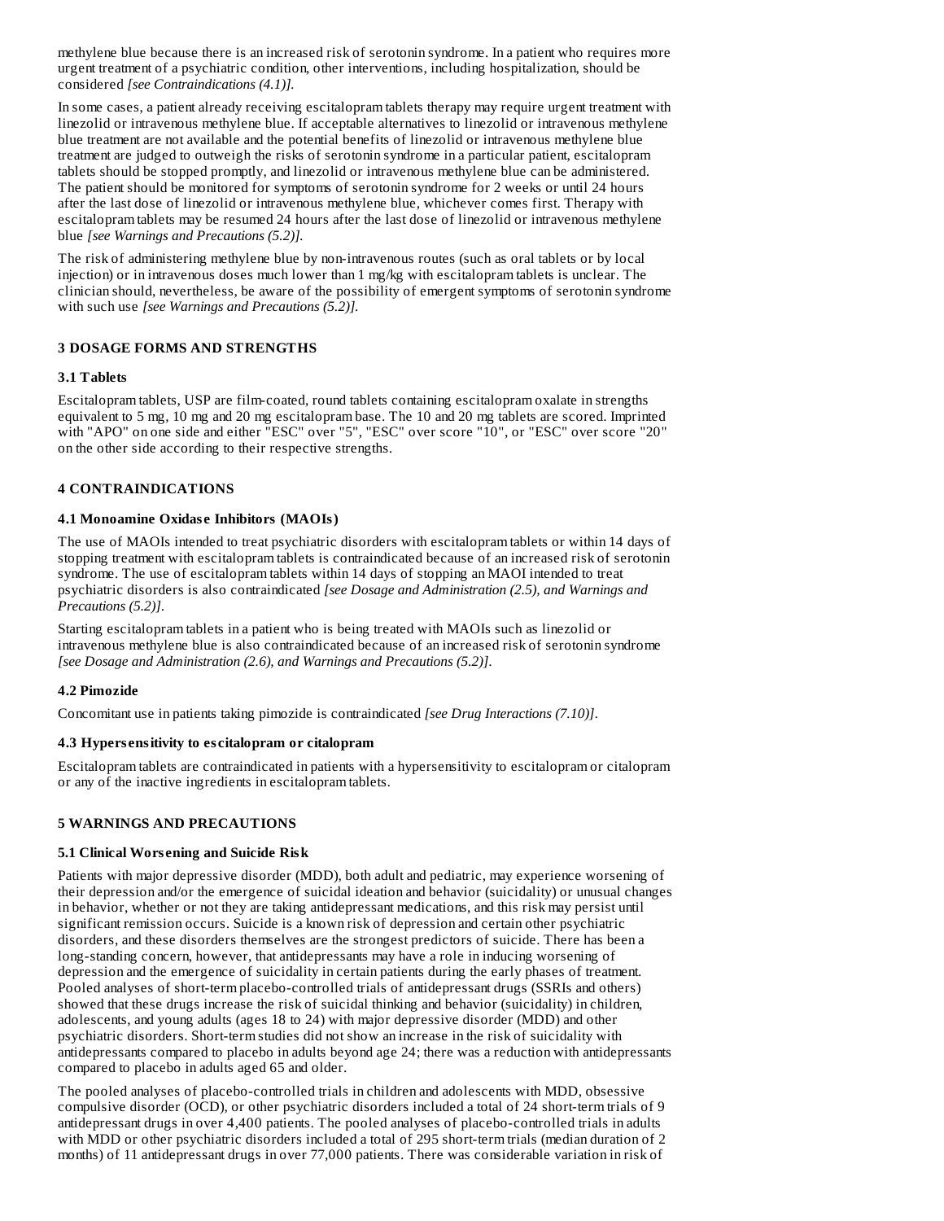methylene blue because there is an increased risk of serotonin syndrome. In a patient who requires more urgent treatment of a psychiatric condition, other interventions, including hospitalization, should be considered *[see Contraindications (4.1)].*

In some cases, a patient already receiving escitalopram tablets therapy may require urgent treatment with linezolid or intravenous methylene blue. If acceptable alternatives to linezolid or intravenous methylene blue treatment are not available and the potential benefits of linezolid or intravenous methylene blue treatment are judged to outweigh the risks of serotonin syndrome in a particular patient, escitalopram tablets should be stopped promptly, and linezolid or intravenous methylene blue can be administered. The patient should be monitored for symptoms of serotonin syndrome for 2 weeks or until 24 hours after the last dose of linezolid or intravenous methylene blue, whichever comes first. Therapy with escitalopram tablets may be resumed 24 hours after the last dose of linezolid or intravenous methylene blue *[see Warnings and Precautions (5.2)].*

The risk of administering methylene blue by non-intravenous routes (such as oral tablets or by local injection) or in intravenous doses much lower than 1 mg/kg with escitalopram tablets is unclear. The clinician should, nevertheless, be aware of the possibility of emergent symptoms of serotonin syndrome with such use *[see Warnings and Precautions (5.2)].*

#### **3 DOSAGE FORMS AND STRENGTHS**

#### **3.1 Tablets**

Escitalopram tablets, USP are film-coated, round tablets containing escitalopram oxalate in strengths equivalent to 5 mg, 10 mg and 20 mg escitalopram base. The 10 and 20 mg tablets are scored. Imprinted with "APO" on one side and either "ESC" over "5", "ESC" over score "10", or "ESC" over score "20" on the other side according to their respective strengths.

#### **4 CONTRAINDICATIONS**

#### **4.1 Monoamine Oxidas e Inhibitors (MAOIs)**

The use of MAOIs intended to treat psychiatric disorders with escitalopram tablets or within 14 days of stopping treatment with escitalopram tablets is contraindicated because of an increased risk of serotonin syndrome. The use of escitalopram tablets within 14 days of stopping an MAOI intended to treat psychiatric disorders is also contraindicated *[see Dosage and Administration (2.5), and Warnings and Precautions (5.2)]*.

Starting escitalopram tablets in a patient who is being treated with MAOIs such as linezolid or intravenous methylene blue is also contraindicated because of an increased risk of serotonin syndrome *[see Dosage and Administration (2.6), and Warnings and Precautions (5.2)]*.

#### **4.2 Pimozide**

Concomitant use in patients taking pimozide is contraindicated *[see Drug Interactions (7.10)]*.

#### **4.3 Hypers ensitivity to es citalopram or citalopram**

Escitalopram tablets are contraindicated in patients with a hypersensitivity to escitalopram or citalopram or any of the inactive ingredients in escitalopram tablets.

#### **5 WARNINGS AND PRECAUTIONS**

#### **5.1 Clinical Wors ening and Suicide Risk**

Patients with major depressive disorder (MDD), both adult and pediatric, may experience worsening of their depression and/or the emergence of suicidal ideation and behavior (suicidality) or unusual changes in behavior, whether or not they are taking antidepressant medications, and this risk may persist until significant remission occurs. Suicide is a known risk of depression and certain other psychiatric disorders, and these disorders themselves are the strongest predictors of suicide. There has been a long-standing concern, however, that antidepressants may have a role in inducing worsening of depression and the emergence of suicidality in certain patients during the early phases of treatment. Pooled analyses of short-term placebo-controlled trials of antidepressant drugs (SSRIs and others) showed that these drugs increase the risk of suicidal thinking and behavior (suicidality) in children, adolescents, and young adults (ages 18 to 24) with major depressive disorder (MDD) and other psychiatric disorders. Short-term studies did not show an increase in the risk of suicidality with antidepressants compared to placebo in adults beyond age 24; there was a reduction with antidepressants compared to placebo in adults aged 65 and older.

The pooled analyses of placebo-controlled trials in children and adolescents with MDD, obsessive compulsive disorder (OCD), or other psychiatric disorders included a total of 24 short-term trials of 9 antidepressant drugs in over 4,400 patients. The pooled analyses of placebo-controlled trials in adults with MDD or other psychiatric disorders included a total of 295 short-term trials (median duration of 2 months) of 11 antidepressant drugs in over 77,000 patients. There was considerable variation in risk of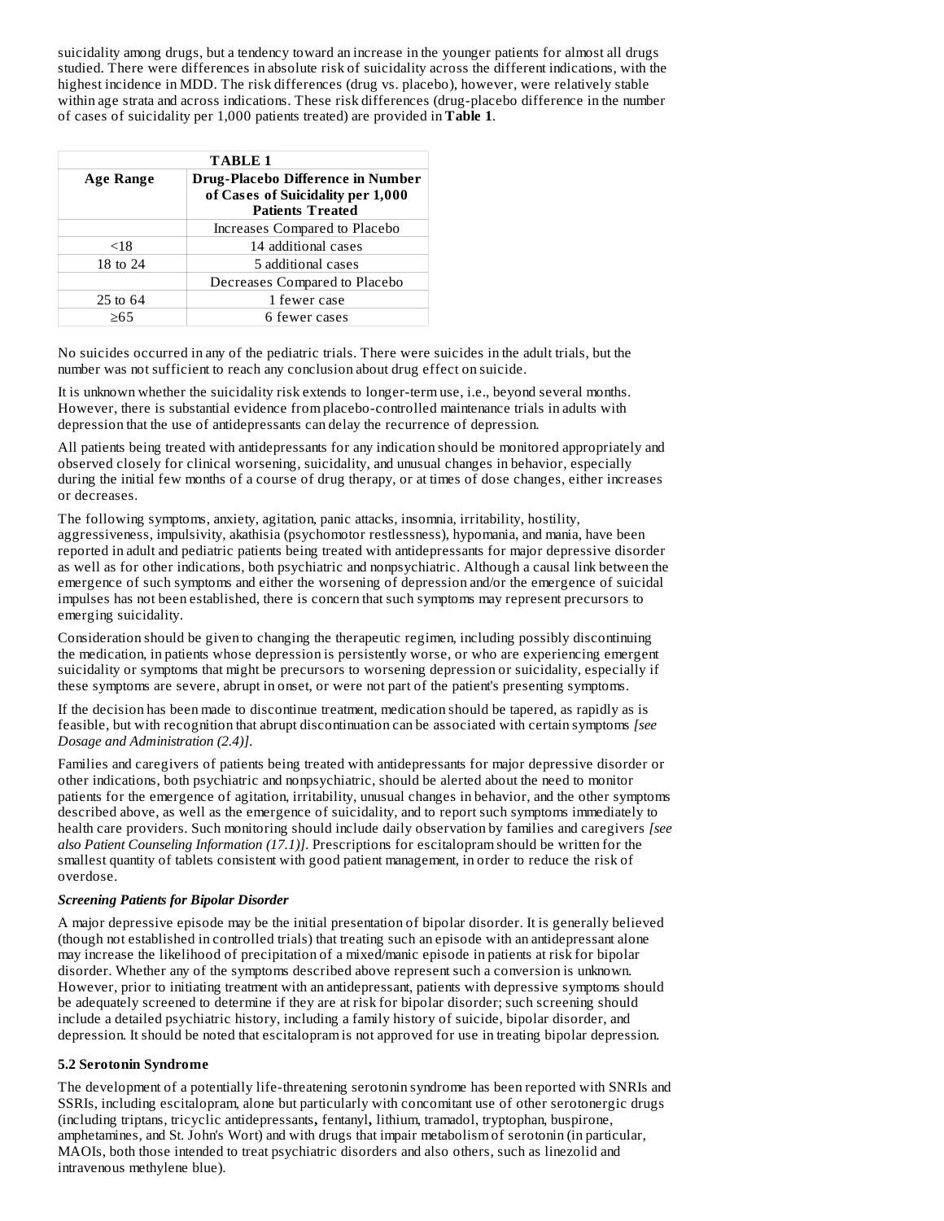suicidality among drugs, but a tendency toward an increase in the younger patients for almost all drugs studied. There were differences in absolute risk of suicidality across the different indications, with the highest incidence in MDD. The risk differences (drug vs. placebo), however, were relatively stable within age strata and across indications. These risk differences (drug-placebo difference in the number of cases of suicidality per 1,000 patients treated) are provided in **Table 1**.

| TABLE 1          |                                                                                                          |  |  |  |
|------------------|----------------------------------------------------------------------------------------------------------|--|--|--|
| <b>Age Range</b> | <b>Drug-Placebo Difference in Number</b><br>of Cases of Suicidality per 1,000<br><b>Patients Treated</b> |  |  |  |
|                  | Increases Compared to Placebo                                                                            |  |  |  |
| < 18             | 14 additional cases                                                                                      |  |  |  |
| 18 to 24         | 5 additional cases                                                                                       |  |  |  |
|                  | Decreases Compared to Placebo                                                                            |  |  |  |
| 25 to 64         | 1 fewer case                                                                                             |  |  |  |
| >65              | 6 fewer cases                                                                                            |  |  |  |

No suicides occurred in any of the pediatric trials. There were suicides in the adult trials, but the number was not sufficient to reach any conclusion about drug effect on suicide.

It is unknown whether the suicidality risk extends to longer-term use, i.e., beyond several months. However, there is substantial evidence from placebo-controlled maintenance trials in adults with depression that the use of antidepressants can delay the recurrence of depression.

All patients being treated with antidepressants for any indication should be monitored appropriately and observed closely for clinical worsening, suicidality, and unusual changes in behavior, especially during the initial few months of a course of drug therapy, or at times of dose changes, either increases or decreases.

The following symptoms, anxiety, agitation, panic attacks, insomnia, irritability, hostility, aggressiveness, impulsivity, akathisia (psychomotor restlessness), hypomania, and mania, have been reported in adult and pediatric patients being treated with antidepressants for major depressive disorder as well as for other indications, both psychiatric and nonpsychiatric. Although a causal link between the emergence of such symptoms and either the worsening of depression and/or the emergence of suicidal impulses has not been established, there is concern that such symptoms may represent precursors to emerging suicidality.

Consideration should be given to changing the therapeutic regimen, including possibly discontinuing the medication, in patients whose depression is persistently worse, or who are experiencing emergent suicidality or symptoms that might be precursors to worsening depression or suicidality, especially if these symptoms are severe, abrupt in onset, or were not part of the patient's presenting symptoms.

If the decision has been made to discontinue treatment, medication should be tapered, as rapidly as is feasible, but with recognition that abrupt discontinuation can be associated with certain symptoms *[see Dosage and Administration (2.4)]*.

Families and caregivers of patients being treated with antidepressants for major depressive disorder or other indications, both psychiatric and nonpsychiatric, should be alerted about the need to monitor patients for the emergence of agitation, irritability, unusual changes in behavior, and the other symptoms described above, as well as the emergence of suicidality, and to report such symptoms immediately to health care providers. Such monitoring should include daily observation by families and caregivers *[see also Patient Counseling Information (17.1)]*. Prescriptions for escitalopram should be written for the smallest quantity of tablets consistent with good patient management, in order to reduce the risk of overdose.

# *Screening Patients for Bipolar Disorder*

A major depressive episode may be the initial presentation of bipolar disorder. It is generally believed (though not established in controlled trials) that treating such an episode with an antidepressant alone may increase the likelihood of precipitation of a mixed/manic episode in patients at risk for bipolar disorder. Whether any of the symptoms described above represent such a conversion is unknown. However, prior to initiating treatment with an antidepressant, patients with depressive symptoms should be adequately screened to determine if they are at risk for bipolar disorder; such screening should include a detailed psychiatric history, including a family history of suicide, bipolar disorder, and depression. It should be noted that escitalopram is not approved for use in treating bipolar depression.

# **5.2 Serotonin Syndrome**

The development of a potentially life-threatening serotonin syndrome has been reported with SNRIs and SSRIs, including escitalopram, alone but particularly with concomitant use of other serotonergic drugs (including triptans, tricyclic antidepressants**,** fentanyl**,** lithium, tramadol, tryptophan, buspirone, amphetamines, and St. John's Wort) and with drugs that impair metabolism of serotonin (in particular, MAOIs, both those intended to treat psychiatric disorders and also others, such as linezolid and intravenous methylene blue).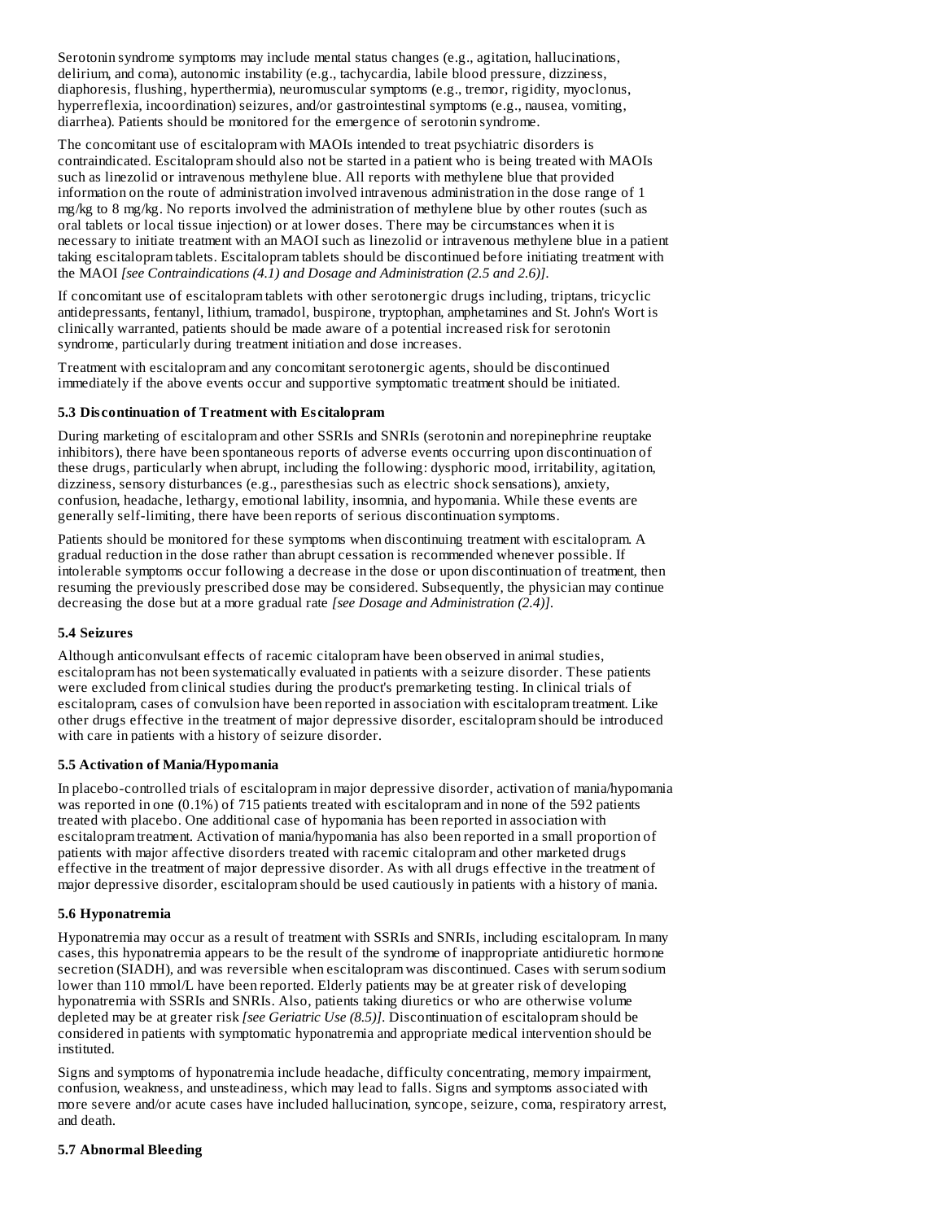Serotonin syndrome symptoms may include mental status changes (e.g., agitation, hallucinations, delirium, and coma), autonomic instability (e.g., tachycardia, labile blood pressure, dizziness, diaphoresis, flushing, hyperthermia), neuromuscular symptoms (e.g., tremor, rigidity, myoclonus, hyperreflexia, incoordination) seizures, and/or gastrointestinal symptoms (e.g., nausea, vomiting, diarrhea). Patients should be monitored for the emergence of serotonin syndrome.

The concomitant use of escitalopram with MAOIs intended to treat psychiatric disorders is contraindicated. Escitalopram should also not be started in a patient who is being treated with MAOIs such as linezolid or intravenous methylene blue. All reports with methylene blue that provided information on the route of administration involved intravenous administration in the dose range of 1 mg/kg to 8 mg/kg. No reports involved the administration of methylene blue by other routes (such as oral tablets or local tissue injection) or at lower doses. There may be circumstances when it is necessary to initiate treatment with an MAOI such as linezolid or intravenous methylene blue in a patient taking escitalopram tablets. Escitalopram tablets should be discontinued before initiating treatment with the MAOI *[see Contraindications (4.1) and Dosage and Administration (2.5 and 2.6)]*.

If concomitant use of escitalopram tablets with other serotonergic drugs including, triptans, tricyclic antidepressants, fentanyl, lithium, tramadol, buspirone, tryptophan, amphetamines and St. John's Wort is clinically warranted, patients should be made aware of a potential increased risk for serotonin syndrome, particularly during treatment initiation and dose increases.

Treatment with escitalopram and any concomitant serotonergic agents, should be discontinued immediately if the above events occur and supportive symptomatic treatment should be initiated.

#### **5.3 Dis continuation of Treatment with Es citalopram**

During marketing of escitalopram and other SSRIs and SNRIs (serotonin and norepinephrine reuptake inhibitors), there have been spontaneous reports of adverse events occurring upon discontinuation of these drugs, particularly when abrupt, including the following: dysphoric mood, irritability, agitation, dizziness, sensory disturbances (e.g., paresthesias such as electric shock sensations), anxiety, confusion, headache, lethargy, emotional lability, insomnia, and hypomania. While these events are generally self-limiting, there have been reports of serious discontinuation symptoms.

Patients should be monitored for these symptoms when discontinuing treatment with escitalopram. A gradual reduction in the dose rather than abrupt cessation is recommended whenever possible. If intolerable symptoms occur following a decrease in the dose or upon discontinuation of treatment, then resuming the previously prescribed dose may be considered. Subsequently, the physician may continue decreasing the dose but at a more gradual rate *[see Dosage and Administration (2.4)]*.

#### **5.4 Seizures**

Although anticonvulsant effects of racemic citalopram have been observed in animal studies, escitalopram has not been systematically evaluated in patients with a seizure disorder. These patients were excluded from clinical studies during the product's premarketing testing. In clinical trials of escitalopram, cases of convulsion have been reported in association with escitalopram treatment. Like other drugs effective in the treatment of major depressive disorder, escitalopram should be introduced with care in patients with a history of seizure disorder.

#### **5.5 Activation of Mania/Hypomania**

In placebo-controlled trials of escitalopram in major depressive disorder, activation of mania/hypomania was reported in one (0.1%) of 715 patients treated with escitalopram and in none of the 592 patients treated with placebo. One additional case of hypomania has been reported in association with escitalopram treatment. Activation of mania/hypomania has also been reported in a small proportion of patients with major affective disorders treated with racemic citalopram and other marketed drugs effective in the treatment of major depressive disorder. As with all drugs effective in the treatment of major depressive disorder, escitalopram should be used cautiously in patients with a history of mania.

# **5.6 Hyponatremia**

Hyponatremia may occur as a result of treatment with SSRIs and SNRIs, including escitalopram. In many cases, this hyponatremia appears to be the result of the syndrome of inappropriate antidiuretic hormone secretion (SIADH), and was reversible when escitalopram was discontinued. Cases with serum sodium lower than 110 mmol/L have been reported. Elderly patients may be at greater risk of developing hyponatremia with SSRIs and SNRIs. Also, patients taking diuretics or who are otherwise volume depleted may be at greater risk *[see Geriatric Use (8.5)]*. Discontinuation of escitalopram should be considered in patients with symptomatic hyponatremia and appropriate medical intervention should be instituted.

Signs and symptoms of hyponatremia include headache, difficulty concentrating, memory impairment, confusion, weakness, and unsteadiness, which may lead to falls. Signs and symptoms associated with more severe and/or acute cases have included hallucination, syncope, seizure, coma, respiratory arrest, and death.

#### **5.7 Abnormal Bleeding**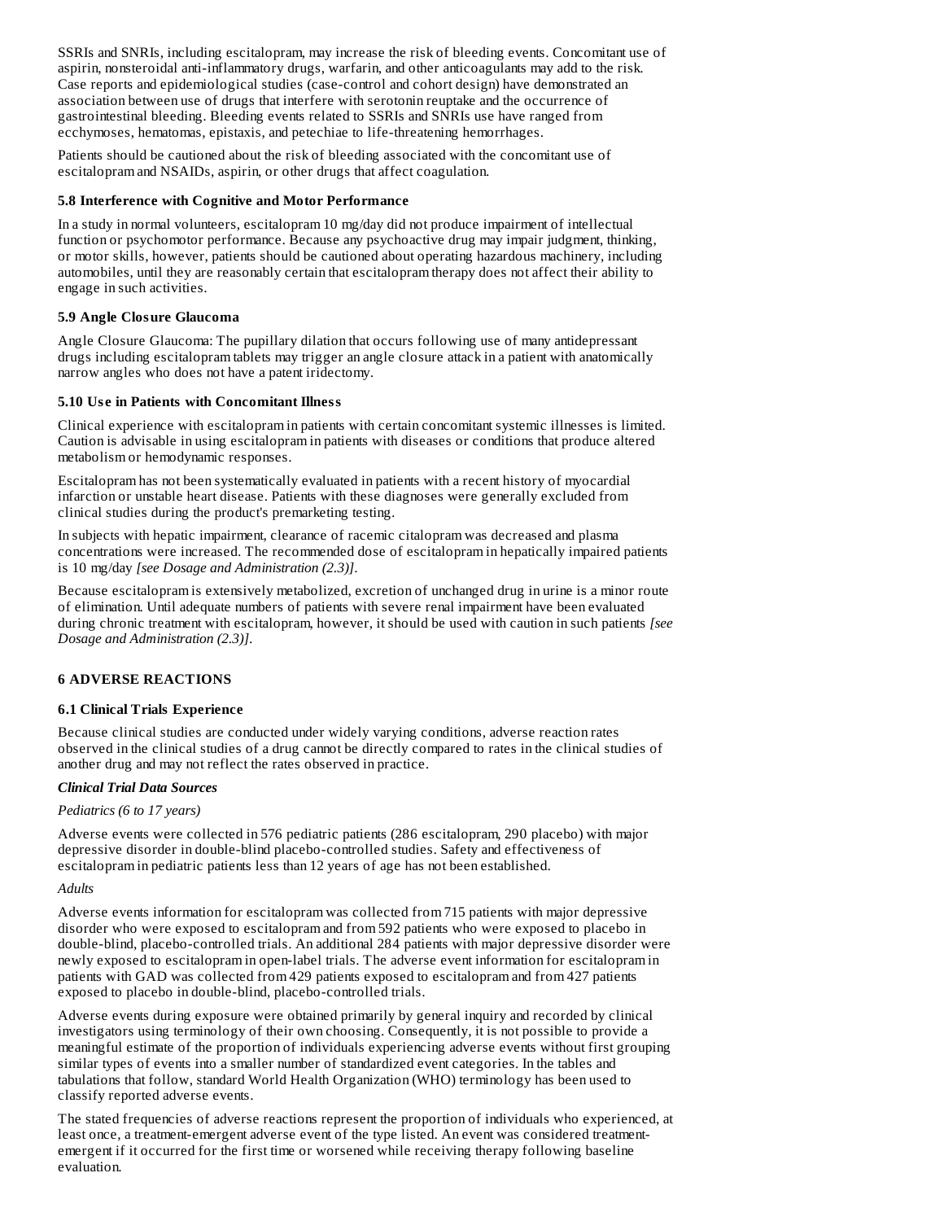SSRIs and SNRIs, including escitalopram, may increase the risk of bleeding events. Concomitant use of aspirin, nonsteroidal anti-inflammatory drugs, warfarin, and other anticoagulants may add to the risk. Case reports and epidemiological studies (case-control and cohort design) have demonstrated an association between use of drugs that interfere with serotonin reuptake and the occurrence of gastrointestinal bleeding. Bleeding events related to SSRIs and SNRIs use have ranged from ecchymoses, hematomas, epistaxis, and petechiae to life-threatening hemorrhages.

Patients should be cautioned about the risk of bleeding associated with the concomitant use of escitalopram and NSAIDs, aspirin, or other drugs that affect coagulation.

#### **5.8 Interference with Cognitive and Motor Performance**

In a study in normal volunteers, escitalopram 10 mg/day did not produce impairment of intellectual function or psychomotor performance. Because any psychoactive drug may impair judgment, thinking, or motor skills, however, patients should be cautioned about operating hazardous machinery, including automobiles, until they are reasonably certain that escitalopram therapy does not affect their ability to engage in such activities.

#### **5.9 Angle Closure Glaucoma**

Angle Closure Glaucoma: The pupillary dilation that occurs following use of many antidepressant drugs including escitalopram tablets may trigger an angle closure attack in a patient with anatomically narrow angles who does not have a patent iridectomy.

#### **5.10 Us e in Patients with Concomitant Illness**

Clinical experience with escitalopram in patients with certain concomitant systemic illnesses is limited. Caution is advisable in using escitalopram in patients with diseases or conditions that produce altered metabolism or hemodynamic responses.

Escitalopram has not been systematically evaluated in patients with a recent history of myocardial infarction or unstable heart disease. Patients with these diagnoses were generally excluded from clinical studies during the product's premarketing testing.

In subjects with hepatic impairment, clearance of racemic citalopram was decreased and plasma concentrations were increased. The recommended dose of escitalopram in hepatically impaired patients is 10 mg/day *[see Dosage and Administration (2.3)]*.

Because escitalopram is extensively metabolized, excretion of unchanged drug in urine is a minor route of elimination. Until adequate numbers of patients with severe renal impairment have been evaluated during chronic treatment with escitalopram, however, it should be used with caution in such patients *[see Dosage and Administration (2.3)]*.

#### **6 ADVERSE REACTIONS**

#### **6.1 Clinical Trials Experience**

Because clinical studies are conducted under widely varying conditions, adverse reaction rates observed in the clinical studies of a drug cannot be directly compared to rates in the clinical studies of another drug and may not reflect the rates observed in practice.

#### *Clinical Trial Data Sources*

#### *Pediatrics (6 to 17 years)*

Adverse events were collected in 576 pediatric patients (286 escitalopram, 290 placebo) with major depressive disorder in double-blind placebo-controlled studies. Safety and effectiveness of escitalopram in pediatric patients less than 12 years of age has not been established.

#### *Adults*

Adverse events information for escitalopram was collected from 715 patients with major depressive disorder who were exposed to escitalopram and from 592 patients who were exposed to placebo in double-blind, placebo-controlled trials. An additional 284 patients with major depressive disorder were newly exposed to escitalopram in open-label trials. The adverse event information for escitalopram in patients with GAD was collected from 429 patients exposed to escitalopram and from 427 patients exposed to placebo in double-blind, placebo-controlled trials.

Adverse events during exposure were obtained primarily by general inquiry and recorded by clinical investigators using terminology of their own choosing. Consequently, it is not possible to provide a meaningful estimate of the proportion of individuals experiencing adverse events without first grouping similar types of events into a smaller number of standardized event categories. In the tables and tabulations that follow, standard World Health Organization (WHO) terminology has been used to classify reported adverse events.

The stated frequencies of adverse reactions represent the proportion of individuals who experienced, at least once, a treatment-emergent adverse event of the type listed. An event was considered treatmentemergent if it occurred for the first time or worsened while receiving therapy following baseline evaluation.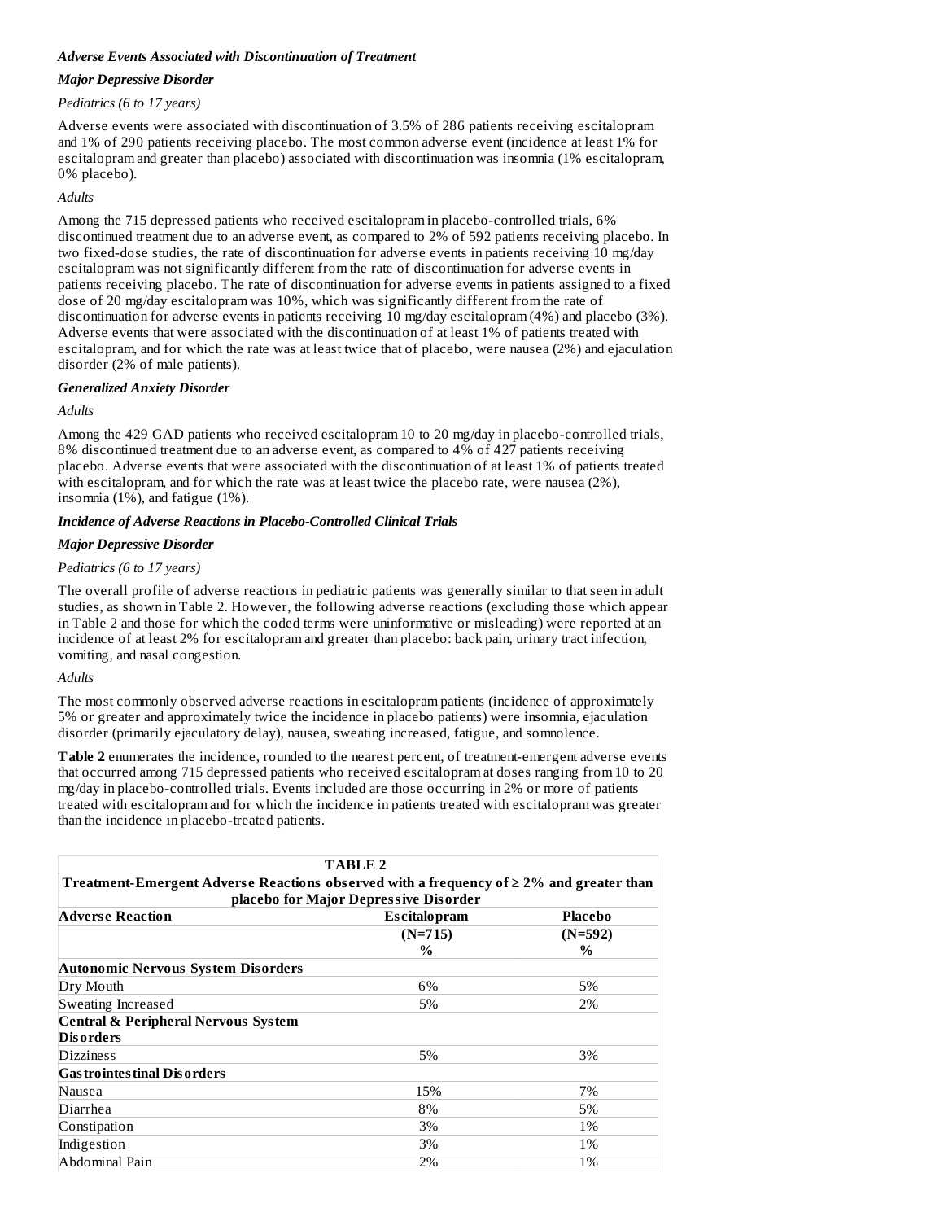#### *Adverse Events Associated with Discontinuation of Treatment*

#### *Major Depressive Disorder*

#### *Pediatrics (6 to 17 years)*

Adverse events were associated with discontinuation of 3.5% of 286 patients receiving escitalopram and 1% of 290 patients receiving placebo. The most common adverse event (incidence at least 1% for escitalopram and greater than placebo) associated with discontinuation was insomnia (1% escitalopram, 0% placebo).

#### *Adults*

Among the 715 depressed patients who received escitalopram in placebo-controlled trials, 6% discontinued treatment due to an adverse event, as compared to 2% of 592 patients receiving placebo. In two fixed-dose studies, the rate of discontinuation for adverse events in patients receiving 10 mg/day escitalopram was not significantly different from the rate of discontinuation for adverse events in patients receiving placebo. The rate of discontinuation for adverse events in patients assigned to a fixed dose of 20 mg/day escitalopram was 10%, which was significantly different from the rate of discontinuation for adverse events in patients receiving 10 mg/day escitalopram (4%) and placebo (3%). Adverse events that were associated with the discontinuation of at least 1% of patients treated with escitalopram, and for which the rate was at least twice that of placebo, were nausea (2%) and ejaculation disorder (2% of male patients).

#### *Generalized Anxiety Disorder*

#### *Adults*

Among the 429 GAD patients who received escitalopram 10 to 20 mg/day in placebo-controlled trials, 8% discontinued treatment due to an adverse event, as compared to 4% of 427 patients receiving placebo. Adverse events that were associated with the discontinuation of at least 1% of patients treated with escitalopram, and for which the rate was at least twice the placebo rate, were nausea (2%), insomnia (1%), and fatigue (1%).

#### *Incidence of Adverse Reactions in Placebo-Controlled Clinical Trials*

#### *Major Depressive Disorder*

#### *Pediatrics (6 to 17 years)*

The overall profile of adverse reactions in pediatric patients was generally similar to that seen in adult studies, as shown in Table 2. However, the following adverse reactions (excluding those which appear in Table 2 and those for which the coded terms were uninformative or misleading) were reported at an incidence of at least 2% for escitalopram and greater than placebo: back pain, urinary tract infection, vomiting, and nasal congestion.

#### *Adults*

The most commonly observed adverse reactions in escitalopram patients (incidence of approximately 5% or greater and approximately twice the incidence in placebo patients) were insomnia, ejaculation disorder (primarily ejaculatory delay), nausea, sweating increased, fatigue, and somnolence.

**Table 2** enumerates the incidence, rounded to the nearest percent, of treatment-emergent adverse events that occurred among 715 depressed patients who received escitalopram at doses ranging from 10 to 20 mg/day in placebo-controlled trials. Events included are those occurring in 2% or more of patients treated with escitalopram and for which the incidence in patients treated with escitalopram was greater than the incidence in placebo-treated patients.

|                                                                                                                                        | <b>TABLE 2</b>      |               |  |  |
|----------------------------------------------------------------------------------------------------------------------------------------|---------------------|---------------|--|--|
| Treatment-Emergent Adverse Reactions observed with a frequency of $\geq 2\%$ and greater than<br>placebo for Major Depressive Disorder |                     |               |  |  |
| Adverse Reaction                                                                                                                       | <b>Escitalopram</b> | Placebo       |  |  |
|                                                                                                                                        | $(N=715)$           | $(N=592)$     |  |  |
|                                                                                                                                        | $\frac{0}{0}$       | $\frac{0}{0}$ |  |  |
| <b>Autonomic Nervous System Disorders</b>                                                                                              |                     |               |  |  |
| Dry Mouth                                                                                                                              | 6%                  | 5%            |  |  |
| Sweating Increased                                                                                                                     | 5%                  | 2%            |  |  |
| <b>Central &amp; Peripheral Nervous System</b>                                                                                         |                     |               |  |  |
| <b>Disorders</b>                                                                                                                       |                     |               |  |  |
| <b>Dizziness</b>                                                                                                                       | 5%                  | 3%            |  |  |
| <b>Gas trointes tinal Dis orders</b>                                                                                                   |                     |               |  |  |
| Nausea                                                                                                                                 | 15%                 | 7%            |  |  |
| Diarrhea                                                                                                                               | 8%                  | 5%            |  |  |
| Constipation                                                                                                                           | 3%                  | 1%            |  |  |
| Indigestion                                                                                                                            | 3%                  | 1%            |  |  |
| Abdominal Pain                                                                                                                         | 2%                  | 1%            |  |  |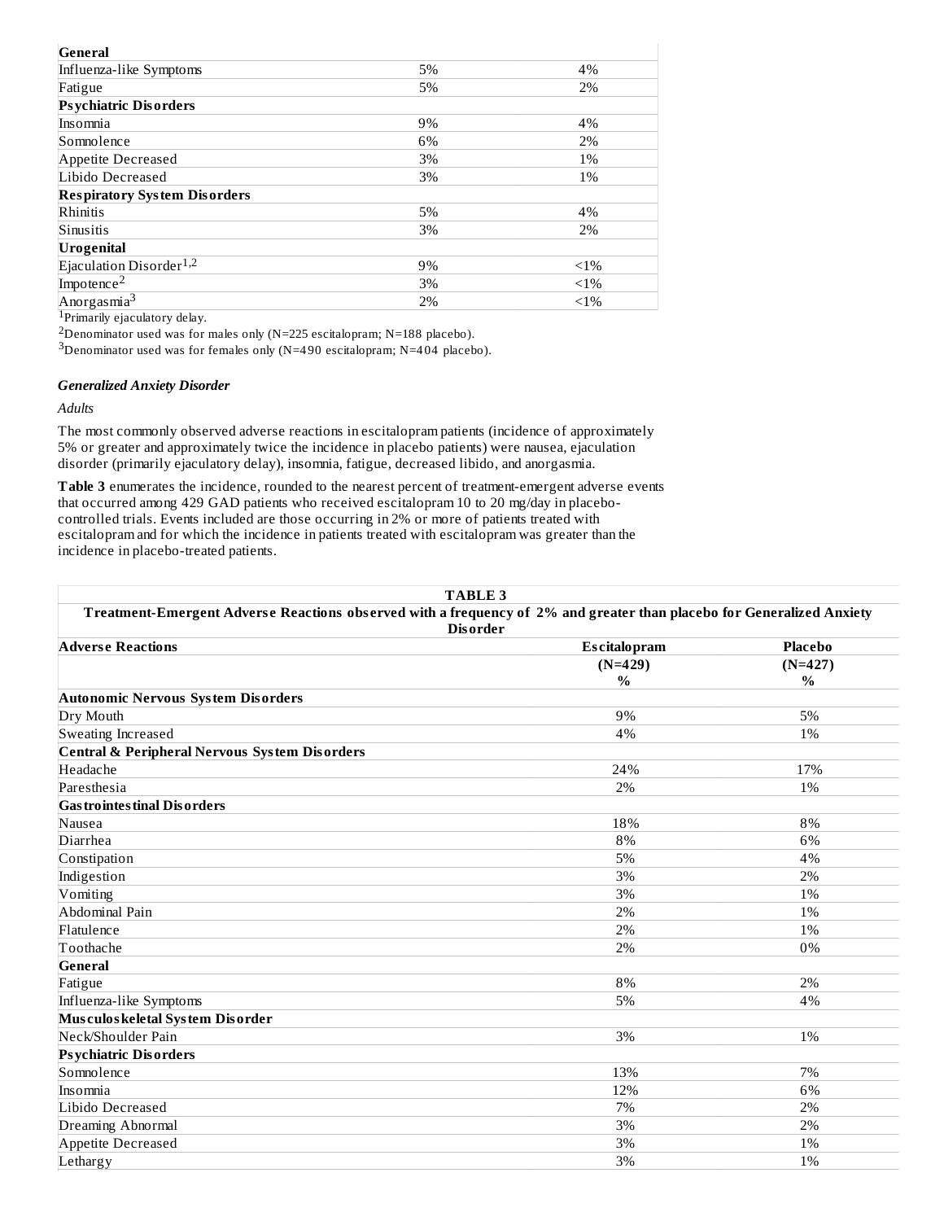| General                             |    |        |
|-------------------------------------|----|--------|
| Influenza-like Symptoms             | 5% | 4%     |
| Fatigue                             | 5% | 2%     |
| <b>Psychiatric Disorders</b>        |    |        |
| Insomnia                            | 9% | 4%     |
| Somnolence                          | 6% | 2%     |
| Appetite Decreased                  | 3% | 1%     |
| Libido Decreased                    | 3% | 1%     |
| <b>Respiratory System Disorders</b> |    |        |
| Rhinitis                            | 5% | 4%     |
| Sinusitis                           | 3% | 2%     |
| <b>Urogenital</b>                   |    |        |
| Ejaculation Disorder <sup>1,2</sup> | 9% | $<1\%$ |
| Impotence <sup>2</sup>              | 3% | $<1\%$ |
| Anorgasmia <sup>3</sup>             | 2% | $<1\%$ |

<sup>1</sup>Primarily ejaculatory delay.

<sup>2</sup>Denominator used was for males only (N=225 escitalopram; N=188 placebo).

 $^3$ Denominator used was for females only (N=490 escitalopram; N=404 placebo).

#### *Generalized Anxiety Disorder*

# *Adults*

The most commonly observed adverse reactions in escitalopram patients (incidence of approximately 5% or greater and approximately twice the incidence in placebo patients) were nausea, ejaculation disorder (primarily ejaculatory delay), insomnia, fatigue, decreased libido, and anorgasmia.

**Table 3** enumerates the incidence, rounded to the nearest percent of treatment-emergent adverse events that occurred among 429 GAD patients who received escitalopram 10 to 20 mg/day in placebocontrolled trials. Events included are those occurring in 2% or more of patients treated with escitalopram and for which the incidence in patients treated with escitalopram was greater than the incidence in placebo-treated patients.

|                                                                                                                                          | <b>TABLE 3</b>      |                |  |  |
|------------------------------------------------------------------------------------------------------------------------------------------|---------------------|----------------|--|--|
| Treatment-Emergent Adverse Reactions observed with a frequency of 2% and greater than placebo for Generalized Anxiety<br><b>Disorder</b> |                     |                |  |  |
| <b>Adverse Reactions</b>                                                                                                                 | <b>Escitalopram</b> | <b>Placebo</b> |  |  |
|                                                                                                                                          | $(N=429)$           | $(N=427)$      |  |  |
|                                                                                                                                          | $\frac{0}{0}$       | $\frac{0}{0}$  |  |  |
| <b>Autonomic Nervous System Disorders</b>                                                                                                |                     |                |  |  |
| Dry Mouth                                                                                                                                | 9%                  | 5%             |  |  |
| Sweating Increased                                                                                                                       | 4%                  | 1%             |  |  |
| <b>Central &amp; Peripheral Nervous System Disorders</b>                                                                                 |                     |                |  |  |
| Headache                                                                                                                                 | 24%                 | 17%            |  |  |
| Paresthesia                                                                                                                              | 2%                  | 1%             |  |  |
| <b>Gas trointes tinal Disorders</b>                                                                                                      |                     |                |  |  |
| Nausea                                                                                                                                   | 18%                 | 8%             |  |  |
| Diarrhea                                                                                                                                 | 8%                  | 6%             |  |  |
| Constipation                                                                                                                             | 5%                  | 4%             |  |  |
| Indigestion                                                                                                                              | 3%                  | 2%             |  |  |
| Vomiting                                                                                                                                 | 3%                  | 1%             |  |  |
| Abdominal Pain                                                                                                                           | 2%                  | 1%             |  |  |
| Flatulence                                                                                                                               | 2%                  | 1%             |  |  |
| Toothache                                                                                                                                | 2%                  | 0%             |  |  |
| General                                                                                                                                  |                     |                |  |  |
| Fatigue                                                                                                                                  | 8%                  | 2%             |  |  |
| Influenza-like Symptoms                                                                                                                  | 5%                  | 4%             |  |  |
| Musculos keletal System Disorder                                                                                                         |                     |                |  |  |
| Neck/Shoulder Pain                                                                                                                       | 3%                  | 1%             |  |  |
| <b>Psychiatric Disorders</b>                                                                                                             |                     |                |  |  |
| Somnolence                                                                                                                               | 13%                 | 7%             |  |  |
| Insomnia                                                                                                                                 | 12%                 | 6%             |  |  |
| Libido Decreased                                                                                                                         | 7%                  | 2%             |  |  |
| Dreaming Abnormal                                                                                                                        | 3%                  | 2%             |  |  |
| Appetite Decreased                                                                                                                       | 3%                  | 1%             |  |  |
| Lethargy                                                                                                                                 | 3%                  | 1%             |  |  |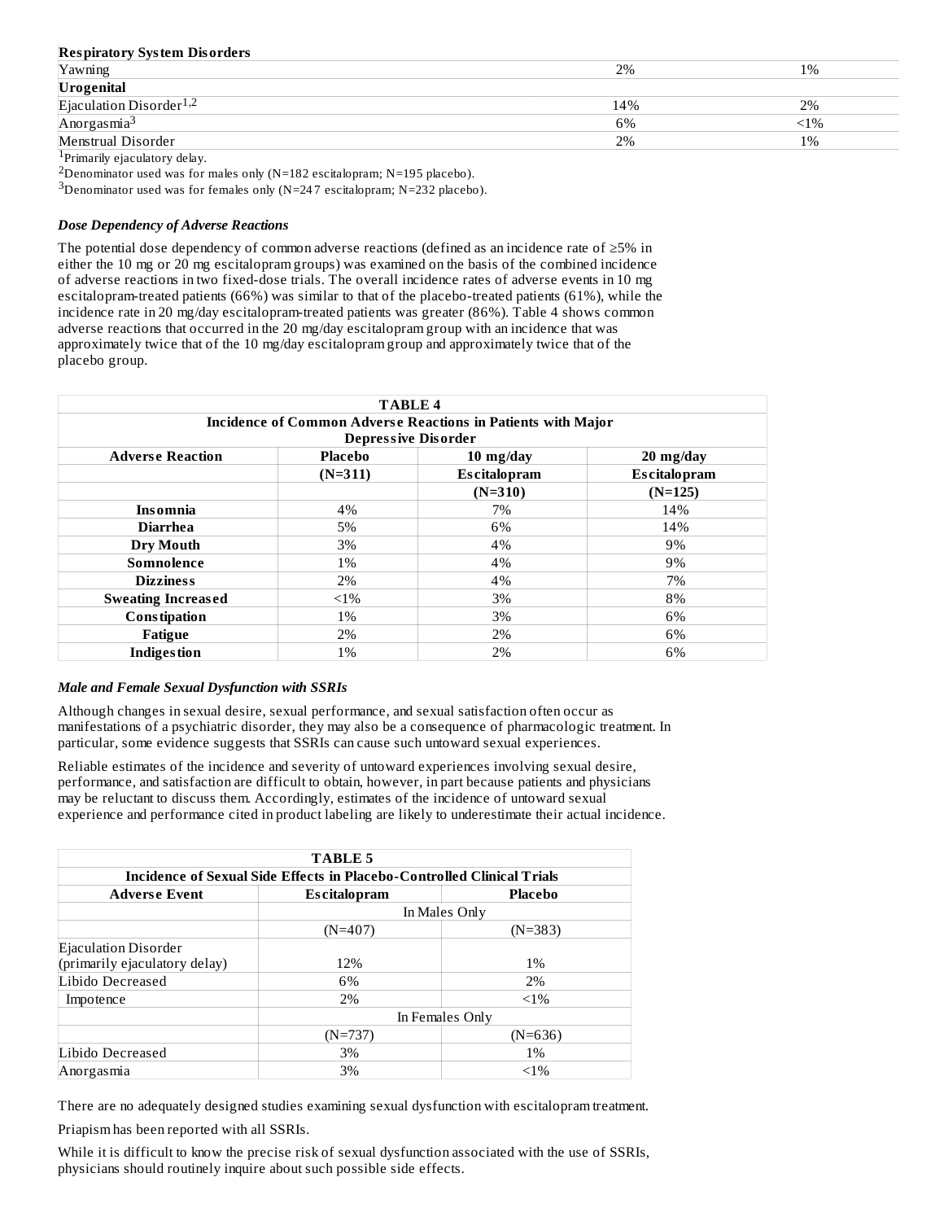| <b>Respiratory System Disorders</b> |     |         |
|-------------------------------------|-----|---------|
| Yawning                             | 2%  | 1%      |
| <b>Urogenital</b>                   |     |         |
| Ejaculation Disorder <sup>1,2</sup> | 14% | 2%      |
| Anorgasmia <sup>3</sup>             | 6%  | $< 1\%$ |
| Menstrual Disorder                  | 2%  | 1%      |
|                                     |     |         |

<sup>1</sup>Primarily ejaculatory delay.

<sup>2</sup>Denominator used was for males only (N=182 escitalopram; N=195 placebo).

 $\rm ^3$ Denominator used was for females only (N=247 escitalopram; N=232 placebo).

#### *Dose Dependency of Adverse Reactions*

The potential dose dependency of common adverse reactions (defined as an incidence rate of ≥5% in either the 10 mg or 20 mg escitalopram groups) was examined on the basis of the combined incidence of adverse reactions in two fixed-dose trials. The overall incidence rates of adverse events in 10 mg escitalopram-treated patients (66%) was similar to that of the placebo-treated patients (61%), while the incidence rate in 20 mg/day escitalopram-treated patients was greater (86%). Table 4 shows common adverse reactions that occurred in the 20 mg/day escitalopram group with an incidence that was approximately twice that of the 10 mg/day escitalopram group and approximately twice that of the placebo group.

|                                                                     | <b>TABLE 4</b> |                     |                     |  |  |
|---------------------------------------------------------------------|----------------|---------------------|---------------------|--|--|
| <b>Incidence of Common Adverse Reactions in Patients with Major</b> |                |                     |                     |  |  |
| <b>Depressive Disorder</b>                                          |                |                     |                     |  |  |
| <b>Adverse Reaction</b>                                             | <b>Placebo</b> | $10 \; mg/day$      | $20$ mg/day         |  |  |
|                                                                     | $(N=311)$      | <b>Escitalopram</b> | <b>Escitalopram</b> |  |  |
|                                                                     |                | $(N=310)$           | $(N=125)$           |  |  |
| <b>Insomnia</b>                                                     | 4%             | 7%                  | 14%                 |  |  |
| Diarrhea                                                            | 5%             | 6%                  | 14%                 |  |  |
| Dry Mouth                                                           | 3%             | 4%                  | 9%                  |  |  |
| Somnolence                                                          | 1%             | 4%                  | 9%                  |  |  |
| <b>Dizziness</b>                                                    | 2%             | 4%                  | 7%                  |  |  |
| <b>Sweating Increased</b>                                           | $<1\%$         | 3%                  | 8%                  |  |  |
| <b>Constipation</b>                                                 | 1%             | 3%                  | 6%                  |  |  |
| Fatigue                                                             | 2%             | 2%                  | 6%                  |  |  |
| <b>Indigestion</b>                                                  | 1%             | 2%                  | 6%                  |  |  |

#### *Male and Female Sexual Dysfunction with SSRIs*

Although changes in sexual desire, sexual performance, and sexual satisfaction often occur as manifestations of a psychiatric disorder, they may also be a consequence of pharmacologic treatment. In particular, some evidence suggests that SSRIs can cause such untoward sexual experiences.

Reliable estimates of the incidence and severity of untoward experiences involving sexual desire, performance, and satisfaction are difficult to obtain, however, in part because patients and physicians may be reluctant to discuss them. Accordingly, estimates of the incidence of untoward sexual experience and performance cited in product labeling are likely to underestimate their actual incidence.

| <b>TABLE 5</b>                                                                |                     |                 |  |  |
|-------------------------------------------------------------------------------|---------------------|-----------------|--|--|
| <b>Incidence of Sexual Side Effects in Placebo-Controlled Clinical Trials</b> |                     |                 |  |  |
| <b>Adverse Event</b>                                                          | <b>Escitalopram</b> | Placebo         |  |  |
|                                                                               |                     | In Males Only   |  |  |
|                                                                               | $(N=407)$           | $(N=383)$       |  |  |
| Ejaculation Disorder                                                          |                     |                 |  |  |
| (primarily ejaculatory delay)                                                 | 12%                 | $1\%$           |  |  |
| Libido Decreased                                                              | 6%                  | 2%              |  |  |
| Impotence                                                                     | 2%                  | $<1\%$          |  |  |
|                                                                               |                     | In Females Only |  |  |
|                                                                               | $(N=737)$           | $(N=636)$       |  |  |
| Libido Decreased                                                              | 3%                  | $1\%$           |  |  |
| Anorgasmia                                                                    | 3%                  | $< 1\%$         |  |  |

There are no adequately designed studies examining sexual dysfunction with escitalopram treatment. Priapism has been reported with all SSRIs.

While it is difficult to know the precise risk of sexual dysfunction associated with the use of SSRIs, physicians should routinely inquire about such possible side effects.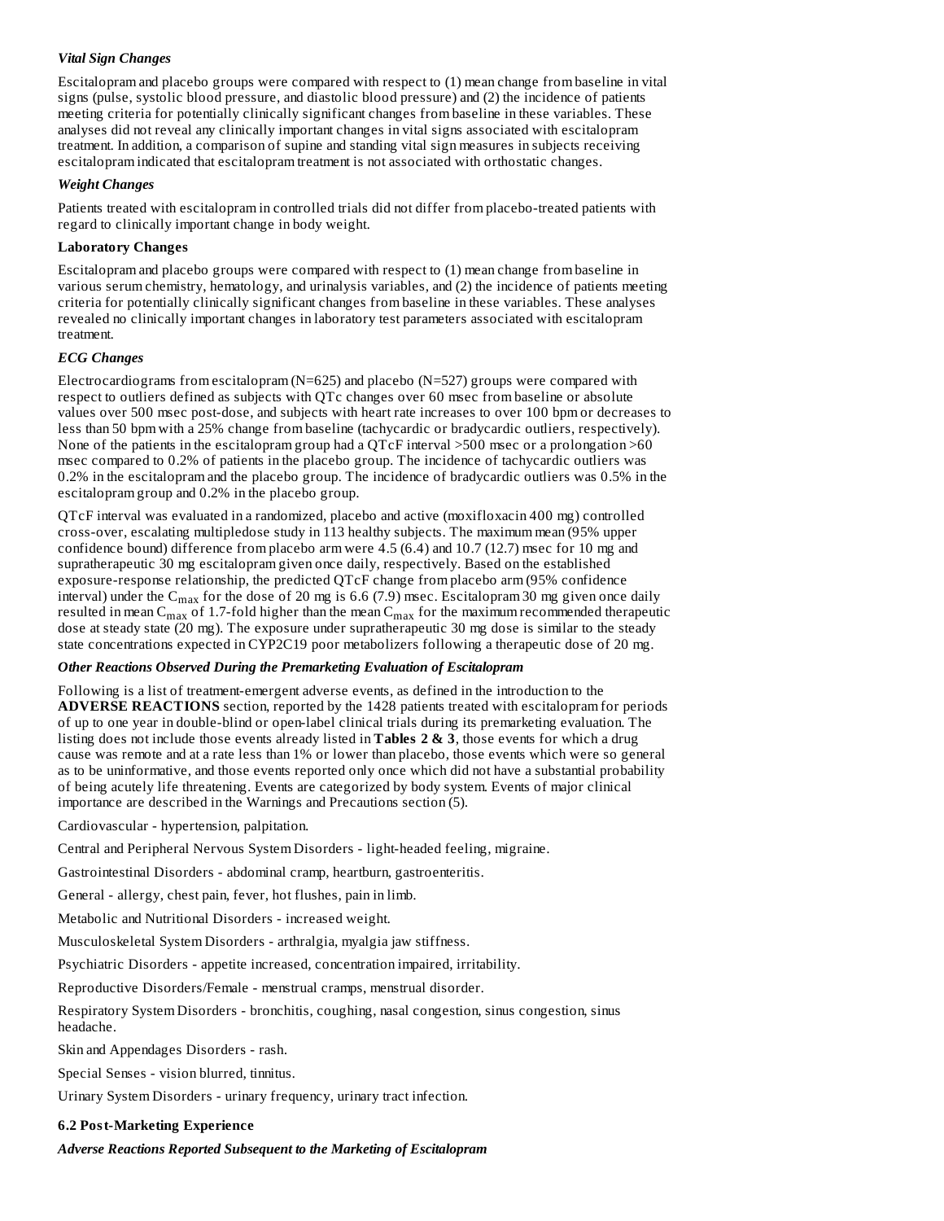#### *Vital Sign Changes*

Escitalopram and placebo groups were compared with respect to (1) mean change from baseline in vital signs (pulse, systolic blood pressure, and diastolic blood pressure) and (2) the incidence of patients meeting criteria for potentially clinically significant changes from baseline in these variables. These analyses did not reveal any clinically important changes in vital signs associated with escitalopram treatment. In addition, a comparison of supine and standing vital sign measures in subjects receiving escitalopram indicated that escitalopram treatment is not associated with orthostatic changes.

#### *Weight Changes*

Patients treated with escitalopram in controlled trials did not differ from placebo-treated patients with regard to clinically important change in body weight.

#### **Laboratory Changes**

Escitalopram and placebo groups were compared with respect to (1) mean change from baseline in various serum chemistry, hematology, and urinalysis variables, and (2) the incidence of patients meeting criteria for potentially clinically significant changes from baseline in these variables. These analyses revealed no clinically important changes in laboratory test parameters associated with escitalopram treatment.

#### *ECG Changes*

Electrocardiograms from escitalopram (N=625) and placebo (N=527) groups were compared with respect to outliers defined as subjects with QTc changes over 60 msec from baseline or absolute values over 500 msec post-dose, and subjects with heart rate increases to over 100 bpm or decreases to less than 50 bpm with a 25% change from baseline (tachycardic or bradycardic outliers, respectively). None of the patients in the escitalopram group had a QTcF interval >500 msec or a prolongation >60 msec compared to 0.2% of patients in the placebo group. The incidence of tachycardic outliers was 0.2% in the escitalopram and the placebo group. The incidence of bradycardic outliers was 0.5% in the escitalopram group and 0.2% in the placebo group.

QTcF interval was evaluated in a randomized, placebo and active (moxifloxacin 400 mg) controlled cross-over, escalating multipledose study in 113 healthy subjects. The maximum mean (95% upper confidence bound) difference from placebo arm were 4.5 (6.4) and 10.7 (12.7) msec for 10 mg and supratherapeutic 30 mg escitalopram given once daily, respectively. Based on the established exposure-response relationship, the predicted QTcF change from placebo arm (95% confidence interval) under the C $_{\rm max}$  for the dose of 20 mg is 6.6 (7.9) msec. Escitalopram 30 mg given once daily resulted in mean C<sub>max</sub> of 1.7-fold higher than the mean C<sub>max</sub> for the maximum recommended therapeutic dose at steady state (20 mg). The exposure under supratherapeutic 30 mg dose is similar to the steady state concentrations expected in CYP2C19 poor metabolizers following a therapeutic dose of 20 mg.

#### *Other Reactions Observed During the Premarketing Evaluation of Escitalopram*

Following is a list of treatment-emergent adverse events, as defined in the introduction to the **ADVERSE REACTIONS** section, reported by the 1428 patients treated with escitalopram for periods of up to one year in double-blind or open-label clinical trials during its premarketing evaluation. The listing does not include those events already listed in **Tables 2 & 3**, those events for which a drug cause was remote and at a rate less than 1% or lower than placebo, those events which were so general as to be uninformative, and those events reported only once which did not have a substantial probability of being acutely life threatening. Events are categorized by body system. Events of major clinical importance are described in the Warnings and Precautions section (5).

Cardiovascular - hypertension, palpitation.

Central and Peripheral Nervous System Disorders - light-headed feeling, migraine.

Gastrointestinal Disorders - abdominal cramp, heartburn, gastroenteritis.

General - allergy, chest pain, fever, hot flushes, pain in limb.

Metabolic and Nutritional Disorders - increased weight.

Musculoskeletal System Disorders - arthralgia, myalgia jaw stiffness.

Psychiatric Disorders - appetite increased, concentration impaired, irritability.

Reproductive Disorders/Female - menstrual cramps, menstrual disorder.

Respiratory System Disorders - bronchitis, coughing, nasal congestion, sinus congestion, sinus headache.

Skin and Appendages Disorders - rash.

Special Senses - vision blurred, tinnitus.

Urinary System Disorders - urinary frequency, urinary tract infection.

**6.2 Post-Marketing Experience**

*Adverse Reactions Reported Subsequent to the Marketing of Escitalopram*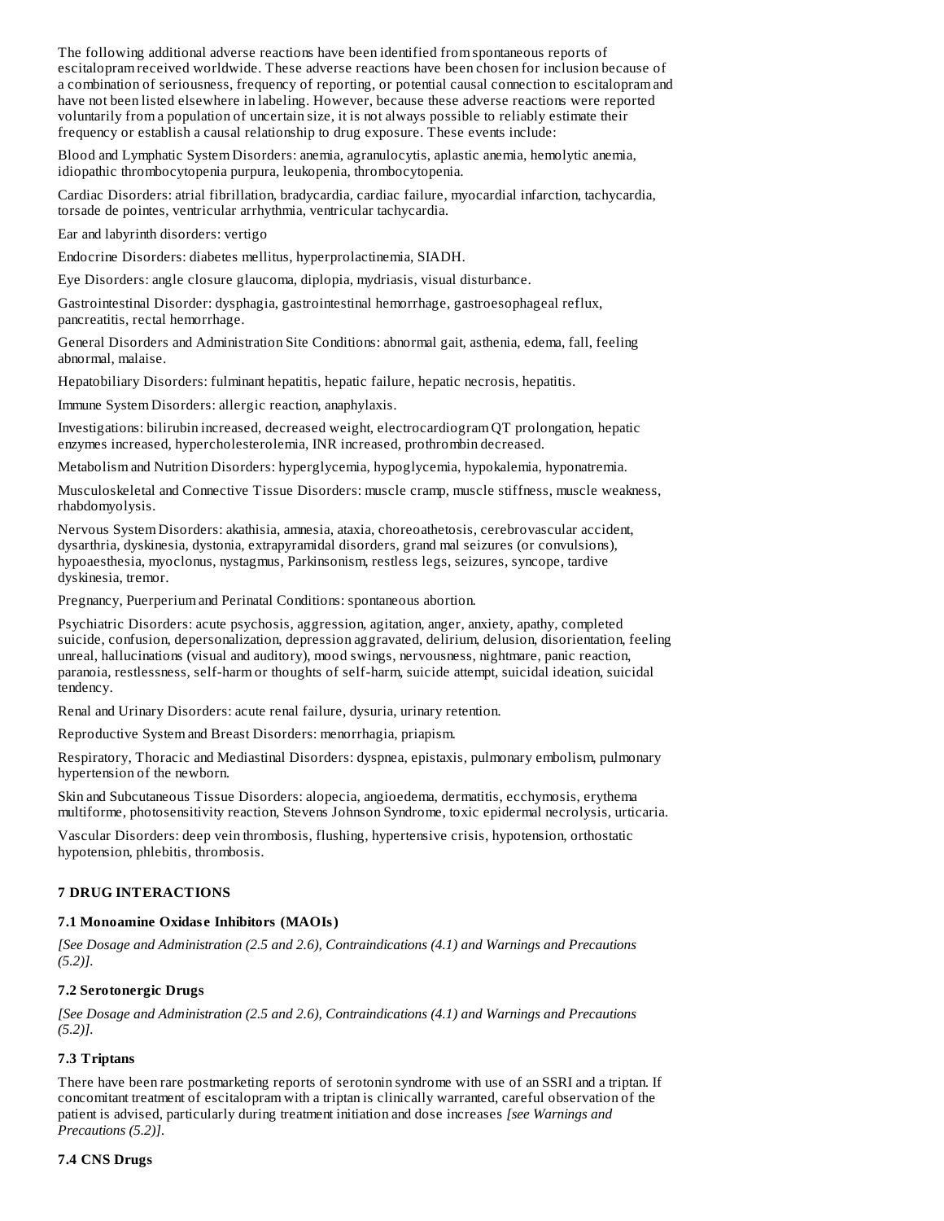The following additional adverse reactions have been identified from spontaneous reports of escitalopram received worldwide. These adverse reactions have been chosen for inclusion because of a combination of seriousness, frequency of reporting, or potential causal connection to escitalopram and have not been listed elsewhere in labeling. However, because these adverse reactions were reported voluntarily from a population of uncertain size, it is not always possible to reliably estimate their frequency or establish a causal relationship to drug exposure. These events include:

Blood and Lymphatic System Disorders: anemia, agranulocytis, aplastic anemia, hemolytic anemia, idiopathic thrombocytopenia purpura, leukopenia, thrombocytopenia.

Cardiac Disorders: atrial fibrillation, bradycardia, cardiac failure, myocardial infarction, tachycardia, torsade de pointes, ventricular arrhythmia, ventricular tachycardia.

Ear and labyrinth disorders: vertigo

Endocrine Disorders: diabetes mellitus, hyperprolactinemia, SIADH.

Eye Disorders: angle closure glaucoma, diplopia, mydriasis, visual disturbance.

Gastrointestinal Disorder: dysphagia, gastrointestinal hemorrhage, gastroesophageal reflux, pancreatitis, rectal hemorrhage.

General Disorders and Administration Site Conditions: abnormal gait, asthenia, edema, fall, feeling abnormal, malaise.

Hepatobiliary Disorders: fulminant hepatitis, hepatic failure, hepatic necrosis, hepatitis.

Immune System Disorders: allergic reaction, anaphylaxis.

Investigations: bilirubin increased, decreased weight, electrocardiogram QT prolongation, hepatic enzymes increased, hypercholesterolemia, INR increased, prothrombin decreased.

Metabolism and Nutrition Disorders: hyperglycemia, hypoglycemia, hypokalemia, hyponatremia.

Musculoskeletal and Connective Tissue Disorders: muscle cramp, muscle stiffness, muscle weakness, rhabdomyolysis.

Nervous System Disorders: akathisia, amnesia, ataxia, choreoathetosis, cerebrovascular accident, dysarthria, dyskinesia, dystonia, extrapyramidal disorders, grand mal seizures (or convulsions), hypoaesthesia, myoclonus, nystagmus, Parkinsonism, restless legs, seizures, syncope, tardive dyskinesia, tremor.

Pregnancy, Puerperium and Perinatal Conditions: spontaneous abortion.

Psychiatric Disorders: acute psychosis, aggression, agitation, anger, anxiety, apathy, completed suicide, confusion, depersonalization, depression aggravated, delirium, delusion, disorientation, feeling unreal, hallucinations (visual and auditory), mood swings, nervousness, nightmare, panic reaction, paranoia, restlessness, self-harm or thoughts of self-harm, suicide attempt, suicidal ideation, suicidal tendency.

Renal and Urinary Disorders: acute renal failure, dysuria, urinary retention.

Reproductive System and Breast Disorders: menorrhagia, priapism.

Respiratory, Thoracic and Mediastinal Disorders: dyspnea, epistaxis, pulmonary embolism, pulmonary hypertension of the newborn.

Skin and Subcutaneous Tissue Disorders: alopecia, angioedema, dermatitis, ecchymosis, erythema multiforme, photosensitivity reaction, Stevens Johnson Syndrome, toxic epidermal necrolysis, urticaria.

Vascular Disorders: deep vein thrombosis, flushing, hypertensive crisis, hypotension, orthostatic hypotension, phlebitis, thrombosis.

#### **7 DRUG INTERACTIONS**

#### **7.1 Monoamine Oxidas e Inhibitors (MAOIs)**

*[See Dosage and Administration (2.5 and 2.6), Contraindications (4.1) and Warnings and Precautions (5.2)].*

#### **7.2 Serotonergic Drugs**

*[See Dosage and Administration (2.5 and 2.6), Contraindications (4.1) and Warnings and Precautions (5.2)].*

# **7.3 Triptans**

There have been rare postmarketing reports of serotonin syndrome with use of an SSRI and a triptan. If concomitant treatment of escitalopram with a triptan is clinically warranted, careful observation of the patient is advised, particularly during treatment initiation and dose increases *[see Warnings and Precautions (5.2)]*.

#### **7.4 CNS Drugs**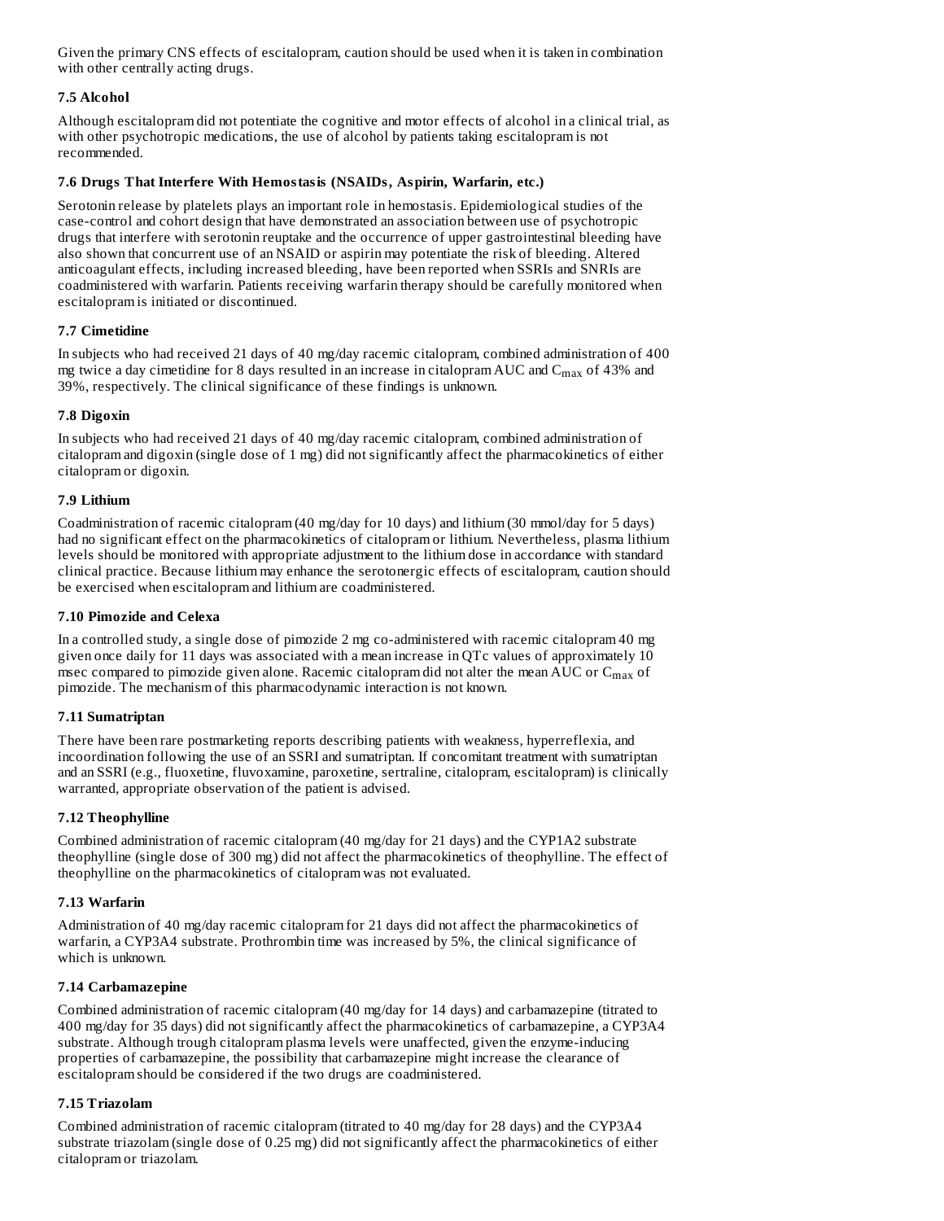Given the primary CNS effects of escitalopram, caution should be used when it is taken in combination with other centrally acting drugs.

# **7.5 Alcohol**

Although escitalopram did not potentiate the cognitive and motor effects of alcohol in a clinical trial, as with other psychotropic medications, the use of alcohol by patients taking escitalopram is not recommended.

#### **7.6 Drugs That Interfere With Hemostasis (NSAIDs, Aspirin, Warfarin, etc.)**

Serotonin release by platelets plays an important role in hemostasis. Epidemiological studies of the case-control and cohort design that have demonstrated an association between use of psychotropic drugs that interfere with serotonin reuptake and the occurrence of upper gastrointestinal bleeding have also shown that concurrent use of an NSAID or aspirin may potentiate the risk of bleeding. Altered anticoagulant effects, including increased bleeding, have been reported when SSRIs and SNRIs are coadministered with warfarin. Patients receiving warfarin therapy should be carefully monitored when escitalopram is initiated or discontinued.

#### **7.7 Cimetidine**

In subjects who had received 21 days of 40 mg/day racemic citalopram, combined administration of 400 mg twice a day cimetidine for 8 days resulted in an increase in citalopram AUC and  $\rm C_{max}$  of 43% and 39%, respectively. The clinical significance of these findings is unknown.

#### **7.8 Digoxin**

In subjects who had received 21 days of 40 mg/day racemic citalopram, combined administration of citalopram and digoxin (single dose of 1 mg) did not significantly affect the pharmacokinetics of either citalopram or digoxin.

#### **7.9 Lithium**

Coadministration of racemic citalopram (40 mg/day for 10 days) and lithium (30 mmol/day for 5 days) had no significant effect on the pharmacokinetics of citalopram or lithium. Nevertheless, plasma lithium levels should be monitored with appropriate adjustment to the lithium dose in accordance with standard clinical practice. Because lithium may enhance the serotonergic effects of escitalopram, caution should be exercised when escitalopram and lithium are coadministered.

#### **7.10 Pimozide and Celexa**

In a controlled study, a single dose of pimozide 2 mg co-administered with racemic citalopram 40 mg given once daily for 11 days was associated with a mean increase in QTc values of approximately 10 msec compared to pimozide given alone. Racemic citalopram did not alter the mean AUC or  $\rm C_{max}$  of pimozide. The mechanism of this pharmacodynamic interaction is not known.

#### **7.11 Sumatriptan**

There have been rare postmarketing reports describing patients with weakness, hyperreflexia, and incoordination following the use of an SSRI and sumatriptan. If concomitant treatment with sumatriptan and an SSRI (e.g., fluoxetine, fluvoxamine, paroxetine, sertraline, citalopram, escitalopram) is clinically warranted, appropriate observation of the patient is advised.

# **7.12 Theophylline**

Combined administration of racemic citalopram (40 mg/day for 21 days) and the CYP1A2 substrate theophylline (single dose of 300 mg) did not affect the pharmacokinetics of theophylline. The effect of theophylline on the pharmacokinetics of citalopram was not evaluated.

# **7.13 Warfarin**

Administration of 40 mg/day racemic citalopram for 21 days did not affect the pharmacokinetics of warfarin, a CYP3A4 substrate. Prothrombin time was increased by 5%, the clinical significance of which is unknown.

#### **7.14 Carbamazepine**

Combined administration of racemic citalopram (40 mg/day for 14 days) and carbamazepine (titrated to 400 mg/day for 35 days) did not significantly affect the pharmacokinetics of carbamazepine, a CYP3A4 substrate. Although trough citalopram plasma levels were unaffected, given the enzyme-inducing properties of carbamazepine, the possibility that carbamazepine might increase the clearance of escitalopram should be considered if the two drugs are coadministered.

#### **7.15 Triazolam**

Combined administration of racemic citalopram (titrated to 40 mg/day for 28 days) and the CYP3A4 substrate triazolam (single dose of 0.25 mg) did not significantly affect the pharmacokinetics of either citalopram or triazolam.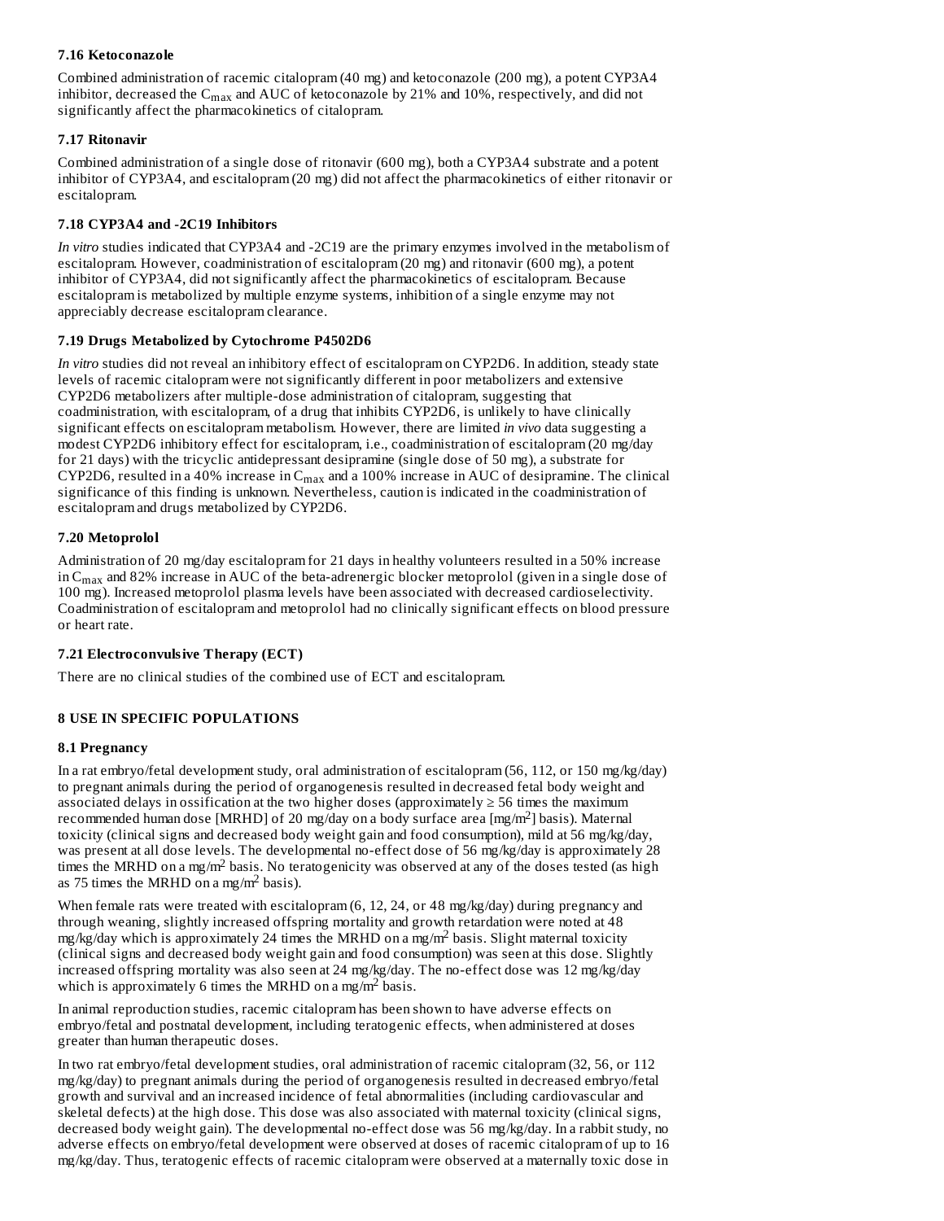#### **7.16 Ketoconazole**

Combined administration of racemic citalopram (40 mg) and ketoconazole (200 mg), a potent CYP3A4 inhibitor, decreased the  $\rm C_{max}$  and  $\rm AUC$  of ketoconazole by 21% and 10%, respectively, and did not significantly affect the pharmacokinetics of citalopram.

#### **7.17 Ritonavir**

Combined administration of a single dose of ritonavir (600 mg), both a CYP3A4 substrate and a potent inhibitor of CYP3A4, and escitalopram (20 mg) did not affect the pharmacokinetics of either ritonavir or escitalopram.

#### **7.18 CYP3A4 and -2C19 Inhibitors**

*In vitro* studies indicated that CYP3A4 and -2C19 are the primary enzymes involved in the metabolism of escitalopram. However, coadministration of escitalopram (20 mg) and ritonavir (600 mg), a potent inhibitor of CYP3A4, did not significantly affect the pharmacokinetics of escitalopram. Because escitalopram is metabolized by multiple enzyme systems, inhibition of a single enzyme may not appreciably decrease escitalopram clearance.

#### **7.19 Drugs Metabolized by Cytochrome P4502D6**

*In vitro* studies did not reveal an inhibitory effect of escitalopram on CYP2D6. In addition, steady state levels of racemic citalopram were not significantly different in poor metabolizers and extensive CYP2D6 metabolizers after multiple-dose administration of citalopram, suggesting that coadministration, with escitalopram, of a drug that inhibits CYP2D6, is unlikely to have clinically significant effects on escitalopram metabolism. However, there are limited *in vivo* data suggesting a modest CYP2D6 inhibitory effect for escitalopram, i.e., coadministration of escitalopram (20 mg/day for 21 days) with the tricyclic antidepressant desipramine (single dose of 50 mg), a substrate for CYP2D6, resulted in a 40% increase in  $\rm C_{max}$  and a 100% increase in AUC of desipramine. The clinical significance of this finding is unknown. Nevertheless, caution is indicated in the coadministration of escitalopram and drugs metabolized by CYP2D6.

# **7.20 Metoprolol**

Administration of 20 mg/day escitalopram for 21 days in healthy volunteers resulted in a 50% increase in C $_{\rm max}$  and 82% increase in AUC of the beta-adrenergic blocker metoprolol (given in a single dose of 100 mg). Increased metoprolol plasma levels have been associated with decreased cardioselectivity. Coadministration of escitalopram and metoprolol had no clinically significant effects on blood pressure or heart rate.

# **7.21 Electroconvulsive Therapy (ECT)**

There are no clinical studies of the combined use of ECT and escitalopram.

# **8 USE IN SPECIFIC POPULATIONS**

#### **8.1 Pregnancy**

In a rat embryo/fetal development study, oral administration of escitalopram (56, 112, or 150 mg/kg/day) to pregnant animals during the period of organogenesis resulted in decreased fetal body weight and associated delays in ossification at the two higher doses (approximately  $\geq$  56 times the maximum recommended human dose [MRHD] of 20 mg/day on a body surface area [mg/m²] basis). Maternal toxicity (clinical signs and decreased body weight gain and food consumption), mild at 56 mg/kg/day, was present at all dose levels. The developmental no-effect dose of 56 mg/kg/day is approximately 28 times the MRHD on a mg/m<sup>2</sup> basis. No teratogenicity was observed at any of the doses tested (as high as 75 times the MRHD on a mg/m<sup>2</sup> basis).

When female rats were treated with escitalopram (6, 12, 24, or 48 mg/kg/day) during pregnancy and through weaning, slightly increased offspring mortality and growth retardation were noted at 48 mg/kg/day which is approximately 24 times the MRHD on a mg/m<sup>2</sup> basis. Slight maternal toxicity (clinical signs and decreased body weight gain and food consumption) was seen at this dose. Slightly increased offspring mortality was also seen at 24 mg/kg/day. The no-effect dose was 12 mg/kg/day which is approximately 6 times the MRHD on a mg/m<sup>2</sup> basis.

In animal reproduction studies, racemic citalopram has been shown to have adverse effects on embryo/fetal and postnatal development, including teratogenic effects, when administered at doses greater than human therapeutic doses.

In two rat embryo/fetal development studies, oral administration of racemic citalopram (32, 56, or 112 mg/kg/day) to pregnant animals during the period of organogenesis resulted in decreased embryo/fetal growth and survival and an increased incidence of fetal abnormalities (including cardiovascular and skeletal defects) at the high dose. This dose was also associated with maternal toxicity (clinical signs, decreased body weight gain). The developmental no-effect dose was 56 mg/kg/day. In a rabbit study, no adverse effects on embryo/fetal development were observed at doses of racemic citalopram of up to 16 mg/kg/day. Thus, teratogenic effects of racemic citalopram were observed at a maternally toxic dose in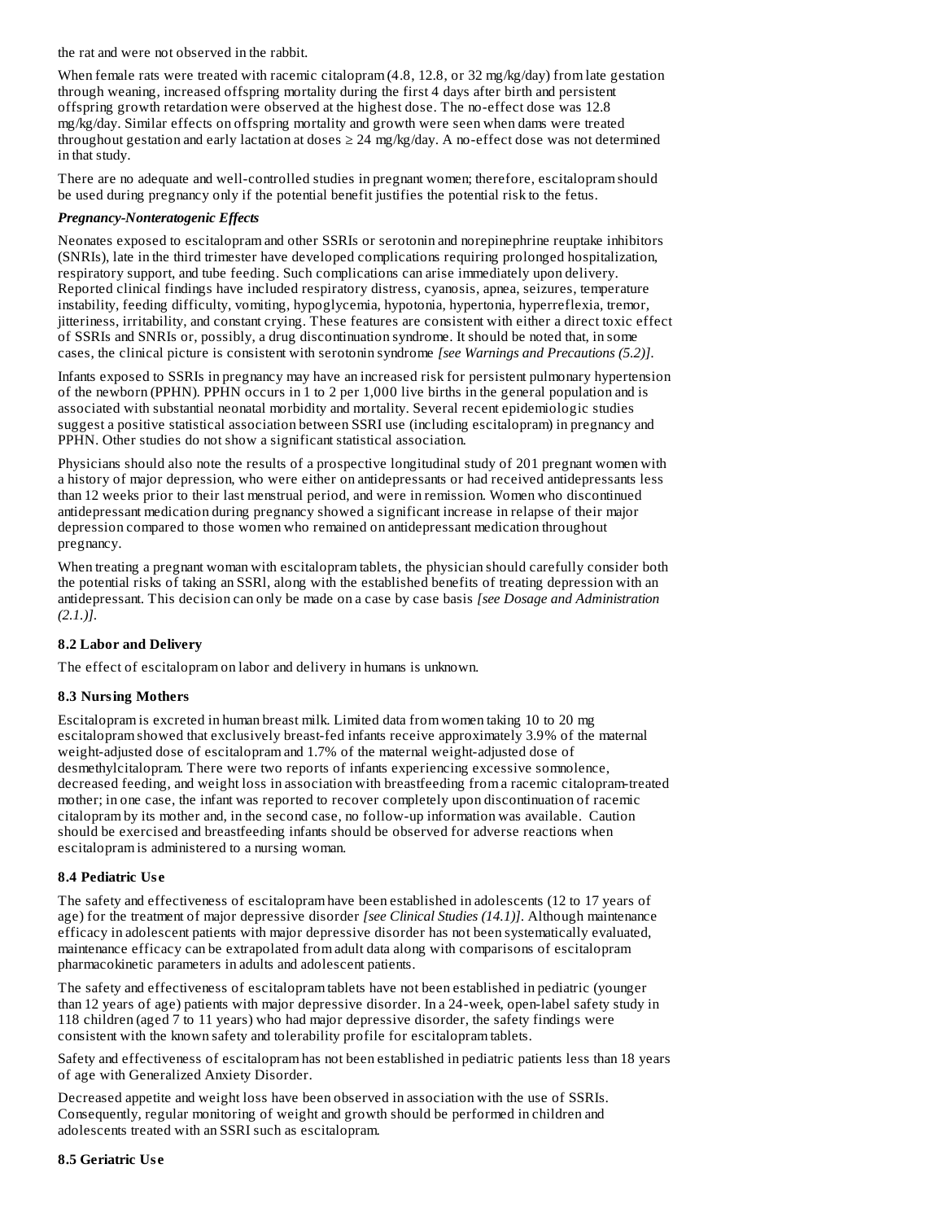the rat and were not observed in the rabbit.

When female rats were treated with racemic citalopram (4.8, 12.8, or 32 mg/kg/day) from late gestation through weaning, increased offspring mortality during the first 4 days after birth and persistent offspring growth retardation were observed at the highest dose. The no-effect dose was 12.8 mg/kg/day. Similar effects on offspring mortality and growth were seen when dams were treated throughout gestation and early lactation at doses  $\geq$  24 mg/kg/day. A no-effect dose was not determined in that study.

There are no adequate and well-controlled studies in pregnant women; therefore, escitalopram should be used during pregnancy only if the potential benefit justifies the potential risk to the fetus.

#### *Pregnancy-Nonteratogenic Effects*

Neonates exposed to escitalopram and other SSRIs or serotonin and norepinephrine reuptake inhibitors (SNRIs), late in the third trimester have developed complications requiring prolonged hospitalization, respiratory support, and tube feeding. Such complications can arise immediately upon delivery. Reported clinical findings have included respiratory distress, cyanosis, apnea, seizures, temperature instability, feeding difficulty, vomiting, hypoglycemia, hypotonia, hypertonia, hyperreflexia, tremor, jitteriness, irritability, and constant crying. These features are consistent with either a direct toxic effect of SSRIs and SNRIs or, possibly, a drug discontinuation syndrome. It should be noted that, in some cases, the clinical picture is consistent with serotonin syndrome *[see Warnings and Precautions (5.2)]*.

Infants exposed to SSRIs in pregnancy may have an increased risk for persistent pulmonary hypertension of the newborn (PPHN). PPHN occurs in 1 to 2 per 1,000 live births in the general population and is associated with substantial neonatal morbidity and mortality. Several recent epidemiologic studies suggest a positive statistical association between SSRI use (including escitalopram) in pregnancy and PPHN. Other studies do not show a significant statistical association.

Physicians should also note the results of a prospective longitudinal study of 201 pregnant women with a history of major depression, who were either on antidepressants or had received antidepressants less than 12 weeks prior to their last menstrual period, and were in remission. Women who discontinued antidepressant medication during pregnancy showed a significant increase in relapse of their major depression compared to those women who remained on antidepressant medication throughout pregnancy.

When treating a pregnant woman with escitalopram tablets, the physician should carefully consider both the potential risks of taking an SSRl, along with the established benefits of treating depression with an antidepressant. This decision can only be made on a case by case basis *[see Dosage and Administration (2.1.)]*.

#### **8.2 Labor and Delivery**

The effect of escitalopram on labor and delivery in humans is unknown.

#### **8.3 Nursing Mothers**

Escitalopram is excreted in human breast milk. Limited data from women taking 10 to 20 mg escitalopram showed that exclusively breast-fed infants receive approximately 3.9% of the maternal weight-adjusted dose of escitalopram and 1.7% of the maternal weight-adjusted dose of desmethylcitalopram. There were two reports of infants experiencing excessive somnolence, decreased feeding, and weight loss in association with breastfeeding from a racemic citalopram-treated mother; in one case, the infant was reported to recover completely upon discontinuation of racemic citalopram by its mother and, in the second case, no follow-up information was available. Caution should be exercised and breastfeeding infants should be observed for adverse reactions when escitalopram is administered to a nursing woman.

#### **8.4 Pediatric Us e**

The safety and effectiveness of escitalopram have been established in adolescents (12 to 17 years of age) for the treatment of major depressive disorder *[see Clinical Studies (14.1)]*. Although maintenance efficacy in adolescent patients with major depressive disorder has not been systematically evaluated, maintenance efficacy can be extrapolated from adult data along with comparisons of escitalopram pharmacokinetic parameters in adults and adolescent patients.

The safety and effectiveness of escitalopram tablets have not been established in pediatric (younger than 12 years of age) patients with major depressive disorder. In a 24-week, open-label safety study in 118 children (aged 7 to 11 years) who had major depressive disorder, the safety findings were consistent with the known safety and tolerability profile for escitalopram tablets.

Safety and effectiveness of escitalopram has not been established in pediatric patients less than 18 years of age with Generalized Anxiety Disorder.

Decreased appetite and weight loss have been observed in association with the use of SSRIs. Consequently, regular monitoring of weight and growth should be performed in children and adolescents treated with an SSRI such as escitalopram.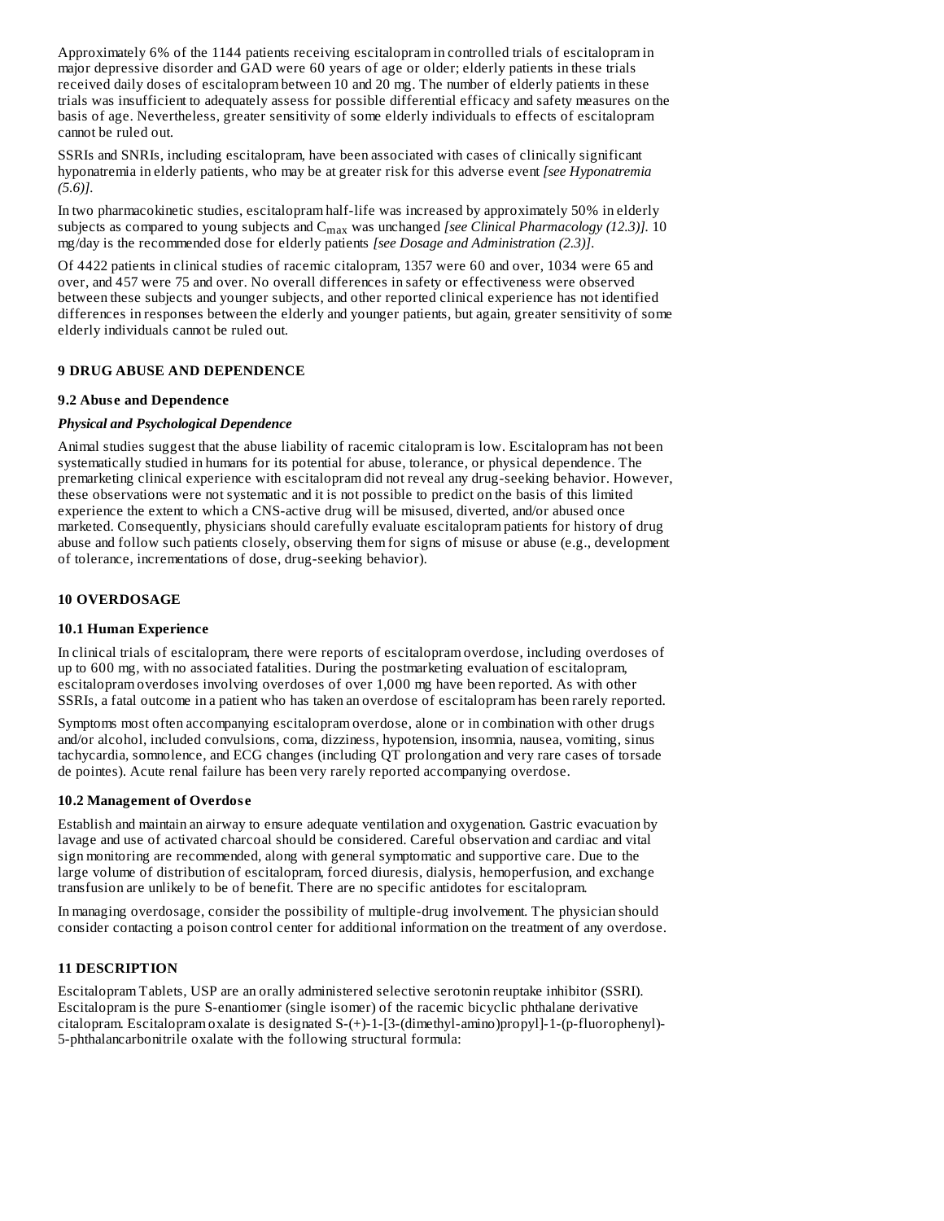Approximately 6% of the 1144 patients receiving escitalopram in controlled trials of escitalopram in major depressive disorder and GAD were 60 years of age or older; elderly patients in these trials received daily doses of escitalopram between 10 and 20 mg. The number of elderly patients in these trials was insufficient to adequately assess for possible differential efficacy and safety measures on the basis of age. Nevertheless, greater sensitivity of some elderly individuals to effects of escitalopram cannot be ruled out.

SSRIs and SNRIs, including escitalopram, have been associated with cases of clinically significant hyponatremia in elderly patients, who may be at greater risk for this adverse event *[see Hyponatremia (5.6)].*

In two pharmacokinetic studies, escitalopram half-life was increased by approximately 50% in elderly subjects as compared to young subjects and C<sub>max</sub> was unchanged *[see Clinical Pharmacology* (12.3)]. 10 mg/day is the recommended dose for elderly patients *[see Dosage and Administration (2.3)]*.

Of 4422 patients in clinical studies of racemic citalopram, 1357 were 60 and over, 1034 were 65 and over, and 457 were 75 and over. No overall differences in safety or effectiveness were observed between these subjects and younger subjects, and other reported clinical experience has not identified differences in responses between the elderly and younger patients, but again, greater sensitivity of some elderly individuals cannot be ruled out.

#### **9 DRUG ABUSE AND DEPENDENCE**

#### **9.2 Abus e and Dependence**

#### *Physical and Psychological Dependence*

Animal studies suggest that the abuse liability of racemic citalopram is low. Escitalopram has not been systematically studied in humans for its potential for abuse, tolerance, or physical dependence. The premarketing clinical experience with escitalopram did not reveal any drug-seeking behavior. However, these observations were not systematic and it is not possible to predict on the basis of this limited experience the extent to which a CNS-active drug will be misused, diverted, and/or abused once marketed. Consequently, physicians should carefully evaluate escitalopram patients for history of drug abuse and follow such patients closely, observing them for signs of misuse or abuse (e.g., development of tolerance, incrementations of dose, drug-seeking behavior).

#### **10 OVERDOSAGE**

#### **10.1 Human Experience**

In clinical trials of escitalopram, there were reports of escitalopram overdose, including overdoses of up to 600 mg, with no associated fatalities. During the postmarketing evaluation of escitalopram, escitalopram overdoses involving overdoses of over 1,000 mg have been reported. As with other SSRIs, a fatal outcome in a patient who has taken an overdose of escitalopram has been rarely reported.

Symptoms most often accompanying escitalopram overdose, alone or in combination with other drugs and/or alcohol, included convulsions, coma, dizziness, hypotension, insomnia, nausea, vomiting, sinus tachycardia, somnolence, and ECG changes (including QT prolongation and very rare cases of torsade de pointes). Acute renal failure has been very rarely reported accompanying overdose.

#### **10.2 Management of Overdos e**

Establish and maintain an airway to ensure adequate ventilation and oxygenation. Gastric evacuation by lavage and use of activated charcoal should be considered. Careful observation and cardiac and vital sign monitoring are recommended, along with general symptomatic and supportive care. Due to the large volume of distribution of escitalopram, forced diuresis, dialysis, hemoperfusion, and exchange transfusion are unlikely to be of benefit. There are no specific antidotes for escitalopram.

In managing overdosage, consider the possibility of multiple-drug involvement. The physician should consider contacting a poison control center for additional information on the treatment of any overdose.

# **11 DESCRIPTION**

Escitalopram Tablets, USP are an orally administered selective serotonin reuptake inhibitor (SSRI). Escitalopram is the pure S-enantiomer (single isomer) of the racemic bicyclic phthalane derivative citalopram. Escitalopram oxalate is designated S-(+)-1-[3-(dimethyl-amino)propyl]-1-(p-fluorophenyl)- 5-phthalancarbonitrile oxalate with the following structural formula: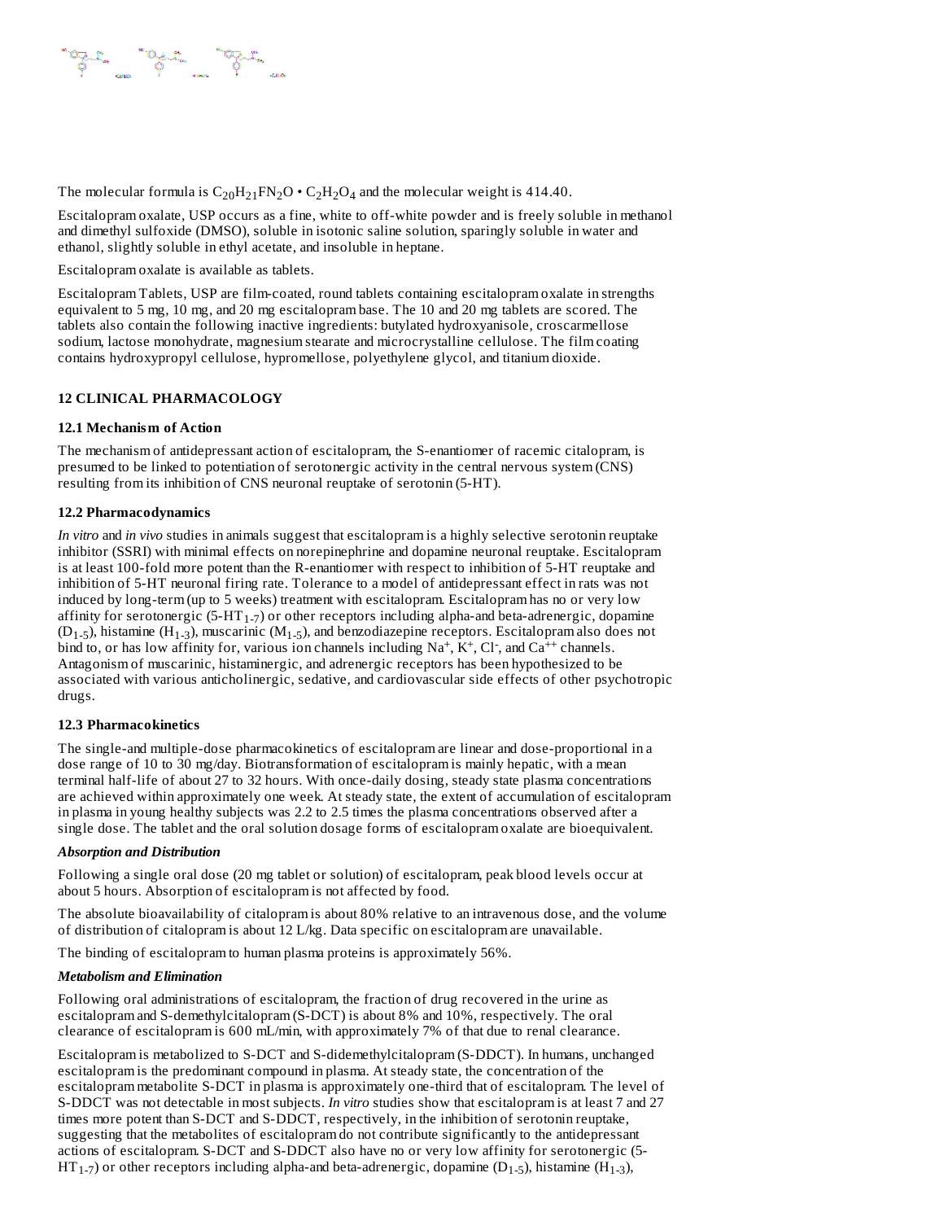The molecular formula is  $C_{20}H_{21}FN_{2}O \cdot C_{2}H_{2}O_{4}$  and the molecular weight is 414.40.

Escitalopram oxalate, USP occurs as a fine, white to off-white powder and is freely soluble in methanol and dimethyl sulfoxide (DMSO), soluble in isotonic saline solution, sparingly soluble in water and ethanol, slightly soluble in ethyl acetate, and insoluble in heptane.

Escitalopram oxalate is available as tablets.

Escitalopram Tablets, USP are film-coated, round tablets containing escitalopram oxalate in strengths equivalent to 5 mg, 10 mg, and 20 mg escitalopram base. The 10 and 20 mg tablets are scored. The tablets also contain the following inactive ingredients: butylated hydroxyanisole, croscarmellose sodium, lactose monohydrate, magnesium stearate and microcrystalline cellulose. The film coating contains hydroxypropyl cellulose, hypromellose, polyethylene glycol, and titanium dioxide.

#### **12 CLINICAL PHARMACOLOGY**

#### **12.1 Mechanism of Action**

The mechanism of antidepressant action of escitalopram, the S-enantiomer of racemic citalopram, is presumed to be linked to potentiation of serotonergic activity in the central nervous system (CNS) resulting from its inhibition of CNS neuronal reuptake of serotonin (5-HT).

#### **12.2 Pharmacodynamics**

*In vitro* and *in vivo* studies in animals suggest that escitalopram is a highly selective serotonin reuptake inhibitor (SSRI) with minimal effects on norepinephrine and dopamine neuronal reuptake. Escitalopram is at least 100-fold more potent than the R-enantiomer with respect to inhibition of 5-HT reuptake and inhibition of 5-HT neuronal firing rate. Tolerance to a model of antidepressant effect in rats was not induced by long-term (up to 5 weeks) treatment with escitalopram. Escitalopram has no or very low affinity for serotonergic (5-HT<sub>1-7</sub>) or other receptors including alpha-and beta-adrenergic, dopamine  $(D_{1-5})$ , histamine  $(H_{1-3})$ , muscarinic  $(M_{1-5})$ , and benzodiazepine receptors. Escitalopram also does not bind to, or has low affinity for, various ion channels including  $\text{Na}^+$ ,  $\text{K}^+$ , Cl, and  $\text{Ca}^{++}$  channels. Antagonism of muscarinic, histaminergic, and adrenergic receptors has been hypothesized to be associated with various anticholinergic, sedative, and cardiovascular side effects of other psychotropic drugs.

#### **12.3 Pharmacokinetics**

The single-and multiple-dose pharmacokinetics of escitalopram are linear and dose-proportional in a dose range of 10 to 30 mg/day. Biotransformation of escitalopram is mainly hepatic, with a mean terminal half-life of about 27 to 32 hours. With once-daily dosing, steady state plasma concentrations are achieved within approximately one week. At steady state, the extent of accumulation of escitalopram in plasma in young healthy subjects was 2.2 to 2.5 times the plasma concentrations observed after a single dose. The tablet and the oral solution dosage forms of escitalopram oxalate are bioequivalent.

#### *Absorption and Distribution*

Following a single oral dose (20 mg tablet or solution) of escitalopram, peak blood levels occur at about 5 hours. Absorption of escitalopram is not affected by food.

The absolute bioavailability of citalopram is about 80% relative to an intravenous dose, and the volume of distribution of citalopram is about 12 L/kg. Data specific on escitalopram are unavailable.

The binding of escitalopram to human plasma proteins is approximately 56%.

#### *Metabolism and Elimination*

Following oral administrations of escitalopram, the fraction of drug recovered in the urine as escitalopram and S-demethylcitalopram (S-DCT) is about 8% and 10%, respectively. The oral clearance of escitalopram is 600 mL/min, with approximately 7% of that due to renal clearance.

Escitalopram is metabolized to S-DCT and S-didemethylcitalopram (S-DDCT). In humans, unchanged escitalopram is the predominant compound in plasma. At steady state, the concentration of the escitalopram metabolite S-DCT in plasma is approximately one-third that of escitalopram. The level of S-DDCT was not detectable in most subjects. *In vitro* studies show that escitalopram is at least 7 and 27 times more potent than S-DCT and S-DDCT, respectively, in the inhibition of serotonin reuptake, suggesting that the metabolites of escitalopram do not contribute significantly to the antidepressant actions of escitalopram. S-DCT and S-DDCT also have no or very low affinity for serotonergic (5- HT<sub>1-7</sub>) or other receptors including alpha-and beta-adrenergic, dopamine (D<sub>1-5</sub>), histamine (H<sub>1-3</sub>),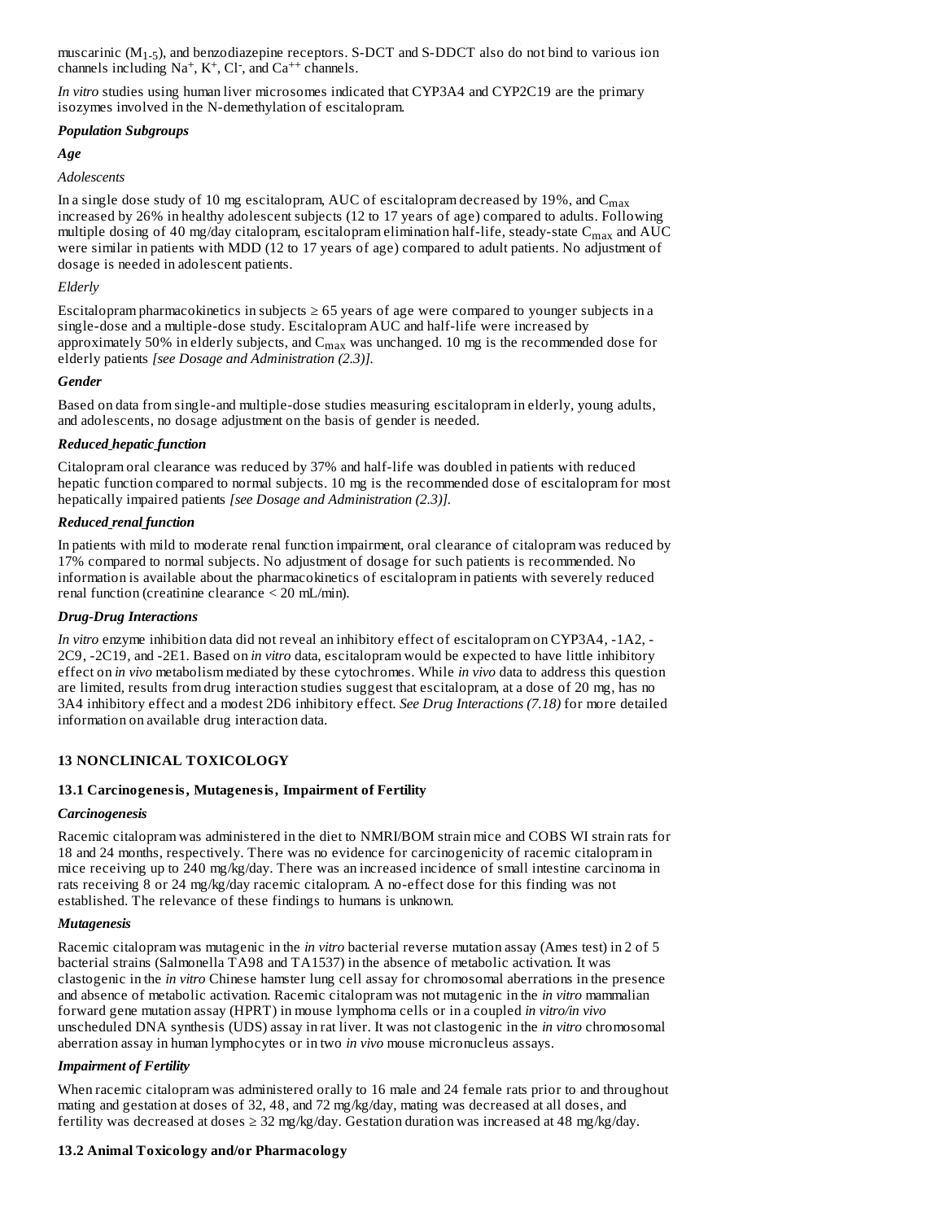muscarinic (M<sub>1-5</sub>), and benzodiazepine receptors. S-DCT and S-DDCT also do not bind to various ion channels including  $Na^+$ ,  $K^+$ ,  $Cl^-$ , and  $Ca^{++}$  channels. 1-5

*In vitro* studies using human liver microsomes indicated that CYP3A4 and CYP2C19 are the primary isozymes involved in the N-demethylation of escitalopram.

#### *Population Subgroups*

# *Age*

# *Adolescents*

In a single dose study of 10 mg escitalopram, AUC of escitalopram decreased by 19%, and  $\rm{C_{max}}$ increased by 26% in healthy adolescent subjects (12 to 17 years of age) compared to adults. Following multiple dosing of 40 mg/day citalopram, escitalopram elimination half-life, steady-state  $\rm{C_{max}}$  and  $\rm{AUC}$ were similar in patients with MDD (12 to 17 years of age) compared to adult patients. No adjustment of dosage is needed in adolescent patients.

# *Elderly*

Escitalopram pharmacokinetics in subjects  $\geq 65$  years of age were compared to younger subjects in a single-dose and a multiple-dose study. Escitalopram AUC and half-life were increased by approximately 50% in elderly subjects, and  $\mathsf{C}_{\max}$  was unchanged. 10 mg is the recommended dose for elderly patients *[see Dosage and Administration (2.3)].*

# *Gender*

Based on data from single-and multiple-dose studies measuring escitalopram in elderly, young adults, and adolescents, no dosage adjustment on the basis of gender is needed.

# *Reduced hepatic function*

Citalopram oral clearance was reduced by 37% and half-life was doubled in patients with reduced hepatic function compared to normal subjects. 10 mg is the recommended dose of escitalopram for most hepatically impaired patients *[see Dosage and Administration (2.3)].*

# *Reduced renal function*

In patients with mild to moderate renal function impairment, oral clearance of citalopram was reduced by 17% compared to normal subjects. No adjustment of dosage for such patients is recommended. No information is available about the pharmacokinetics of escitalopram in patients with severely reduced renal function (creatinine clearance < 20 mL/min).

# *Drug-Drug Interactions*

*In vitro* enzyme inhibition data did not reveal an inhibitory effect of escitalopram on CYP3A4, -1A2, - 2C9, -2C19, and -2E1. Based on *in vitro* data, escitalopram would be expected to have little inhibitory effect on *in vivo* metabolism mediated by these cytochromes. While *in vivo* data to address this question are limited, results from drug interaction studies suggest that escitalopram, at a dose of 20 mg, has no 3A4 inhibitory effect and a modest 2D6 inhibitory effect. *See Drug Interactions (7.18)* for more detailed information on available drug interaction data.

# **13 NONCLINICAL TOXICOLOGY**

# **13.1 Carcinogenesis, Mutagenesis, Impairment of Fertility**

# *Carcinogenesis*

Racemic citalopram was administered in the diet to NMRI/BOM strain mice and COBS WI strain rats for 18 and 24 months, respectively. There was no evidence for carcinogenicity of racemic citalopram in mice receiving up to 240 mg/kg/day. There was an increased incidence of small intestine carcinoma in rats receiving 8 or 24 mg/kg/day racemic citalopram. A no-effect dose for this finding was not established. The relevance of these findings to humans is unknown.

# *Mutagenesis*

Racemic citalopram was mutagenic in the *in vitro* bacterial reverse mutation assay (Ames test) in 2 of 5 bacterial strains (Salmonella TA98 and TA1537) in the absence of metabolic activation. It was clastogenic in the *in vitro* Chinese hamster lung cell assay for chromosomal aberrations in the presence and absence of metabolic activation. Racemic citalopram was not mutagenic in the *in vitro* mammalian forward gene mutation assay (HPRT) in mouse lymphoma cells or in a coupled *in vitro/in vivo* unscheduled DNA synthesis (UDS) assay in rat liver. It was not clastogenic in the *in vitro* chromosomal aberration assay in human lymphocytes or in two *in vivo* mouse micronucleus assays.

# *Impairment of Fertility*

When racemic citalopram was administered orally to 16 male and 24 female rats prior to and throughout mating and gestation at doses of 32, 48, and 72 mg/kg/day, mating was decreased at all doses, and fertility was decreased at doses  $\geq$  32 mg/kg/day. Gestation duration was increased at 48 mg/kg/day.

# **13.2 Animal Toxicology and/or Pharmacology**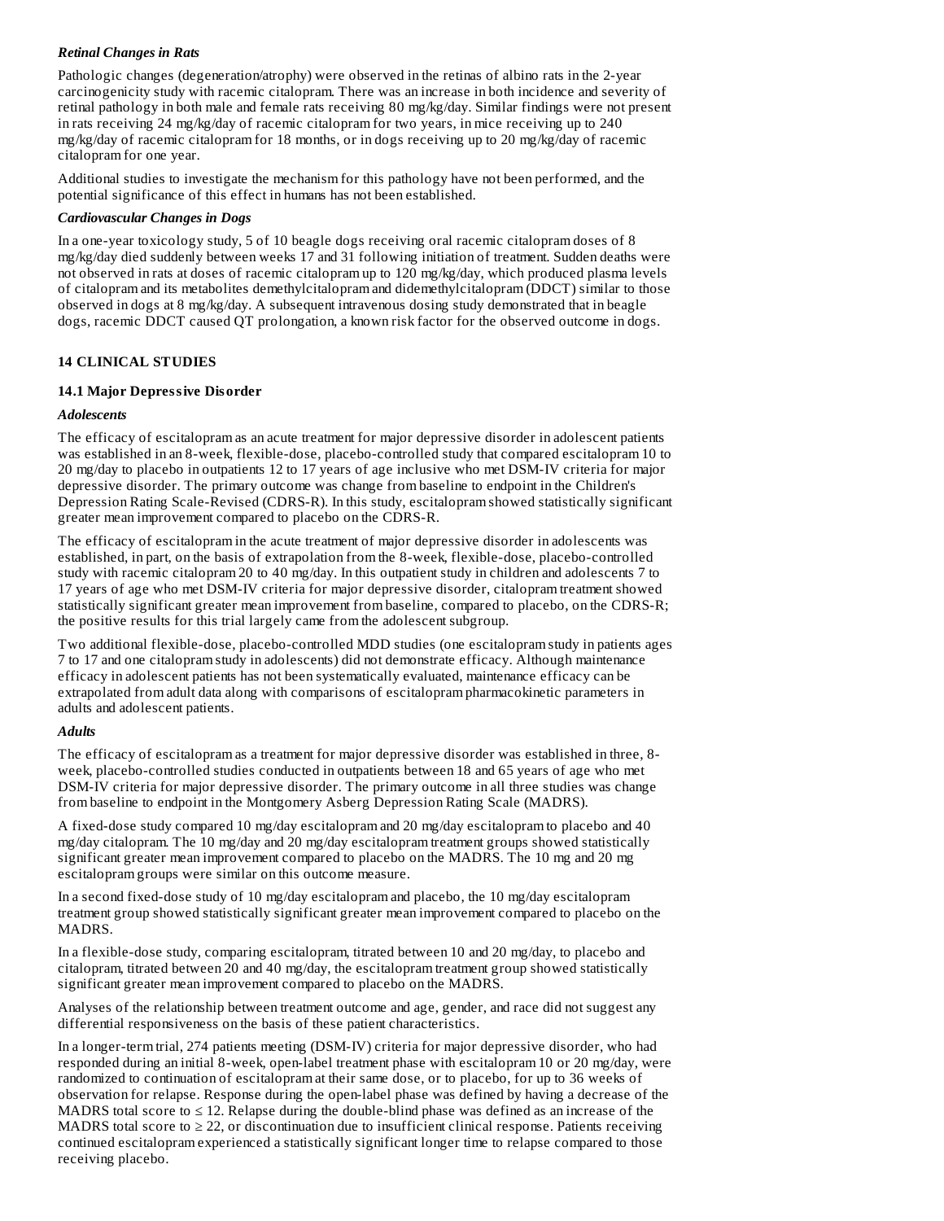#### *Retinal Changes in Rats*

Pathologic changes (degeneration/atrophy) were observed in the retinas of albino rats in the 2-year carcinogenicity study with racemic citalopram. There was an increase in both incidence and severity of retinal pathology in both male and female rats receiving 80 mg/kg/day. Similar findings were not present in rats receiving 24 mg/kg/day of racemic citalopram for two years, in mice receiving up to 240 mg/kg/day of racemic citalopram for 18 months, or in dogs receiving up to 20 mg/kg/day of racemic citalopram for one year.

Additional studies to investigate the mechanism for this pathology have not been performed, and the potential significance of this effect in humans has not been established.

#### *Cardiovascular Changes in Dogs*

In a one-year toxicology study, 5 of 10 beagle dogs receiving oral racemic citalopram doses of 8 mg/kg/day died suddenly between weeks 17 and 31 following initiation of treatment. Sudden deaths were not observed in rats at doses of racemic citalopram up to 120 mg/kg/day, which produced plasma levels of citalopram and its metabolites demethylcitalopram and didemethylcitalopram (DDCT) similar to those observed in dogs at 8 mg/kg/day. A subsequent intravenous dosing study demonstrated that in beagle dogs, racemic DDCT caused QT prolongation, a known risk factor for the observed outcome in dogs.

#### **14 CLINICAL STUDIES**

#### **14.1 Major Depressive Disorder**

#### *Adolescents*

The efficacy of escitalopram as an acute treatment for major depressive disorder in adolescent patients was established in an 8-week, flexible-dose, placebo-controlled study that compared escitalopram 10 to 20 mg/day to placebo in outpatients 12 to 17 years of age inclusive who met DSM-IV criteria for major depressive disorder. The primary outcome was change from baseline to endpoint in the Children's Depression Rating Scale-Revised (CDRS-R). In this study, escitalopram showed statistically significant greater mean improvement compared to placebo on the CDRS-R.

The efficacy of escitalopram in the acute treatment of major depressive disorder in adolescents was established, in part, on the basis of extrapolation from the 8-week, flexible-dose, placebo-controlled study with racemic citalopram 20 to 40 mg/day. In this outpatient study in children and adolescents 7 to 17 years of age who met DSM-IV criteria for major depressive disorder, citalopram treatment showed statistically significant greater mean improvement from baseline, compared to placebo, on the CDRS-R; the positive results for this trial largely came from the adolescent subgroup.

Two additional flexible-dose, placebo-controlled MDD studies (one escitalopram study in patients ages 7 to 17 and one citalopram study in adolescents) did not demonstrate efficacy. Although maintenance efficacy in adolescent patients has not been systematically evaluated, maintenance efficacy can be extrapolated from adult data along with comparisons of escitalopram pharmacokinetic parameters in adults and adolescent patients.

#### *Adults*

The efficacy of escitalopram as a treatment for major depressive disorder was established in three, 8 week, placebo-controlled studies conducted in outpatients between 18 and 65 years of age who met DSM-IV criteria for major depressive disorder. The primary outcome in all three studies was change from baseline to endpoint in the Montgomery Asberg Depression Rating Scale (MADRS).

A fixed-dose study compared 10 mg/day escitalopram and 20 mg/day escitalopram to placebo and 40 mg/day citalopram. The 10 mg/day and 20 mg/day escitalopram treatment groups showed statistically significant greater mean improvement compared to placebo on the MADRS. The 10 mg and 20 mg escitalopram groups were similar on this outcome measure.

In a second fixed-dose study of 10 mg/day escitalopram and placebo, the 10 mg/day escitalopram treatment group showed statistically significant greater mean improvement compared to placebo on the MADRS.

In a flexible-dose study, comparing escitalopram, titrated between 10 and 20 mg/day, to placebo and citalopram, titrated between 20 and 40 mg/day, the escitalopram treatment group showed statistically significant greater mean improvement compared to placebo on the MADRS.

Analyses of the relationship between treatment outcome and age, gender, and race did not suggest any differential responsiveness on the basis of these patient characteristics.

In a longer-term trial, 274 patients meeting (DSM-IV) criteria for major depressive disorder, who had responded during an initial 8-week, open-label treatment phase with escitalopram 10 or 20 mg/day, were randomized to continuation of escitalopram at their same dose, or to placebo, for up to 36 weeks of observation for relapse. Response during the open-label phase was defined by having a decrease of the MADRS total score to  $\leq$  12. Relapse during the double-blind phase was defined as an increase of the MADRS total score to  $\geq$  22, or discontinuation due to insufficient clinical response. Patients receiving continued escitalopram experienced a statistically significant longer time to relapse compared to those receiving placebo.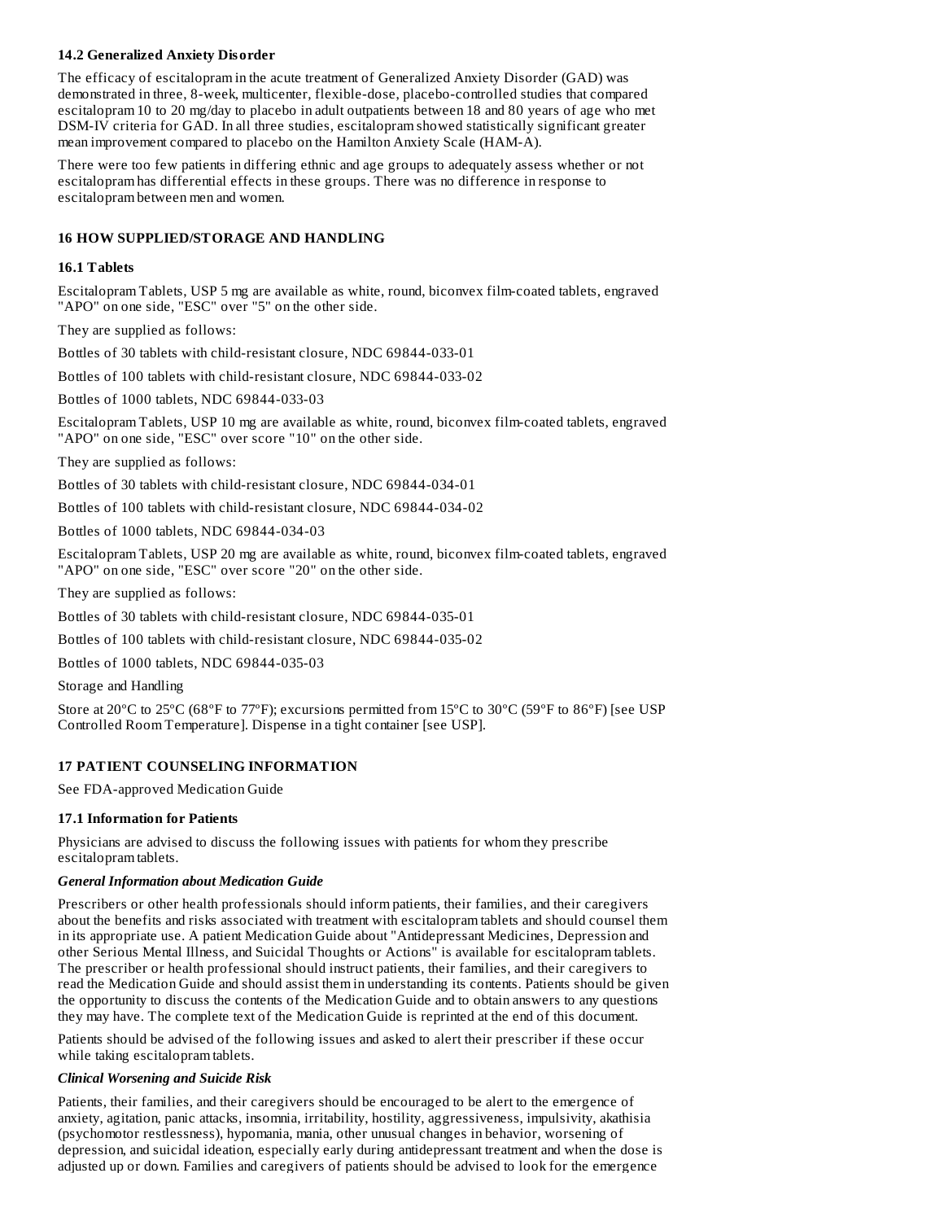#### **14.2 Generalized Anxiety Disorder**

The efficacy of escitalopram in the acute treatment of Generalized Anxiety Disorder (GAD) was demonstrated in three, 8-week, multicenter, flexible-dose, placebo-controlled studies that compared escitalopram 10 to 20 mg/day to placebo in adult outpatients between 18 and 80 years of age who met DSM-IV criteria for GAD. In all three studies, escitalopram showed statistically significant greater mean improvement compared to placebo on the Hamilton Anxiety Scale (HAM-A).

There were too few patients in differing ethnic and age groups to adequately assess whether or not escitalopram has differential effects in these groups. There was no difference in response to escitalopram between men and women.

#### **16 HOW SUPPLIED/STORAGE AND HANDLING**

#### **16.1 Tablets**

Escitalopram Tablets, USP 5 mg are available as white, round, biconvex film-coated tablets, engraved "APO" on one side, "ESC" over "5" on the other side.

They are supplied as follows:

Bottles of 30 tablets with child-resistant closure, NDC 69844-033-01

Bottles of 100 tablets with child-resistant closure, NDC 69844-033-02

Bottles of 1000 tablets, NDC 69844-033-03

Escitalopram Tablets, USP 10 mg are available as white, round, biconvex film-coated tablets, engraved "APO" on one side, "ESC" over score "10" on the other side.

They are supplied as follows:

Bottles of 30 tablets with child-resistant closure, NDC 69844-034-01

Bottles of 100 tablets with child-resistant closure, NDC 69844-034-02

Bottles of 1000 tablets, NDC 69844-034-03

Escitalopram Tablets, USP 20 mg are available as white, round, biconvex film-coated tablets, engraved "APO" on one side, "ESC" over score "20" on the other side.

They are supplied as follows:

Bottles of 30 tablets with child-resistant closure, NDC 69844-035-01

Bottles of 100 tablets with child-resistant closure, NDC 69844-035-02

Bottles of 1000 tablets, NDC 69844-035-03

Storage and Handling

Store at 20ºC to 25ºC (68ºF to 77ºF); excursions permitted from 15ºC to 30ºC (59ºF to 86ºF) [see USP Controlled Room Temperature]. Dispense in a tight container [see USP].

#### **17 PATIENT COUNSELING INFORMATION**

See FDA-approved Medication Guide

#### **17.1 Information for Patients**

Physicians are advised to discuss the following issues with patients for whom they prescribe escitalopram tablets.

#### *General Information about Medication Guide*

Prescribers or other health professionals should inform patients, their families, and their caregivers about the benefits and risks associated with treatment with escitalopram tablets and should counsel them in its appropriate use. A patient Medication Guide about "Antidepressant Medicines, Depression and other Serious Mental Illness, and Suicidal Thoughts or Actions" is available for escitalopram tablets. The prescriber or health professional should instruct patients, their families, and their caregivers to read the Medication Guide and should assist them in understanding its contents. Patients should be given the opportunity to discuss the contents of the Medication Guide and to obtain answers to any questions they may have. The complete text of the Medication Guide is reprinted at the end of this document.

Patients should be advised of the following issues and asked to alert their prescriber if these occur while taking escitalopram tablets.

#### *Clinical Worsening and Suicide Risk*

Patients, their families, and their caregivers should be encouraged to be alert to the emergence of anxiety, agitation, panic attacks, insomnia, irritability, hostility, aggressiveness, impulsivity, akathisia (psychomotor restlessness), hypomania, mania, other unusual changes in behavior, worsening of depression, and suicidal ideation, especially early during antidepressant treatment and when the dose is adjusted up or down. Families and caregivers of patients should be advised to look for the emergence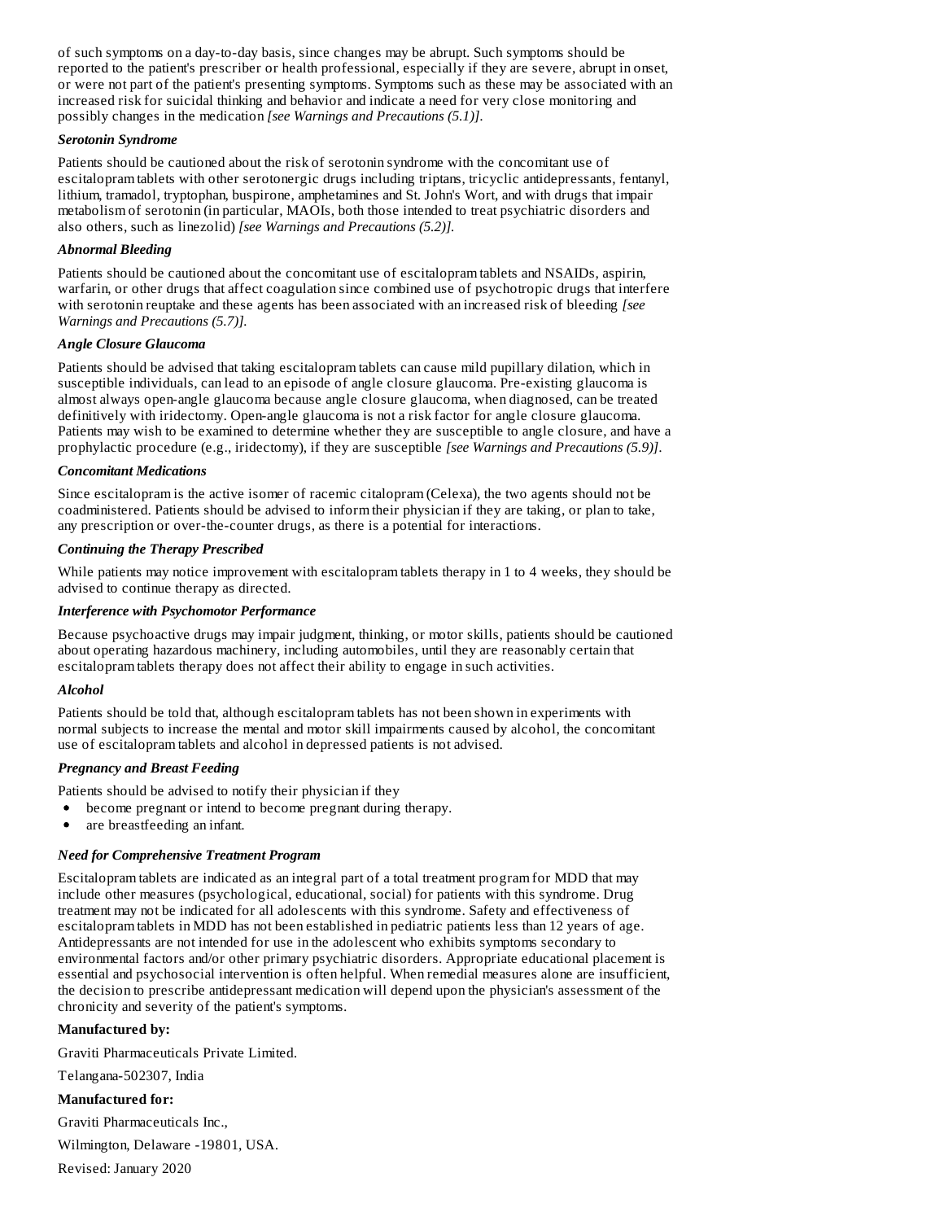of such symptoms on a day-to-day basis, since changes may be abrupt. Such symptoms should be reported to the patient's prescriber or health professional, especially if they are severe, abrupt in onset, or were not part of the patient's presenting symptoms. Symptoms such as these may be associated with an increased risk for suicidal thinking and behavior and indicate a need for very close monitoring and possibly changes in the medication *[see Warnings and Precautions (5.1)]*.

#### *Serotonin Syndrome*

Patients should be cautioned about the risk of serotonin syndrome with the concomitant use of escitalopram tablets with other serotonergic drugs including triptans, tricyclic antidepressants, fentanyl, lithium, tramadol, tryptophan, buspirone, amphetamines and St. John's Wort, and with drugs that impair metabolism of serotonin (in particular, MAOIs, both those intended to treat psychiatric disorders and also others, such as linezolid) *[see Warnings and Precautions (5.2)].*

#### *Abnormal Bleeding*

Patients should be cautioned about the concomitant use of escitalopram tablets and NSAIDs, aspirin, warfarin, or other drugs that affect coagulation since combined use of psychotropic drugs that interfere with serotonin reuptake and these agents has been associated with an increased risk of bleeding *[see Warnings and Precautions (5.7)].*

#### *Angle Closure Glaucoma*

Patients should be advised that taking escitalopram tablets can cause mild pupillary dilation, which in susceptible individuals, can lead to an episode of angle closure glaucoma. Pre-existing glaucoma is almost always open-angle glaucoma because angle closure glaucoma, when diagnosed, can be treated definitively with iridectomy. Open-angle glaucoma is not a risk factor for angle closure glaucoma. Patients may wish to be examined to determine whether they are susceptible to angle closure, and have a prophylactic procedure (e.g., iridectomy), if they are susceptible *[see Warnings and Precautions (5.9)]*.

#### *Concomitant Medications*

Since escitalopram is the active isomer of racemic citalopram (Celexa), the two agents should not be coadministered. Patients should be advised to inform their physician if they are taking, or plan to take, any prescription or over-the-counter drugs, as there is a potential for interactions.

#### *Continuing the Therapy Prescribed*

While patients may notice improvement with escitalopram tablets therapy in 1 to 4 weeks, they should be advised to continue therapy as directed.

#### *Interference with Psychomotor Performance*

Because psychoactive drugs may impair judgment, thinking, or motor skills, patients should be cautioned about operating hazardous machinery, including automobiles, until they are reasonably certain that escitalopram tablets therapy does not affect their ability to engage in such activities.

#### *Alcohol*

Patients should be told that, although escitalopram tablets has not been shown in experiments with normal subjects to increase the mental and motor skill impairments caused by alcohol, the concomitant use of escitalopram tablets and alcohol in depressed patients is not advised.

#### *Pregnancy and Breast Feeding*

Patients should be advised to notify their physician if they

- become pregnant or intend to become pregnant during therapy.
- are breastfeeding an infant.

#### *Need for Comprehensive Treatment Program*

Escitalopram tablets are indicated as an integral part of a total treatment program for MDD that may include other measures (psychological, educational, social) for patients with this syndrome. Drug treatment may not be indicated for all adolescents with this syndrome. Safety and effectiveness of escitalopram tablets in MDD has not been established in pediatric patients less than 12 years of age. Antidepressants are not intended for use in the adolescent who exhibits symptoms secondary to environmental factors and/or other primary psychiatric disorders. Appropriate educational placement is essential and psychosocial intervention is often helpful. When remedial measures alone are insufficient, the decision to prescribe antidepressant medication will depend upon the physician's assessment of the chronicity and severity of the patient's symptoms.

#### **Manufactured by:**

Graviti Pharmaceuticals Private Limited.

Telangana-502307, India

#### **Manufactured for:**

Graviti Pharmaceuticals Inc.,

Wilmington, Delaware -19801, USA.

Revised: January 2020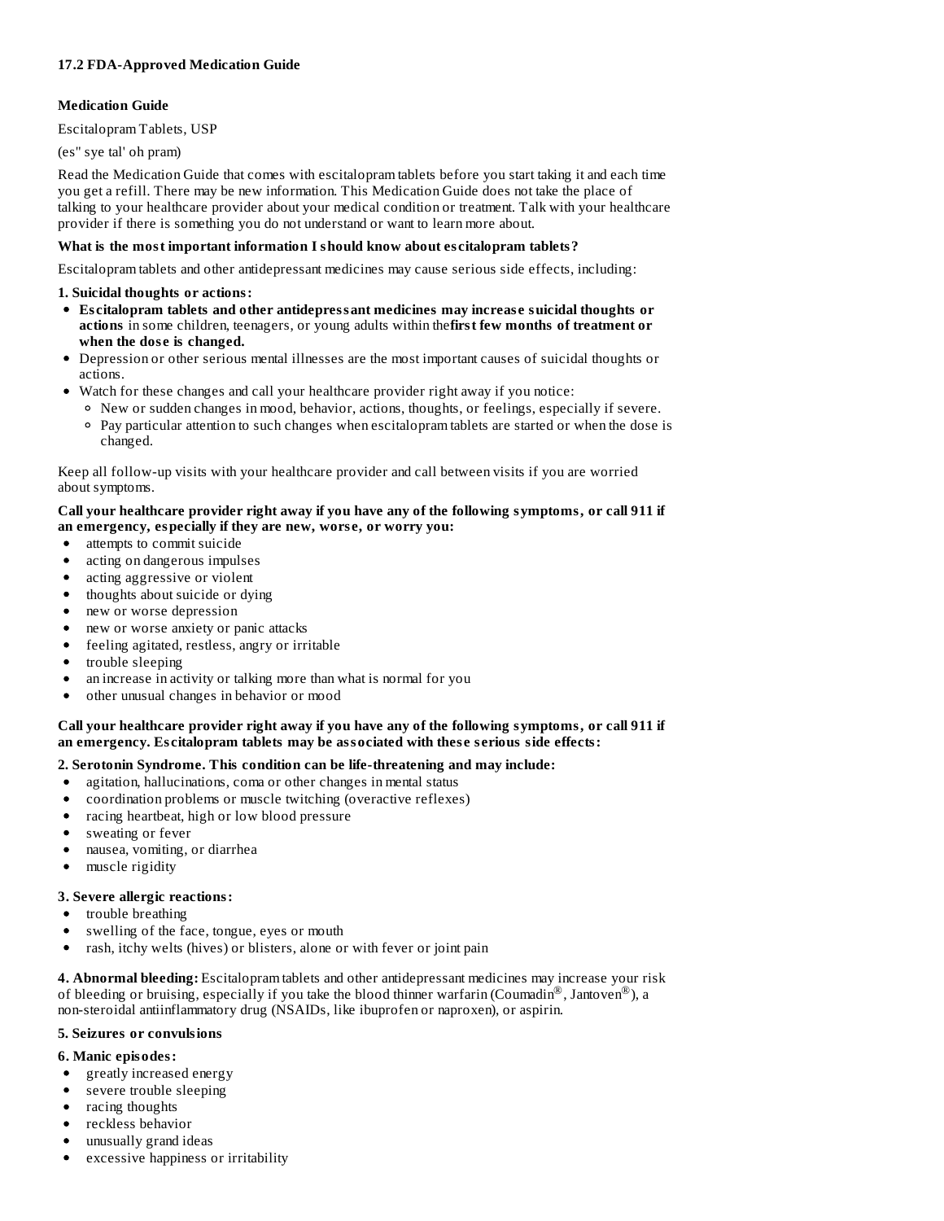# **17.2 FDA-Approved Medication Guide**

#### **Medication Guide**

Escitalopram Tablets, USP

(es'' sye tal' oh pram)

Read the Medication Guide that comes with escitalopram tablets before you start taking it and each time you get a refill. There may be new information. This Medication Guide does not take the place of talking to your healthcare provider about your medical condition or treatment. Talk with your healthcare provider if there is something you do not understand or want to learn more about.

#### **What is the most important information I should know about es citalopram tablets?**

Escitalopram tablets and other antidepressant medicines may cause serious side effects, including:

**1. Suicidal thoughts or actions:**

- **Es citalopram tablets and other antidepressant medicines may increas e suicidal thoughts or actions** in some children, teenagers, or young adults within the**first few months of treatment or when the dos e is changed.**
- Depression or other serious mental illnesses are the most important causes of suicidal thoughts or actions.
- Watch for these changes and call your healthcare provider right away if you notice:
	- <sup>o</sup> New or sudden changes in mood, behavior, actions, thoughts, or feelings, especially if severe.
	- Pay particular attention to such changes when escitalopram tablets are started or when the dose is changed.

Keep all follow-up visits with your healthcare provider and call between visits if you are worried about symptoms.

#### **Call your healthcare provider right away if you have any of the following symptoms, or call 911 if an emergency, especially if they are new, wors e, or worry you:**

- attempts to commit suicide
- acting on dangerous impulses
- acting aggressive or violent
- thoughts about suicide or dying
- new or worse depression
- new or worse anxiety or panic attacks
- feeling agitated, restless, angry or irritable
- trouble sleeping
- an increase in activity or talking more than what is normal for you
- other unusual changes in behavior or mood  $\bullet$

#### **Call your healthcare provider right away if you have any of the following symptoms, or call 911 if an emergency. Es citalopram tablets may be associated with thes e s erious side effects:**

#### **2. Serotonin Syndrome. This condition can be life-threatening and may include:**

- agitation, hallucinations, coma or other changes in mental status
- coordination problems or muscle twitching (overactive reflexes)
- racing heartbeat, high or low blood pressure
- sweating or fever
- nausea, vomiting, or diarrhea
- muscle rigidity

#### **3. Severe allergic reactions:**

- trouble breathing
- swelling of the face, tongue, eyes or mouth
- $\bullet$ rash, itchy welts (hives) or blisters, alone or with fever or joint pain

**4. Abnormal bleeding:** Escitalopram tablets and other antidepressant medicines may increase your risk of bleeding or bruising, especially if you take the blood thinner warfarin (Coumadin®, Jantoven®), a non-steroidal antiinflammatory drug (NSAIDs, like ibuprofen or naproxen), or aspirin.

#### **5. Seizures or convulsions**

#### **6. Manic episodes:**

- greatly increased energy
- severe trouble sleeping
- racing thoughts
- reckless behavior
- unusually grand ideas
- excessive happiness or irritability  $\bullet$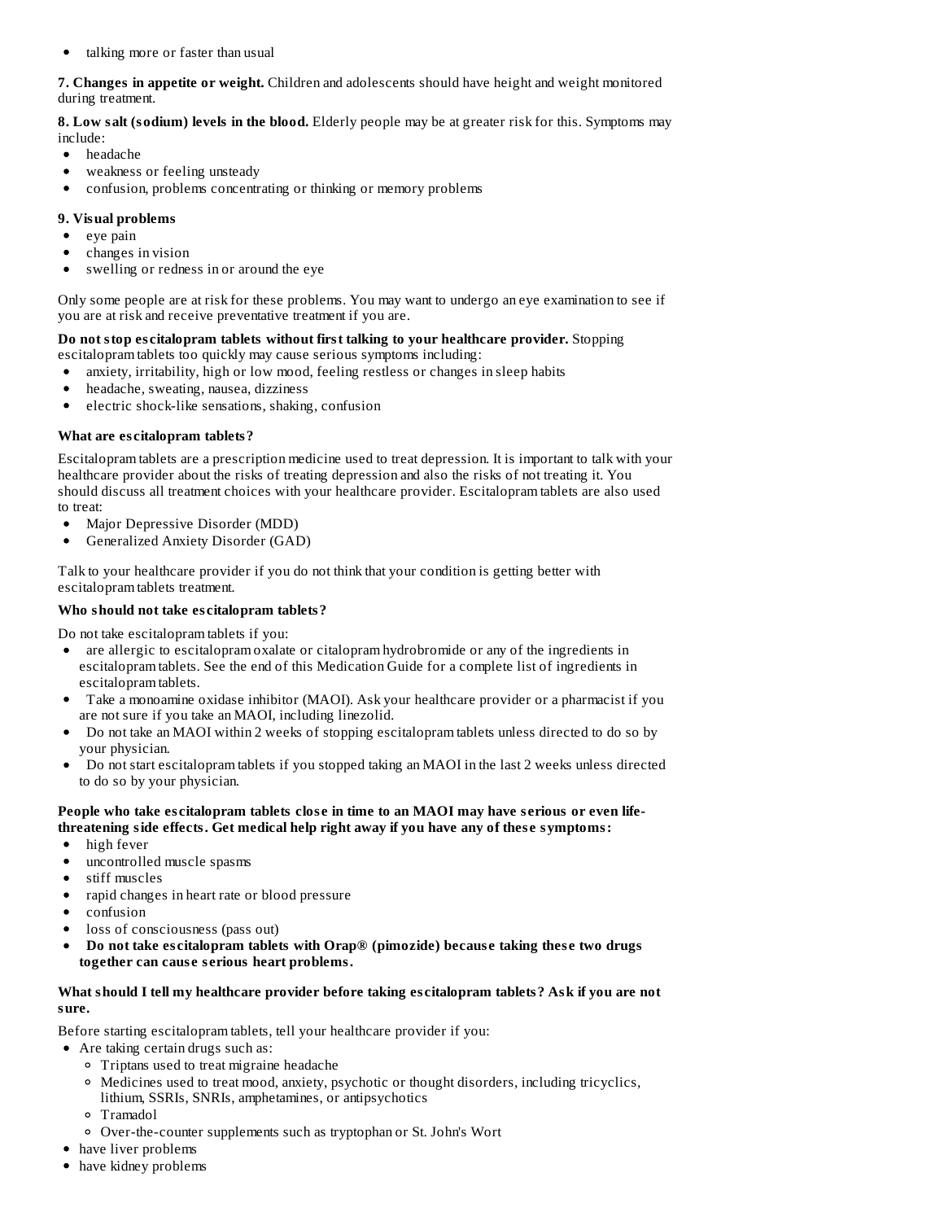talking more or faster than usual  $\bullet$ 

#### **7. Changes in appetite or weight.** Children and adolescents should have height and weight monitored during treatment.

**8. Low salt (sodium) levels in the blood.** Elderly people may be at greater risk for this. Symptoms may include:

- $\bullet$ headache
- weakness or feeling unsteady
- confusion, problems concentrating or thinking or memory problems

#### **9. Visual problems**

- $\bullet$ eye pain
- changes in vision
- swelling or redness in or around the eye

Only some people are at risk for these problems. You may want to undergo an eye examination to see if you are at risk and receive preventative treatment if you are.

# **Do not stop es citalopram tablets without first talking to your healthcare provider.** Stopping

escitalopram tablets too quickly may cause serious symptoms including:

- anxiety, irritability, high or low mood, feeling restless or changes in sleep habits
- headache, sweating, nausea, dizziness
- electric shock-like sensations, shaking, confusion

#### **What are es citalopram tablets?**

Escitalopram tablets are a prescription medicine used to treat depression. It is important to talk with your healthcare provider about the risks of treating depression and also the risks of not treating it. You should discuss all treatment choices with your healthcare provider. Escitalopram tablets are also used to treat:

- Major Depressive Disorder (MDD)
- $\bullet$ Generalized Anxiety Disorder (GAD)

Talk to your healthcare provider if you do not think that your condition is getting better with escitalopram tablets treatment.

#### **Who should not take es citalopram tablets?**

Do not take escitalopram tablets if you:

- are allergic to escitalopram oxalate or citalopram hydrobromide or any of the ingredients in escitalopram tablets. See the end of this Medication Guide for a complete list of ingredients in escitalopram tablets.
- Take a monoamine oxidase inhibitor (MAOI). Ask your healthcare provider or a pharmacist if you are not sure if you take an MAOI, including linezolid.
- Do not take an MAOI within 2 weeks of stopping escitalopram tablets unless directed to do so by your physician.
- Do not start escitalopram tablets if you stopped taking an MAOI in the last 2 weeks unless directed to do so by your physician.

#### People who take escitalopram tablets close in time to an MAOI may have serious or even life**threatening side effects. Get medical help right away if you have any of thes e symptoms:**

- high fever
- uncontrolled muscle spasms  $\bullet$
- $\bullet$ stiff muscles
- rapid changes in heart rate or blood pressure
- confusion
- loss of consciousness (pass out)
- **Do not take es citalopram tablets with Orap® (pimozide) becaus e taking thes e two drugs together can caus e s erious heart problems.**

#### **What should I tell my healthcare provider before taking es citalopram tablets? Ask if you are not sure.**

Before starting escitalopram tablets, tell your healthcare provider if you:

- Are taking certain drugs such as:
	- Triptans used to treat migraine headache
	- Medicines used to treat mood, anxiety, psychotic or thought disorders, including tricyclics, lithium, SSRIs, SNRIs, amphetamines, or antipsychotics
	- Tramadol
	- Over-the-counter supplements such as tryptophan or St. John's Wort
- have liver problems
- have kidney problems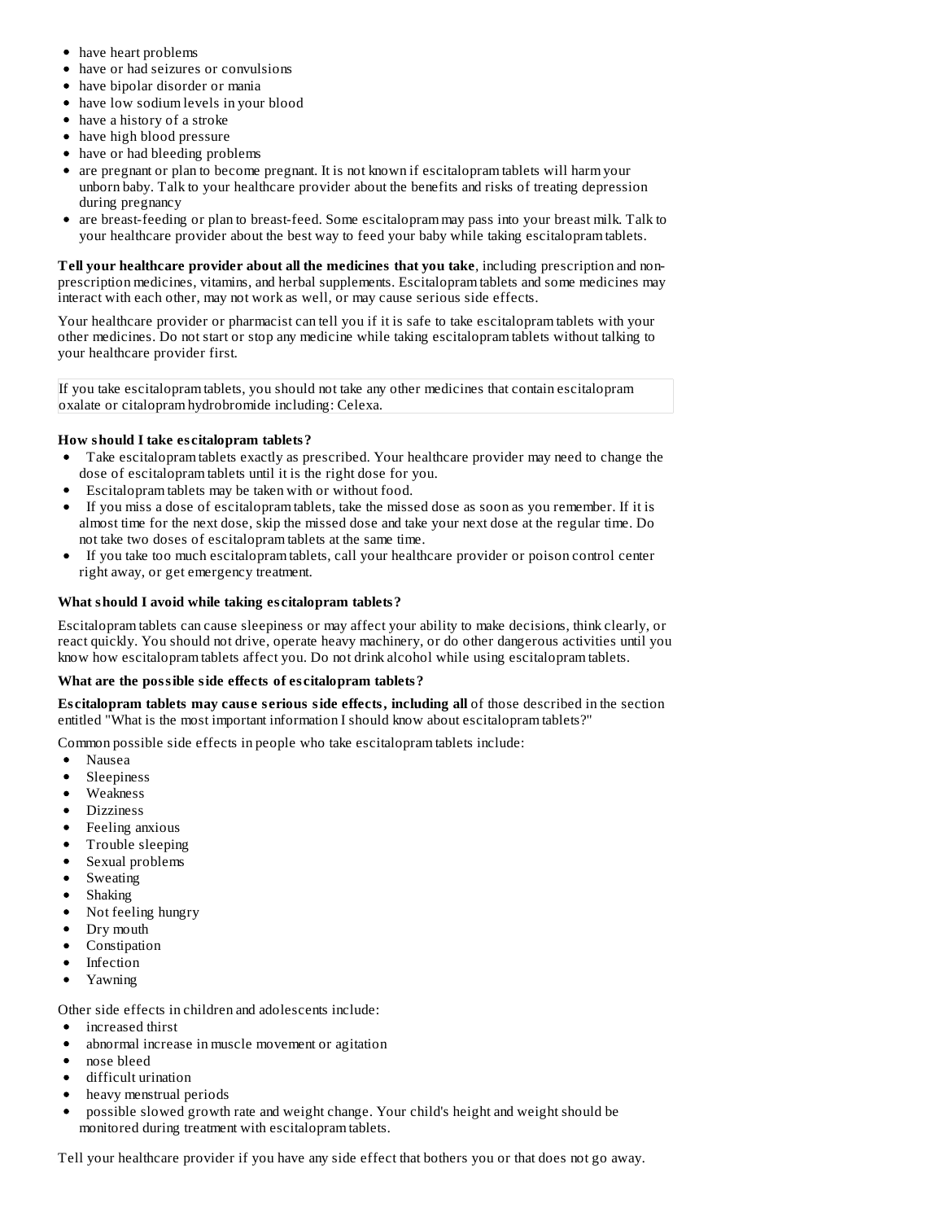- have heart problems
- have or had seizures or convulsions
- have bipolar disorder or mania
- have low sodium levels in your blood
- have a history of a stroke
- have high blood pressure
- have or had bleeding problems
- are pregnant or plan to become pregnant. It is not known if escitalopram tablets will harm your unborn baby. Talk to your healthcare provider about the benefits and risks of treating depression during pregnancy
- are breast-feeding or plan to breast-feed. Some escitalopram may pass into your breast milk. Talk to your healthcare provider about the best way to feed your baby while taking escitalopram tablets.

**Tell your healthcare provider about all the medicines that you take**, including prescription and nonprescription medicines, vitamins, and herbal supplements. Escitalopram tablets and some medicines may interact with each other, may not work as well, or may cause serious side effects.

Your healthcare provider or pharmacist can tell you if it is safe to take escitalopram tablets with your other medicines. Do not start or stop any medicine while taking escitalopram tablets without talking to your healthcare provider first.

If you take escitalopram tablets, you should not take any other medicines that contain escitalopram oxalate or citalopram hydrobromide including: Celexa.

#### **How should I take es citalopram tablets?**

- Take escitalopram tablets exactly as prescribed. Your healthcare provider may need to change the  $\bullet$ dose of escitalopram tablets until it is the right dose for you.
- Escitalopram tablets may be taken with or without food.
- If you miss a dose of escitalopram tablets, take the missed dose as soon as you remember. If it is almost time for the next dose, skip the missed dose and take your next dose at the regular time. Do not take two doses of escitalopram tablets at the same time.
- If you take too much escitalopram tablets, call your healthcare provider or poison control center right away, or get emergency treatment.

#### **What should I avoid while taking es citalopram tablets?**

Escitalopram tablets can cause sleepiness or may affect your ability to make decisions, think clearly, or react quickly. You should not drive, operate heavy machinery, or do other dangerous activities until you know how escitalopram tablets affect you. Do not drink alcohol while using escitalopram tablets.

#### **What are the possible side effects of es citalopram tablets?**

**Es citalopram tablets may caus e s erious side effects, including all** of those described in the section entitled "What is the most important information I should know about escitalopram tablets?"

Common possible side effects in people who take escitalopram tablets include:

- $\bullet$ Nausea
- Sleepiness
- Weakness
- Dizziness
- Feeling anxious  $\bullet$
- Trouble sleeping  $\bullet$
- Sexual problems  $\bullet$
- $\bullet$ Sweating
- Shaking
- Not feeling hungry
- Dry mouth  $\bullet$
- Constipation
- Infection
- $\bullet$ Yawning

Other side effects in children and adolescents include:

- increased thirst
- abnormal increase in muscle movement or agitation
- nose bleed
- difficult urination
- heavy menstrual periods
- possible slowed growth rate and weight change. Your child's height and weight should be monitored during treatment with escitalopram tablets.

Tell your healthcare provider if you have any side effect that bothers you or that does not go away.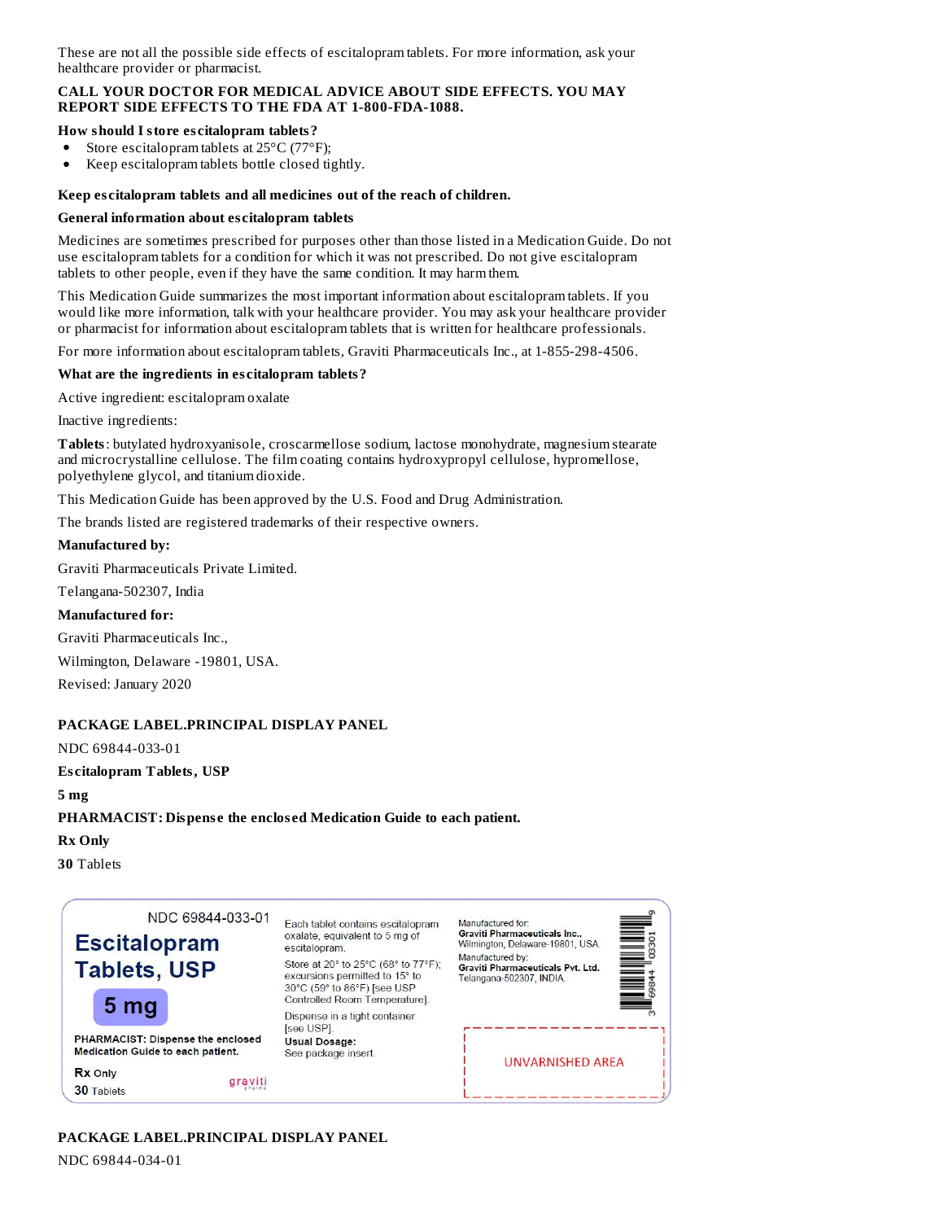These are not all the possible side effects of escitalopram tablets. For more information, ask your healthcare provider or pharmacist.

#### **CALL YOUR DOCTOR FOR MEDICAL ADVICE ABOUT SIDE EFFECTS. YOU MAY REPORT SIDE EFFECTS TO THE FDA AT 1-800-FDA-1088.**

#### **How should I store es citalopram tablets?**

- Store escitalopram tablets at 25°C (77°F);  $\bullet$
- Keep escitalopram tablets bottle closed tightly.

#### **Keep es citalopram tablets and all medicines out of the reach of children.**

#### **General information about es citalopram tablets**

Medicines are sometimes prescribed for purposes other than those listed in a Medication Guide. Do not use escitalopram tablets for a condition for which it was not prescribed. Do not give escitalopram tablets to other people, even if they have the same condition. It may harm them.

This Medication Guide summarizes the most important information about escitalopram tablets. If you would like more information, talk with your healthcare provider. You may ask your healthcare provider or pharmacist for information about escitalopram tablets that is written for healthcare professionals.

For more information about escitalopram tablets, Graviti Pharmaceuticals Inc., at 1-855-298-4506.

#### **What are the ingredients in es citalopram tablets?**

Active ingredient: escitalopram oxalate

Inactive ingredients:

**Tablets**: butylated hydroxyanisole, croscarmellose sodium, lactose monohydrate, magnesium stearate and microcrystalline cellulose. The film coating contains hydroxypropyl cellulose, hypromellose, polyethylene glycol, and titanium dioxide.

This Medication Guide has been approved by the U.S. Food and Drug Administration.

The brands listed are registered trademarks of their respective owners.

#### **Manufactured by:**

Graviti Pharmaceuticals Private Limited.

Telangana-502307, India

#### **Manufactured for:**

Graviti Pharmaceuticals Inc., Wilmington, Delaware -19801, USA.

Revised: January 2020

#### **PACKAGE LABEL.PRINCIPAL DISPLAY PANEL**

NDC 69844-033-01

**Es citalopram Tablets, USP**

**5 mg**

**PHARMACIST: Dispens e the enclos ed Medication Guide to each patient.**

**Rx Only**

**30** Tablets



# **PACKAGE LABEL.PRINCIPAL DISPLAY PANEL**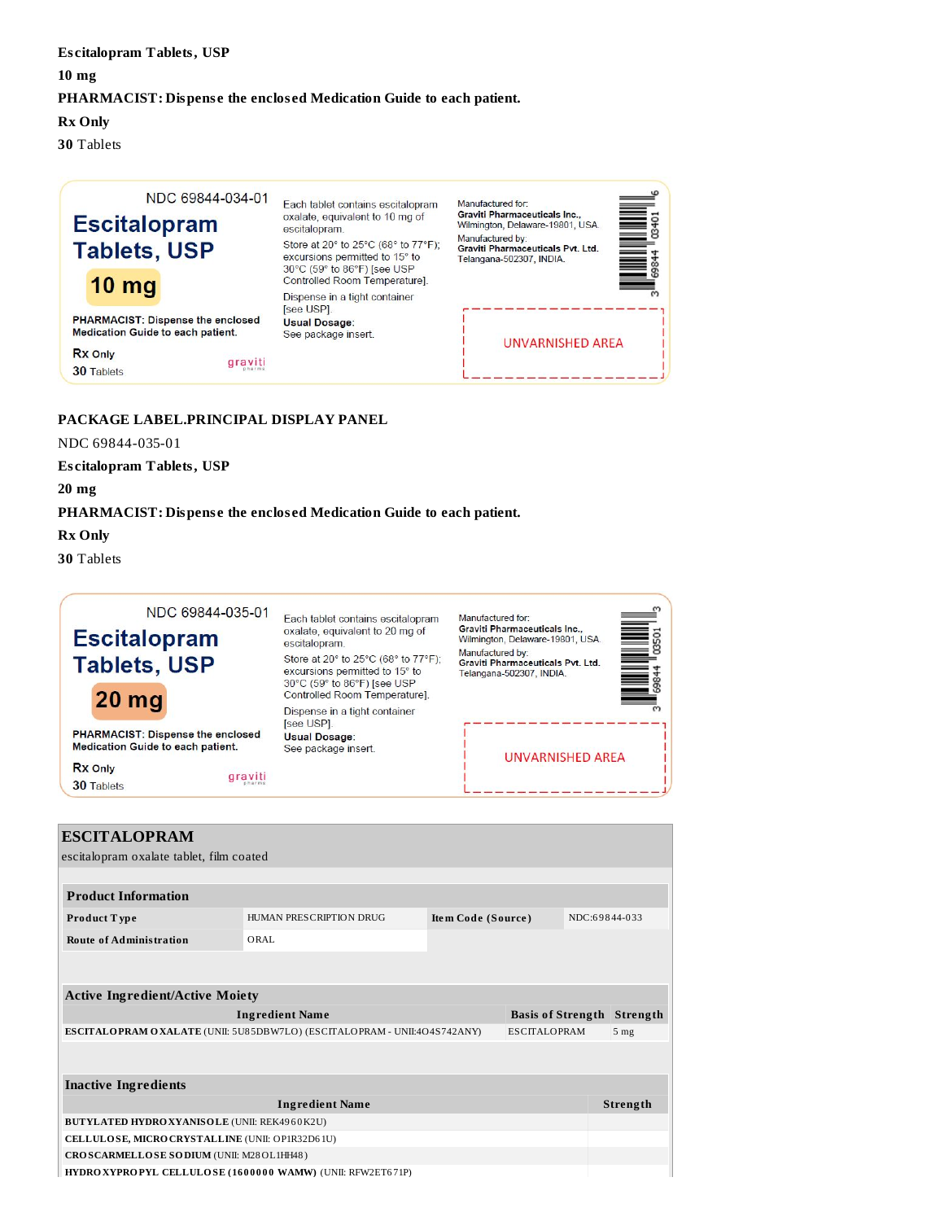#### **Es citalopram Tablets, USP**

#### **10 mg**

#### **PHARMACIST: Dispens e the enclos ed Medication Guide to each patient.**

**Rx Only**

**30** Tablets



#### **PACKAGE LABEL.PRINCIPAL DISPLAY PANEL**

NDC 69844-035-01

**Es citalopram Tablets, USP**

**20 mg**

#### **PHARMACIST: Dispens e the enclos ed Medication Guide to each patient.**

#### **Rx Only**

**30** Tablets



# **ESCITALOPRAM** escitalopram oxalate tablet, film coated **Product Information Product T ype** HUMAN PRESCRIPTION DRUG **Ite m Code (Source )** NDC:6 9 8 44-0 33 **Route of Administration** ORAL **Active Ingredient/Active Moiety Ingredient Name Basis of Strength Strength ESCITALOPRAM OXALATE** (UNII: 5U8 5DBW7LO) (ESCITALOPRAM -UNII:4O4S742ANY) ESCITALOPRAM 5 mg **Inactive Ingredients Ingredient Name Strength BUTYLATED HYDROXYANISOLE** (UNII: REK49 6 0K2U) **CELLULOSE, MICROCRYSTALLINE** (UNII: OP1R32D6 1U) **CROSCARMELLOSE SODIUM** (UNII: M28OL1HH48 )

**HYDROXYPROPYL CELLULOSE ( 16 0 0 0 0 0 WAMW)** (UNII: RFW2ET6 71P)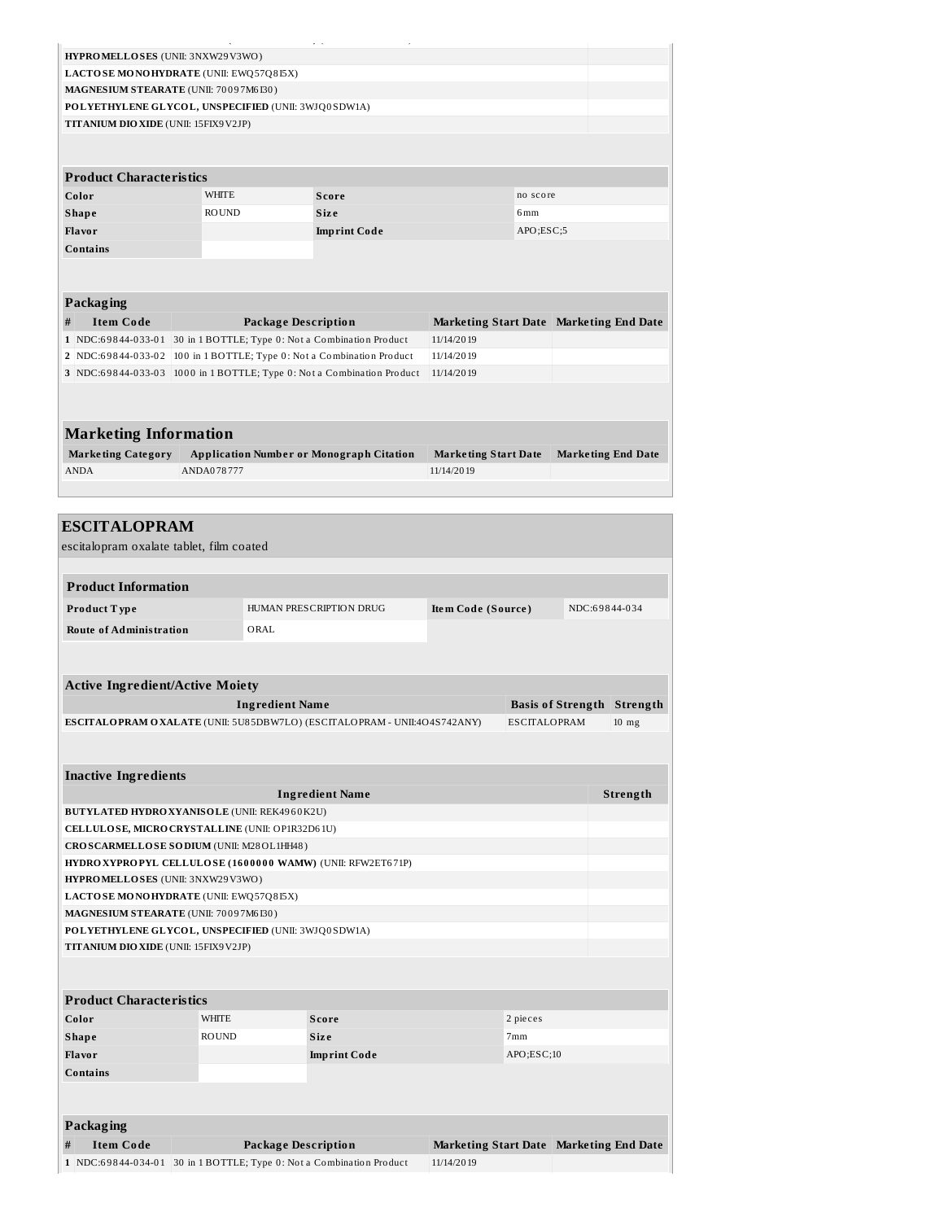|                                                                                                                                                                                                                                                                                                                                                                                                                                                                 |                              | LACTOSE MONOHYDRATE (UNII: EWQ57Q8I5X) |                                                                          |                                         |                 |                                   |                           |
|-----------------------------------------------------------------------------------------------------------------------------------------------------------------------------------------------------------------------------------------------------------------------------------------------------------------------------------------------------------------------------------------------------------------------------------------------------------------|------------------------------|----------------------------------------|--------------------------------------------------------------------------|-----------------------------------------|-----------------|-----------------------------------|---------------------------|
| MAGNESIUM STEARATE (UNII: 70097M6130)                                                                                                                                                                                                                                                                                                                                                                                                                           |                              |                                        |                                                                          |                                         |                 |                                   |                           |
| POLYETHYLENE GLYCOL, UNSPECIFIED (UNII: 3WJQ0SDW1A)                                                                                                                                                                                                                                                                                                                                                                                                             |                              |                                        |                                                                          |                                         |                 |                                   |                           |
| TITANIUM DIO XIDE (UNII: 15FIX9V2JP)                                                                                                                                                                                                                                                                                                                                                                                                                            |                              |                                        |                                                                          |                                         |                 |                                   |                           |
| <b>Product Characteristics</b>                                                                                                                                                                                                                                                                                                                                                                                                                                  |                              |                                        |                                                                          |                                         |                 |                                   |                           |
| Color                                                                                                                                                                                                                                                                                                                                                                                                                                                           | WHITE                        |                                        | Score                                                                    |                                         | no score        |                                   |                           |
| <b>Shape</b>                                                                                                                                                                                                                                                                                                                                                                                                                                                    | <b>ROUND</b>                 |                                        | Size                                                                     |                                         | 6 <sub>mm</sub> |                                   |                           |
| Flavor                                                                                                                                                                                                                                                                                                                                                                                                                                                          |                              |                                        | <b>Imprint Code</b>                                                      |                                         | APO;ESC;5       |                                   |                           |
| <b>Contains</b>                                                                                                                                                                                                                                                                                                                                                                                                                                                 |                              |                                        |                                                                          |                                         |                 |                                   |                           |
| <b>Packaging</b>                                                                                                                                                                                                                                                                                                                                                                                                                                                |                              |                                        |                                                                          |                                         |                 |                                   |                           |
| <b>Item Code</b><br>#                                                                                                                                                                                                                                                                                                                                                                                                                                           |                              | Package Description                    |                                                                          | Marketing Start Date Marketing End Date |                 |                                   |                           |
| 1 NDC:69844-033-01 30 in 1 BOTTLE; Type 0: Not a Combination Product                                                                                                                                                                                                                                                                                                                                                                                            |                              |                                        |                                                                          | 11/14/2019                              |                 |                                   |                           |
| 2 NDC:69844-033-02 100 in 1 BOTTLE; Type 0: Not a Combination Product                                                                                                                                                                                                                                                                                                                                                                                           |                              |                                        |                                                                          | 11/14/2019                              |                 |                                   |                           |
|                                                                                                                                                                                                                                                                                                                                                                                                                                                                 |                              |                                        | 3 NDC:69844-033-03 1000 in 1 BOTTLE; Type 0: Not a Combination Product   | 11/14/2019                              |                 |                                   |                           |
|                                                                                                                                                                                                                                                                                                                                                                                                                                                                 |                              |                                        |                                                                          |                                         |                 |                                   |                           |
| <b>Marketing Information</b>                                                                                                                                                                                                                                                                                                                                                                                                                                    |                              |                                        |                                                                          |                                         |                 |                                   |                           |
| <b>Marketing Category</b>                                                                                                                                                                                                                                                                                                                                                                                                                                       |                              |                                        | <b>Application Number or Monograph Citation</b>                          | <b>Marketing Start Date</b>             |                 |                                   | <b>Marketing End Date</b> |
| <b>ANDA</b>                                                                                                                                                                                                                                                                                                                                                                                                                                                     | ANDA078777                   |                                        |                                                                          | 11/14/2019                              |                 |                                   |                           |
| <b>Product Information</b>                                                                                                                                                                                                                                                                                                                                                                                                                                      |                              |                                        |                                                                          |                                         |                 |                                   |                           |
| Product Type                                                                                                                                                                                                                                                                                                                                                                                                                                                    |                              | HUMAN PRESCRIPTION DRUG                |                                                                          |                                         |                 | NDC:69844-034                     |                           |
|                                                                                                                                                                                                                                                                                                                                                                                                                                                                 | Item Code (Source)<br>ORAL   |                                        |                                                                          |                                         |                 |                                   |                           |
| <b>Route of Administration</b>                                                                                                                                                                                                                                                                                                                                                                                                                                  |                              |                                        |                                                                          |                                         |                 |                                   |                           |
|                                                                                                                                                                                                                                                                                                                                                                                                                                                                 |                              |                                        |                                                                          |                                         |                 |                                   |                           |
|                                                                                                                                                                                                                                                                                                                                                                                                                                                                 |                              |                                        |                                                                          |                                         |                 |                                   |                           |
|                                                                                                                                                                                                                                                                                                                                                                                                                                                                 |                              | <b>Ingredient Name</b>                 |                                                                          |                                         |                 | <b>Basis of Strength Strength</b> |                           |
|                                                                                                                                                                                                                                                                                                                                                                                                                                                                 |                              |                                        | ESCITALOPRAM OXALATE (UNII: 5U85DBW7LO) (ESCITALOPRAM - UNII:4O4S742ANY) |                                         | ESCITALOPRAM    |                                   | 10 mg                     |
|                                                                                                                                                                                                                                                                                                                                                                                                                                                                 |                              |                                        |                                                                          |                                         |                 |                                   |                           |
|                                                                                                                                                                                                                                                                                                                                                                                                                                                                 |                              |                                        | <b>Ingredient Name</b>                                                   |                                         |                 |                                   | Strength                  |
|                                                                                                                                                                                                                                                                                                                                                                                                                                                                 |                              |                                        |                                                                          |                                         |                 |                                   |                           |
|                                                                                                                                                                                                                                                                                                                                                                                                                                                                 |                              |                                        |                                                                          |                                         |                 |                                   |                           |
|                                                                                                                                                                                                                                                                                                                                                                                                                                                                 |                              |                                        |                                                                          |                                         |                 |                                   |                           |
|                                                                                                                                                                                                                                                                                                                                                                                                                                                                 |                              |                                        |                                                                          |                                         |                 |                                   |                           |
|                                                                                                                                                                                                                                                                                                                                                                                                                                                                 |                              |                                        |                                                                          |                                         |                 |                                   |                           |
|                                                                                                                                                                                                                                                                                                                                                                                                                                                                 |                              |                                        |                                                                          |                                         |                 |                                   |                           |
| <b>Active Ingredient/Active Moiety</b><br><b>Inactive Ingredients</b><br>BUTYLATED HYDRO XYANISOLE (UNII: REK4960K2U)<br>CELLULOSE, MICROCRYSTALLINE (UNII: OP1R32D61U)<br>CROSCARMELLOSE SODIUM (UNII: M28OL1HH48)<br>HYDRO XYPROPYL CELLULOSE (1600000 WAMW) (UNII: RFW2ET671P)<br>HYPROMELLOSES (UNII: 3NXW29V3WO)<br>LACTOSE MONOHYDRATE (UNII: EWQ57Q8I5X)<br>MAGNESIUM STEARATE (UNII: 70097M6I30)<br>POLYETHYLENE GLYCOL, UNSPECIFIED (UNII: 3WJQ0SDW1A) |                              |                                        |                                                                          |                                         |                 |                                   |                           |
|                                                                                                                                                                                                                                                                                                                                                                                                                                                                 |                              |                                        |                                                                          |                                         |                 |                                   |                           |
|                                                                                                                                                                                                                                                                                                                                                                                                                                                                 |                              |                                        |                                                                          |                                         |                 |                                   |                           |
|                                                                                                                                                                                                                                                                                                                                                                                                                                                                 |                              |                                        |                                                                          |                                         |                 |                                   |                           |
|                                                                                                                                                                                                                                                                                                                                                                                                                                                                 | <b>WHITE</b><br><b>ROUND</b> |                                        | <b>Score</b><br>Size                                                     |                                         | 2 pieces<br>7mm |                                   |                           |
|                                                                                                                                                                                                                                                                                                                                                                                                                                                                 |                              |                                        |                                                                          |                                         | APO;ESC;10      |                                   |                           |
|                                                                                                                                                                                                                                                                                                                                                                                                                                                                 |                              |                                        | <b>Imprint Code</b>                                                      |                                         |                 |                                   |                           |
| TITANIUM DIO XIDE (UNII: 15FIX9V2JP)<br><b>Product Characteristics</b><br>Color<br><b>Shape</b><br>Flavor<br><b>Contains</b><br><b>Packaging</b>                                                                                                                                                                                                                                                                                                                |                              |                                        |                                                                          |                                         |                 |                                   |                           |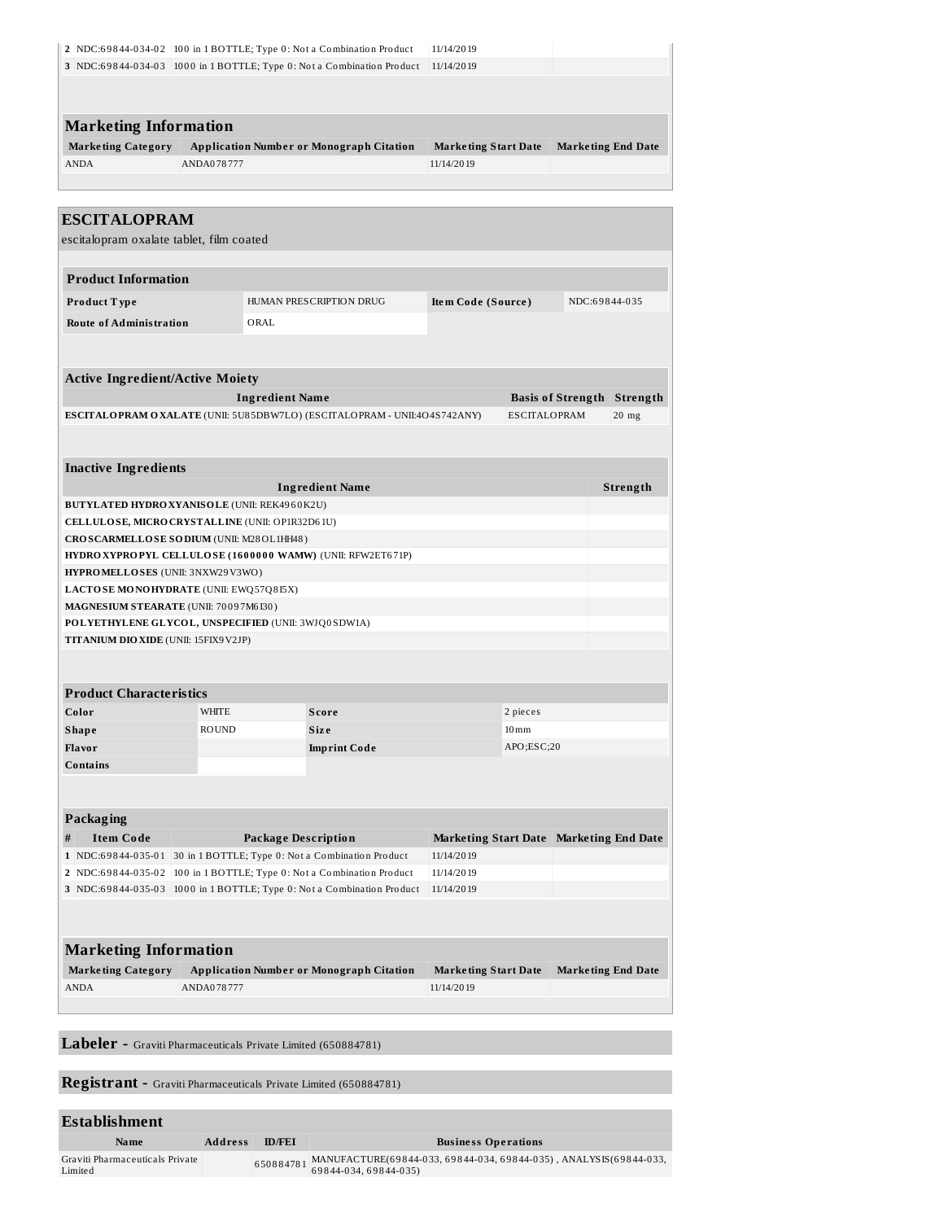|                                                                                                                                                                                                                                                                                                                                                                                                                                                                                                                                              |                             | 3 NDC:69844-034-03 1000 in 1 BOTTLE; Type 0: Not a Combination Product    | 11/14/2019                                |                     |                                   |                           |
|----------------------------------------------------------------------------------------------------------------------------------------------------------------------------------------------------------------------------------------------------------------------------------------------------------------------------------------------------------------------------------------------------------------------------------------------------------------------------------------------------------------------------------------------|-----------------------------|---------------------------------------------------------------------------|-------------------------------------------|---------------------|-----------------------------------|---------------------------|
|                                                                                                                                                                                                                                                                                                                                                                                                                                                                                                                                              |                             |                                                                           |                                           |                     |                                   |                           |
|                                                                                                                                                                                                                                                                                                                                                                                                                                                                                                                                              |                             |                                                                           |                                           |                     |                                   |                           |
| <b>Marketing Information</b>                                                                                                                                                                                                                                                                                                                                                                                                                                                                                                                 |                             |                                                                           |                                           |                     |                                   |                           |
| <b>Marketing Category</b>                                                                                                                                                                                                                                                                                                                                                                                                                                                                                                                    | <b>Marketing Start Date</b> |                                                                           |                                           | Marketing End Date  |                                   |                           |
| <b>Application Number or Monograph Citation</b><br><b>ANDA</b><br>ANDA078777                                                                                                                                                                                                                                                                                                                                                                                                                                                                 |                             |                                                                           | 11/14/2019                                |                     |                                   |                           |
|                                                                                                                                                                                                                                                                                                                                                                                                                                                                                                                                              |                             |                                                                           |                                           |                     |                                   |                           |
|                                                                                                                                                                                                                                                                                                                                                                                                                                                                                                                                              |                             |                                                                           |                                           |                     |                                   |                           |
| <b>ESCITALOPRAM</b>                                                                                                                                                                                                                                                                                                                                                                                                                                                                                                                          |                             |                                                                           |                                           |                     |                                   |                           |
| escitalopram oxalate tablet, film coated                                                                                                                                                                                                                                                                                                                                                                                                                                                                                                     |                             |                                                                           |                                           |                     |                                   |                           |
|                                                                                                                                                                                                                                                                                                                                                                                                                                                                                                                                              |                             |                                                                           |                                           |                     |                                   |                           |
| <b>Product Information</b>                                                                                                                                                                                                                                                                                                                                                                                                                                                                                                                   |                             |                                                                           |                                           |                     |                                   |                           |
| Product Type                                                                                                                                                                                                                                                                                                                                                                                                                                                                                                                                 |                             | HUMAN PRESCRIPTION DRUG                                                   | Item Code (Source)                        |                     | NDC:69844-035                     |                           |
| <b>Route of Administration</b>                                                                                                                                                                                                                                                                                                                                                                                                                                                                                                               |                             | ORAL                                                                      |                                           |                     |                                   |                           |
|                                                                                                                                                                                                                                                                                                                                                                                                                                                                                                                                              |                             |                                                                           |                                           |                     |                                   |                           |
|                                                                                                                                                                                                                                                                                                                                                                                                                                                                                                                                              |                             |                                                                           |                                           |                     |                                   |                           |
| <b>Active Ingredient/Active Moiety</b>                                                                                                                                                                                                                                                                                                                                                                                                                                                                                                       |                             |                                                                           |                                           |                     |                                   |                           |
|                                                                                                                                                                                                                                                                                                                                                                                                                                                                                                                                              |                             | <b>Ingredient Name</b>                                                    |                                           |                     | <b>Basis of Strength Strength</b> |                           |
|                                                                                                                                                                                                                                                                                                                                                                                                                                                                                                                                              |                             | ESCITALOPRAM O XALATE (UNII: 5U85DBW7LO) (ESCITALOPRAM - UNII:4O4S742ANY) |                                           | <b>ESCITALOPRAM</b> |                                   | $20$ mg                   |
|                                                                                                                                                                                                                                                                                                                                                                                                                                                                                                                                              |                             |                                                                           |                                           |                     |                                   |                           |
| <b>Inactive Ingredients</b>                                                                                                                                                                                                                                                                                                                                                                                                                                                                                                                  |                             |                                                                           |                                           |                     |                                   |                           |
|                                                                                                                                                                                                                                                                                                                                                                                                                                                                                                                                              |                             |                                                                           |                                           |                     |                                   |                           |
|                                                                                                                                                                                                                                                                                                                                                                                                                                                                                                                                              |                             | <b>Ingredient Name</b>                                                    |                                           |                     |                                   |                           |
|                                                                                                                                                                                                                                                                                                                                                                                                                                                                                                                                              |                             |                                                                           |                                           |                     |                                   | Strength                  |
|                                                                                                                                                                                                                                                                                                                                                                                                                                                                                                                                              |                             |                                                                           |                                           |                     |                                   |                           |
|                                                                                                                                                                                                                                                                                                                                                                                                                                                                                                                                              |                             |                                                                           |                                           |                     |                                   |                           |
|                                                                                                                                                                                                                                                                                                                                                                                                                                                                                                                                              |                             | HYDROXYPROPYL CELLULOSE (1600000 WAMW) (UNII: RFW2ET671P)                 |                                           |                     |                                   |                           |
|                                                                                                                                                                                                                                                                                                                                                                                                                                                                                                                                              |                             |                                                                           |                                           |                     |                                   |                           |
|                                                                                                                                                                                                                                                                                                                                                                                                                                                                                                                                              |                             |                                                                           |                                           |                     |                                   |                           |
|                                                                                                                                                                                                                                                                                                                                                                                                                                                                                                                                              |                             |                                                                           |                                           |                     |                                   |                           |
|                                                                                                                                                                                                                                                                                                                                                                                                                                                                                                                                              |                             | POLYETHYLENE GLYCOL, UNSPECIFIED (UNII: 3WJQ0SDW1A)                       |                                           |                     |                                   |                           |
|                                                                                                                                                                                                                                                                                                                                                                                                                                                                                                                                              |                             |                                                                           |                                           |                     |                                   |                           |
|                                                                                                                                                                                                                                                                                                                                                                                                                                                                                                                                              |                             |                                                                           |                                           |                     |                                   |                           |
|                                                                                                                                                                                                                                                                                                                                                                                                                                                                                                                                              |                             |                                                                           |                                           |                     |                                   |                           |
|                                                                                                                                                                                                                                                                                                                                                                                                                                                                                                                                              | <b>WHITE</b>                | Score                                                                     |                                           | 2 pieces            |                                   |                           |
|                                                                                                                                                                                                                                                                                                                                                                                                                                                                                                                                              | <b>ROUND</b>                | Size                                                                      |                                           | 10 mm               |                                   |                           |
|                                                                                                                                                                                                                                                                                                                                                                                                                                                                                                                                              |                             | <b>Imprint Code</b>                                                       |                                           | APO;ESC;20          |                                   |                           |
|                                                                                                                                                                                                                                                                                                                                                                                                                                                                                                                                              |                             |                                                                           |                                           |                     |                                   |                           |
|                                                                                                                                                                                                                                                                                                                                                                                                                                                                                                                                              |                             |                                                                           |                                           |                     |                                   |                           |
|                                                                                                                                                                                                                                                                                                                                                                                                                                                                                                                                              |                             |                                                                           |                                           |                     |                                   |                           |
|                                                                                                                                                                                                                                                                                                                                                                                                                                                                                                                                              |                             |                                                                           |                                           |                     |                                   |                           |
| <b>Item Code</b>                                                                                                                                                                                                                                                                                                                                                                                                                                                                                                                             |                             | <b>Package Description</b>                                                | Marketing Start Date Marketing End Date   |                     |                                   |                           |
|                                                                                                                                                                                                                                                                                                                                                                                                                                                                                                                                              |                             | 30 in 1 BOTTLE; Type 0: Not a Combination Product                         | 11/14/2019                                |                     |                                   |                           |
|                                                                                                                                                                                                                                                                                                                                                                                                                                                                                                                                              |                             | 100 in 1 BOTTLE; Type 0: Not a Combination Product                        | 11/14/2019                                |                     |                                   |                           |
|                                                                                                                                                                                                                                                                                                                                                                                                                                                                                                                                              |                             | 3 NDC:69844-035-03 1000 in 1 BOTTLE; Type 0: Not a Combination Product    | 11/14/2019                                |                     |                                   |                           |
|                                                                                                                                                                                                                                                                                                                                                                                                                                                                                                                                              |                             |                                                                           |                                           |                     |                                   |                           |
|                                                                                                                                                                                                                                                                                                                                                                                                                                                                                                                                              |                             |                                                                           |                                           |                     |                                   |                           |
|                                                                                                                                                                                                                                                                                                                                                                                                                                                                                                                                              |                             |                                                                           |                                           |                     |                                   |                           |
| BUTYLATED HYDRO XYANISOLE (UNII: REK4960K2U)<br>CELLULOSE, MICROCRYSTALLINE (UNII: OP1R32D61U)<br>CROSCARMELLOSE SODIUM (UNII: M28OL1HH48)<br>HYPROMELLOSES (UNII: 3NXW29V3WO)<br>LACTOSE MONOHYDRATE (UNII: EWQ57Q8I5X)<br>MAGNESIUM STEARATE (UNII: 70097M6130)<br><b>TITANIUM DIO XIDE</b> (UNII: 15FIX9 V2JP)<br><b>Product Characteristics</b><br>Color<br>Shape<br>Flavor<br><b>Contains</b><br>Packaging<br>#<br>1 NDC:69844-035-01<br>2 NDC:69844-035-02<br><b>Marketing Information</b><br><b>Marketing Category</b><br><b>ANDA</b> | ANDA078777                  | <b>Application Number or Monograph Citation</b>                           | <b>Marketing Start Date</b><br>11/14/2019 |                     |                                   | <b>Marketing End Date</b> |

**Establishment**

| <b>Name</b>                                | <b>Address</b> | <b>ID/FEI</b> | <b>Business Operations</b>                                                                                                                     |
|--------------------------------------------|----------------|---------------|------------------------------------------------------------------------------------------------------------------------------------------------|
| Graviti Pharmaceuticals Private<br>Limited |                |               | $650884781 \frac{\text{MANUFACTURE}(69844-033, 69844-034, 69844-035), \text{ANALYSIS}(69844-033, 69844-034, 69844-035)}{69844-034, 69844-035}$ |